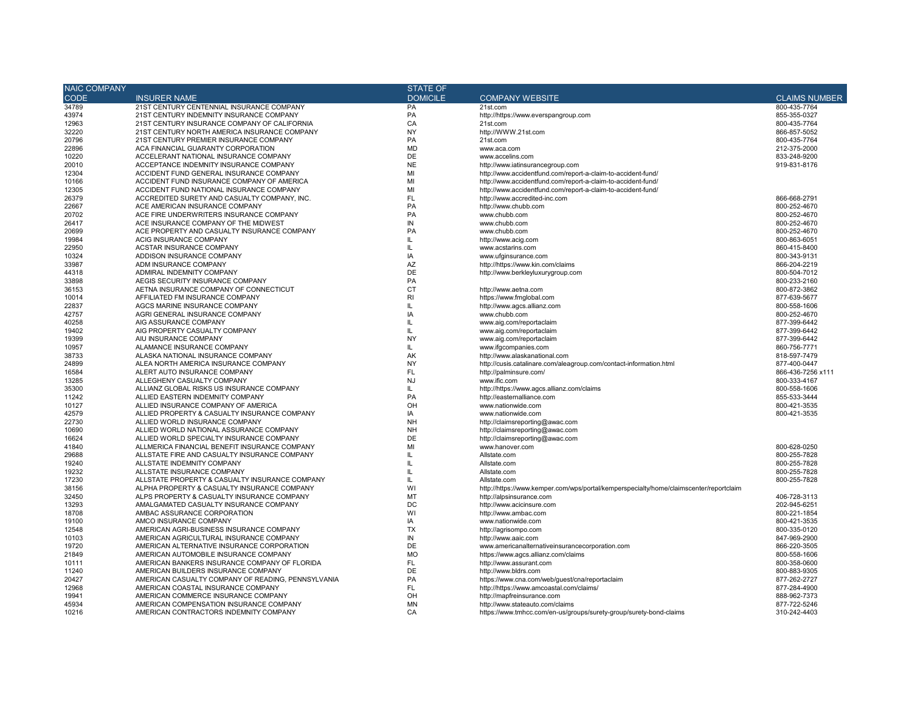| <b>NAIC COMPANY</b> |                                                    | <b>STATE OF</b> |                                                                                        |                      |  |  |
|---------------------|----------------------------------------------------|-----------------|----------------------------------------------------------------------------------------|----------------------|--|--|
| <b>CODE</b>         | <b>INSURER NAME</b>                                | <b>DOMICILE</b> | <b>COMPANY WEBSITE</b>                                                                 | <b>CLAIMS NUMBER</b> |  |  |
| 34789               | 21ST CENTURY CENTENNIAL INSURANCE COMPANY          | PA              | 21st.com                                                                               | 800-435-7764         |  |  |
| 43974               | 21ST CENTURY INDEMNITY INSURANCE COMPANY           | PA              | http://https://www.everspangroup.com                                                   | 855-355-0327         |  |  |
| 12963               | 21ST CENTURY INSURANCE COMPANY OF CALIFORNIA       | CA              | 21st.com                                                                               | 800-435-7764         |  |  |
| 32220               | 21ST CENTURY NORTH AMERICA INSURANCE COMPANY       | <b>NY</b>       | http://WWW.21st.com                                                                    | 866-857-5052         |  |  |
| 20796               | 21ST CENTURY PREMIER INSURANCE COMPANY             | PA              | 21st.com                                                                               | 800-435-7764         |  |  |
| 22896               | ACA FINANCIAL GUARANTY CORPORATION                 | <b>MD</b>       | www.aca.com                                                                            | 212-375-2000         |  |  |
| 10220               | ACCELERANT NATIONAL INSURANCE COMPANY              | DE              | www.accelins.com                                                                       | 833-248-9200         |  |  |
| 20010               | ACCEPTANCE INDEMNITY INSURANCE COMPANY             | <b>NE</b>       | http://www.iatinsurancegroup.com                                                       | 919-831-8176         |  |  |
| 12304               | ACCIDENT FUND GENERAL INSURANCE COMPANY            | MI              | http://www.accidentfund.com/report-a-claim-to-accident-fund/                           |                      |  |  |
| 10166               | ACCIDENT FUND INSURANCE COMPANY OF AMERICA         | MI              | http://www.accidentfund.com/report-a-claim-to-accident-fund/                           |                      |  |  |
| 12305               | ACCIDENT FUND NATIONAL INSURANCE COMPANY           | MI              | http://www.accidentfund.com/report-a-claim-to-accident-fund/                           |                      |  |  |
| 26379               | ACCREDITED SURETY AND CASUALTY COMPANY, INC.       | FL              | http://www.accredited-inc.com                                                          | 866-668-2791         |  |  |
| 22667               | ACE AMERICAN INSURANCE COMPANY                     | PA              | http://www.chubb.com                                                                   | 800-252-4670         |  |  |
| 20702               | ACE FIRE UNDERWRITERS INSURANCE COMPANY            | PA              | www.chubb.com                                                                          | 800-252-4670         |  |  |
| 26417               | ACE INSURANCE COMPANY OF THE MIDWEST               | IN              | www.chubb.com                                                                          | 800-252-4670         |  |  |
| 20699               | ACE PROPERTY AND CASUALTY INSURANCE COMPANY        | PA              | www.chubb.com                                                                          | 800-252-4670         |  |  |
| 19984               | ACIG INSURANCE COMPANY                             | IL.             | http://www.acig.com                                                                    | 800-863-6051         |  |  |
| 22950               | ACSTAR INSURANCE COMPANY                           | IL.             | www.acstarins.com                                                                      | 860-415-8400         |  |  |
| 10324               | ADDISON INSURANCE COMPANY                          | IA              | www.ufginsurance.com                                                                   | 800-343-9131         |  |  |
| 33987               | ADM INSURANCE COMPANY                              | AZ              | http://https://www.kin.com/claims                                                      | 866-204-2219         |  |  |
| 44318               | ADMIRAL INDEMNITY COMPANY                          | DE              | http://www.berkleyluxurygroup.com                                                      | 800-504-7012         |  |  |
| 33898               | AEGIS SECURITY INSURANCE COMPANY                   | PA              |                                                                                        | 800-233-2160         |  |  |
| 36153               | AETNA INSURANCE COMPANY OF CONNECTICUT             | <b>CT</b>       | http://www.aetna.com                                                                   | 800-872-3862         |  |  |
| 10014               | AFFILIATED FM INSURANCE COMPANY                    | RI              | https://www.fmglobal.com                                                               | 877-639-5677         |  |  |
| 22837               | AGCS MARINE INSURANCE COMPANY                      | IL.             | http://www.agcs.allianz.com                                                            | 800-558-1606         |  |  |
| 42757               | AGRI GENERAL INSURANCE COMPANY                     | IA              | www.chubb.com                                                                          | 800-252-4670         |  |  |
| 40258               | AIG ASSURANCE COMPANY                              | IL.             | www.aig.com/reportaclaim                                                               | 877-399-6442         |  |  |
| 19402               | AIG PROPERTY CASUALTY COMPANY                      | IL.             | www.aig.com/reportaclaim                                                               | 877-399-6442         |  |  |
| 19399               | AIU INSURANCE COMPANY                              | <b>NY</b>       | www.aig.com/reportaclaim                                                               | 877-399-6442         |  |  |
| 10957               | ALAMANCE INSURANCE COMPANY                         | IL.             | www.ifgcompanies.com                                                                   | 860-756-7771         |  |  |
| 38733               | ALASKA NATIONAL INSURANCE COMPANY                  | AK              | http://www.alaskanational.com                                                          | 818-597-7479         |  |  |
| 24899               | ALEA NORTH AMERICA INSURANCE COMPANY               | <b>NY</b>       | http://cusis.catalinare.com/aleagroup.com/contact-information.html                     | 877-400-0447         |  |  |
| 16584               | ALERT AUTO INSURANCE COMPANY                       | FL              | http://palminsure.com/                                                                 | 866-436-7256 x111    |  |  |
| 13285               | ALLEGHENY CASUALTY COMPANY                         | <b>NJ</b>       | www.ific.com                                                                           | 800-333-4167         |  |  |
| 35300               | ALLIANZ GLOBAL RISKS US INSURANCE COMPANY          | IL.             | http://https://www.agcs.allianz.com/claims                                             | 800-558-1606         |  |  |
| 11242               | ALLIED EASTERN INDEMNITY COMPANY                   | PA              | http://easternalliance.com                                                             | 855-533-3444         |  |  |
| 10127               | ALLIED INSURANCE COMPANY OF AMERICA                | OH              | www.nationwide.com                                                                     | 800-421-3535         |  |  |
| 42579               | ALLIED PROPERTY & CASUALTY INSURANCE COMPANY       | IA              | www.nationwide.com                                                                     | 800-421-3535         |  |  |
| 22730               | ALLIED WORLD INSURANCE COMPANY                     | <b>NH</b>       | http://claimsreporting@awac.com                                                        |                      |  |  |
| 10690               | ALLIED WORLD NATIONAL ASSURANCE COMPANY            | <b>NH</b>       | http://claimsreporting@awac.com                                                        |                      |  |  |
| 16624               | ALLIED WORLD SPECIALTY INSURANCE COMPANY           | DE              | http://claimsreporting@awac.com                                                        |                      |  |  |
| 41840               | ALLMERICA FINANCIAL BENEFIT INSURANCE COMPANY      | MI              | www.hanover.com                                                                        | 800-628-0250         |  |  |
| 29688               | ALLSTATE FIRE AND CASUALTY INSURANCE COMPANY       | IL.             | Allstate.com                                                                           | 800-255-7828         |  |  |
| 19240               | ALLSTATE INDEMNITY COMPANY                         | Ш               | Allstate.com                                                                           | 800-255-7828         |  |  |
| 19232               | ALLSTATE INSURANCE COMPANY                         | IL.             | Allstate.com                                                                           | 800-255-7828         |  |  |
| 17230               | ALLSTATE PROPERTY & CASUALTY INSURANCE COMPANY     | IL.             | Allstate.com                                                                           | 800-255-7828         |  |  |
| 38156               | ALPHA PROPERTY & CASUALTY INSURANCE COMPANY        | WI              | http://https://www.kemper.com/wps/portal/kemperspecialty/home/claimscenter/reportclaim |                      |  |  |
| 32450               | ALPS PROPERTY & CASUALTY INSURANCE COMPANY         | MT              | http://alpsinsurance.com                                                               | 406-728-3113         |  |  |
| 13293               | AMALGAMATED CASUALTY INSURANCE COMPANY             | DC              | http://www.acicinsure.com                                                              | 202-945-6251         |  |  |
| 18708               | AMBAC ASSURANCE CORPORATION                        | WI              | http://www.ambac.com                                                                   | 800-221-1854         |  |  |
| 19100               | AMCO INSURANCE COMPANY                             | IA              | www.nationwide.com                                                                     | 800-421-3535         |  |  |
| 12548               | AMERICAN AGRI-BUSINESS INSURANCE COMPANY           | <b>TX</b>       | http://agrisompo.com                                                                   | 800-335-0120         |  |  |
| 10103               | AMERICAN AGRICULTURAL INSURANCE COMPANY            | IN              | http://www.aaic.com                                                                    | 847-969-2900         |  |  |
| 19720               | AMERICAN ALTERNATIVE INSURANCE CORPORATION         | DE              | www.americanalternativeinsurancecorporation.com                                        | 866-220-3505         |  |  |
| 21849               | AMERICAN AUTOMOBILE INSURANCE COMPANY              | <b>MO</b>       | https://www.agcs.allianz.com/claims                                                    | 800-558-1606         |  |  |
| 10111               | AMERICAN BANKERS INSURANCE COMPANY OF FLORIDA      | <b>FL</b>       | http://www.assurant.com                                                                | 800-358-0600         |  |  |
| 11240               | AMERICAN BUILDERS INSURANCE COMPANY                | DE              | http://www.bldrs.com                                                                   | 800-883-9305         |  |  |
| 20427               | AMERICAN CASUALTY COMPANY OF READING, PENNSYLVANIA | PA              | https://www.cna.com/web/guest/cna/reportaclaim                                         | 877-262-2727         |  |  |
| 12968               | AMERICAN COASTAL INSURANCE COMPANY                 | FL              | http://https://www.amcoastal.com/claims/                                               | 877-284-4900         |  |  |
| 19941               | AMERICAN COMMERCE INSURANCE COMPANY                | OH              | http://mapfreinsurance.com                                                             | 888-962-7373         |  |  |
| 45934               | AMERICAN COMPENSATION INSURANCE COMPANY            | <b>MN</b>       | http://www.stateauto.com/claims                                                        | 877-722-5246         |  |  |
| 10216               | AMERICAN CONTRACTORS INDEMNITY COMPANY             | CA              | https://www.tmhcc.com/en-us/groups/surety-group/surety-bond-claims                     | 310-242-4403         |  |  |
|                     |                                                    |                 |                                                                                        |                      |  |  |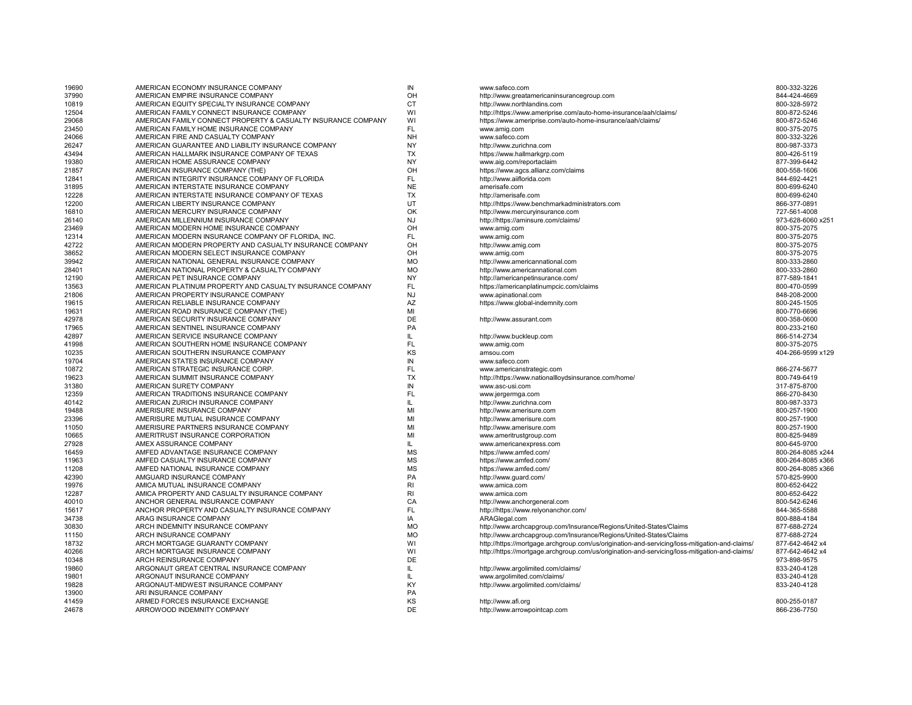| 19690 | AMERICAN ECONOMY INSURANCE COMPANY                            | IN             | www.safeco.com                                                                                 | 800-332-3226      |
|-------|---------------------------------------------------------------|----------------|------------------------------------------------------------------------------------------------|-------------------|
| 37990 | AMERICAN EMPIRE INSURANCE COMPANY                             | OH             | http://www.greatamericaninsurancegroup.com                                                     | 844-424-4669      |
| 10819 | AMERICAN EQUITY SPECIALTY INSURANCE COMPANY                   | <b>CT</b>      | http://www.northlandins.com                                                                    | 800-328-5972      |
| 12504 | AMERICAN FAMILY CONNECT INSURANCE COMPANY                     | WI             | http://https://www.ameriprise.com/auto-home-insurance/aah/claims/                              | 800-872-5246      |
| 29068 | AMERICAN FAMILY CONNECT PROPERTY & CASUALTY INSURANCE COMPANY | WI             | https://www.ameriprise.com/auto-home-insurance/aah/claims/                                     | 800-872-5246      |
| 23450 | AMERICAN FAMILY HOME INSURANCE COMPANY                        | <b>FL</b>      | www.amig.com                                                                                   | 800-375-2075      |
| 24066 | AMERICAN FIRE AND CASUALTY COMPANY                            | <b>NH</b>      | www.safeco.com                                                                                 | 800-332-3226      |
| 26247 | AMERICAN GUARANTEE AND LIABILITY INSURANCE COMPANY            | <b>NY</b>      | http://www.zurichna.com                                                                        | 800-987-3373      |
| 43494 | AMERICAN HALLMARK INSURANCE COMPANY OF TEXAS                  | TX             | https://www.hallmarkgrp.com                                                                    | 800-426-5119      |
| 19380 | AMERICAN HOME ASSURANCE COMPANY                               | <b>NY</b>      | www.aig.com/reportaclaim                                                                       | 877-399-6442      |
| 21857 | AMERICAN INSURANCE COMPANY (THE)                              | OH             | https://www.agcs.allianz.com/claims                                                            | 800-558-1606      |
| 12841 | AMERICAN INTEGRITY INSURANCE COMPANY OF FLORIDA               | <b>FL</b>      | http://www.aiiflorida.com                                                                      | 844-692-4421      |
| 31895 | AMERICAN INTERSTATE INSURANCE COMPANY                         | <b>NE</b>      | amerisafe.com                                                                                  | 800-699-6240      |
| 12228 | AMERICAN INTERSTATE INSURANCE COMPANY OF TEXAS                | TX             | http://amerisafe.com                                                                           | 800-699-6240      |
| 12200 | AMERICAN LIBERTY INSURANCE COMPANY                            | UT             | http://https://www.benchmarkadministrators.com                                                 | 866-377-0891      |
| 16810 | AMERICAN MERCURY INSURANCE COMPANY                            | OK             | http://www.mercuryinsurance.com                                                                | 727-561-4008      |
| 26140 | AMERICAN MILLENNIUM INSURANCE COMPANY                         | NJ             | http://https://aminsure.com/claims/                                                            | 973-628-6060 x251 |
| 23469 | AMERICAN MODERN HOME INSURANCE COMPANY                        | OH             | www.amig.com                                                                                   | 800-375-2075      |
| 12314 | AMERICAN MODERN INSURANCE COMPANY OF FLORIDA. INC.            | FL.            | www.amig.com                                                                                   | 800-375-2075      |
| 42722 | AMERICAN MODERN PROPERTY AND CASUALTY INSURANCE COMPANY       | OH             | http://www.amig.com                                                                            | 800-375-2075      |
| 38652 | AMERICAN MODERN SELECT INSURANCE COMPANY                      | OH             | www.amig.com                                                                                   | 800-375-2075      |
| 39942 | AMERICAN NATIONAL GENERAL INSURANCE COMPANY                   | <b>MO</b>      | http://www.americannational.com                                                                | 800-333-2860      |
| 28401 | AMERICAN NATIONAL PROPERTY & CASUALTY COMPANY                 | <b>MO</b>      | http://www.americannational.com                                                                | 800-333-2860      |
| 12190 | AMERICAN PET INSURANCE COMPANY                                | NY             | http://americanpetinsurance.com/                                                               | 877-589-1841      |
| 13563 | AMERICAN PLATINUM PROPERTY AND CASUALTY INSURANCE COMPANY     | <b>FL</b>      | https://americanplatinumpcic.com/claims                                                        | 800-470-0599      |
| 21806 | AMERICAN PROPERTY INSURANCE COMPANY                           | <b>NJ</b>      | www.apinational.com                                                                            | 848-208-2000      |
| 19615 | AMERICAN RELIABLE INSURANCE COMPANY                           | AZ             | https://www.global-indemnity.com                                                               | 800-245-1505      |
| 19631 | AMERICAN ROAD INSURANCE COMPANY (THE)                         | MI             |                                                                                                | 800-770-6696      |
| 42978 | AMERICAN SECURITY INSURANCE COMPANY                           | DE             | http://www.assurant.com                                                                        | 800-358-0600      |
| 17965 | AMERICAN SENTINEL INSURANCE COMPANY                           | PA             |                                                                                                | 800-233-2160      |
| 42897 | AMERICAN SERVICE INSURANCE COMPANY                            | IL             | http://www.buckleup.com                                                                        | 866-514-2734      |
| 41998 | AMERICAN SOUTHERN HOME INSURANCE COMPANY                      | FL.            | www.amig.com                                                                                   | 800-375-2075      |
| 10235 | AMERICAN SOUTHERN INSURANCE COMPANY                           | KS             | amsou.com                                                                                      | 404-266-9599 x129 |
| 19704 | AMERICAN STATES INSURANCE COMPANY                             | IN             | www.safeco.com                                                                                 |                   |
| 10872 | AMERICAN STRATEGIC INSURANCE CORP.                            | <b>FL</b>      | www.americanstrategic.com                                                                      | 866-274-5677      |
| 19623 | AMERICAN SUMMIT INSURANCE COMPANY                             | <b>TX</b>      | http://https://www.nationallloydsinsurance.com/home/                                           | 800-749-6419      |
| 31380 | AMERICAN SURETY COMPANY                                       | IN             | www.asc-usi.com                                                                                | 317-875-8700      |
| 12359 | AMERICAN TRADITIONS INSURANCE COMPANY                         | FL             | www.jergermga.com                                                                              | 866-270-8430      |
| 40142 | AMERICAN ZURICH INSURANCE COMPANY                             | IL             | http://www.zurichna.com                                                                        | 800-987-3373      |
| 19488 | AMERISURE INSURANCE COMPANY                                   | MI             | http://www.amerisure.com                                                                       | 800-257-1900      |
|       |                                                               |                |                                                                                                |                   |
| 23396 | AMERISURE MUTUAL INSURANCE COMPANY                            | MI             | http://www.amerisure.com                                                                       | 800-257-1900      |
| 11050 | AMERISURE PARTNERS INSURANCE COMPANY                          | MI<br>MI       | http://www.amerisure.com                                                                       | 800-257-1900      |
| 10665 | AMERITRUST INSURANCE CORPORATION                              |                | www.ameritrustgroup.com                                                                        | 800-825-9489      |
| 27928 | AMEX ASSURANCE COMPANY                                        | IL             | www.americanexpress.com                                                                        | 800-645-9700      |
| 16459 | AMFED ADVANTAGE INSURANCE COMPANY                             | <b>MS</b>      | https://www.amfed.com/                                                                         | 800-264-8085 x244 |
| 11963 | AMFED CASUALTY INSURANCE COMPANY                              | <b>MS</b>      | https://www.amfed.com/                                                                         | 800-264-8085 x366 |
| 11208 | AMFED NATIONAL INSURANCE COMPANY                              | <b>MS</b>      | https://www.amfed.com/                                                                         | 800-264-8085 x366 |
| 42390 | AMGUARD INSURANCE COMPANY                                     | PA             | http://www.guard.com/                                                                          | 570-825-9900      |
| 19976 | AMICA MUTUAL INSURANCE COMPANY                                | R <sub>l</sub> | www.amica.com                                                                                  | 800-652-6422      |
| 12287 | AMICA PROPERTY AND CASUALTY INSURANCE COMPANY                 | R <sub>l</sub> | www.amica.com                                                                                  | 800-652-6422      |
| 40010 | ANCHOR GENERAL INSURANCE COMPANY                              | CA             | http://www.anchorgeneral.com                                                                   | 800-542-6246      |
| 15617 | ANCHOR PROPERTY AND CASUALTY INSURANCE COMPANY                | <b>FL</b>      | http://https://www.relyonanchor.com/                                                           | 844-365-5588      |
| 34738 | ARAG INSURANCE COMPANY                                        | IA             | ARAGlegal.com                                                                                  | 800-888-4184      |
| 30830 | ARCH INDEMNITY INSURANCE COMPANY                              | <b>MO</b>      | http://www.archcapgroup.com/Insurance/Regions/United-States/Claims                             | 877-688-2724      |
| 11150 | ARCH INSURANCE COMPANY                                        | <b>MO</b>      | http://www.archcapgroup.com/Insurance/Regions/United-States/Claims                             | 877-688-2724      |
| 18732 | ARCH MORTGAGE GUARANTY COMPANY                                | WI             | http://https://mortgage.archgroup.com/us/origination-and-servicing/loss-mitigation-and-claims/ | 877-642-4642 x4   |
| 40266 | ARCH MORTGAGE INSURANCE COMPANY                               | WI             | http://https://mortgage.archgroup.com/us/origination-and-servicing/loss-mitigation-and-claims/ | 877-642-4642 x4   |
| 10348 | ARCH REINSURANCE COMPANY                                      | DE             |                                                                                                | 973-898-9575      |
| 19860 | ARGONAUT GREAT CENTRAL INSURANCE COMPANY                      | IL             | http://www.argolimited.com/claims/                                                             | 833-240-4128      |
| 19801 | ARGONAUT INSURANCE COMPANY                                    | IL             | www.argolimited.com/claims/                                                                    | 833-240-4128      |
| 19828 | ARGONAUT-MIDWEST INSURANCE COMPANY                            | KY             | http://www.argolimited.com/claims/                                                             | 833-240-4128      |
| 13900 | ARI INSURANCE COMPANY                                         | <b>PA</b>      |                                                                                                |                   |
| 41459 | ARMED FORCES INSURANCE EXCHANGE                               | KS             | http://www.afi.org                                                                             | 800-255-0187      |
| 24678 | ARROWOOD INDEMNITY COMPANY                                    | DE             | http://www.arrowpointcap.com                                                                   | 866-236-7750      |

| www.safeco.com                                                                                 | 800-332-3226     |
|------------------------------------------------------------------------------------------------|------------------|
| http://www.greatamericaninsurancegroup.com                                                     | 844-424-4669     |
| http://www.northlandins.com                                                                    | 800-328-5972     |
| http://https://www.ameriprise.com/auto-home-insurance/aah/claims/                              | 800-872-5246     |
| https://www.ameriprise.com/auto-home-insurance/aah/claims/                                     | 800-872-5246     |
| www.amig.com                                                                                   | 800-375-2075     |
| www.safeco.com                                                                                 | 800-332-3226     |
| http://www.zurichna.com                                                                        | 800-987-3373     |
| https://www.hallmarkgrp.com                                                                    | 800-426-5119     |
| www.aig.com/reportaclaim                                                                       | 877-399-6442     |
| https://www.agcs.allianz.com/claims                                                            | 800-558-1606     |
| http://www.aiiflorida.com                                                                      | 844-692-4421     |
| amerisafe.com                                                                                  | 800-699-6240     |
| http://amerisafe.com                                                                           | 800-699-6240     |
| http://https://www.benchmarkadministrators.com                                                 | 866-377-0891     |
| http://www.mercuryinsurance.com                                                                | 727-561-4008     |
| http://https://aminsure.com/claims/                                                            | 973-628-6060 x25 |
| www.amig.com                                                                                   | 800-375-2075     |
| www.amig.com                                                                                   | 800-375-2075     |
| http://www.amig.com                                                                            | 800-375-2075     |
| www.amig.com                                                                                   | 800-375-2075     |
| http://www.americannational.com                                                                | 800-333-2860     |
| http://www.americannational.com                                                                | 800-333-2860     |
| http://americanpetinsurance.com/                                                               | 877-589-1841     |
| https://americanplatinumpcic.com/claims                                                        | 800-470-0599     |
| www.apinational.com                                                                            | 848-208-2000     |
| https://www.global-indemnity.com                                                               | 800-245-1505     |
|                                                                                                | 800-770-6696     |
| http://www.assurant.com                                                                        | 800-358-0600     |
|                                                                                                | 800-233-2160     |
| http://www.buckleup.com                                                                        | 866-514-2734     |
| www.amig.com                                                                                   | 800-375-2075     |
| amsou.com                                                                                      | 404-266-9599 x12 |
| www.safeco.com                                                                                 |                  |
| www.americanstrategic.com                                                                      | 866-274-5677     |
| http://https://www.nationallloydsinsurance.com/home/                                           | 800-749-6419     |
| www.asc-usi.com                                                                                | 317-875-8700     |
| www.jergermga.com                                                                              | 866-270-8430     |
| http://www.zurichna.com                                                                        | 800-987-3373     |
| http://www.amerisure.com                                                                       | 800-257-1900     |
| http://www.amerisure.com                                                                       | 800-257-1900     |
| http://www.amerisure.com                                                                       | 800-257-1900     |
| www.ameritrustgroup.com                                                                        | 800-825-9489     |
| www.americanexpress.com                                                                        | 800-645-9700     |
| https://www.amfed.com/                                                                         | 800-264-8085 x24 |
| https://www.amfed.com/                                                                         | 800-264-8085 x36 |
| https://www.amfed.com/                                                                         | 800-264-8085 x36 |
| http://www.guard.com/                                                                          | 570-825-9900     |
| www.amica.com                                                                                  | 800-652-6422     |
| www.amica.com                                                                                  | 800-652-6422     |
| http://www.anchorgeneral.com                                                                   | 800-542-6246     |
| http://https://www.relyonanchor.com/                                                           | 844-365-5588     |
| ARAGlegal.com                                                                                  | 800-888-4184     |
| http://www.archcapgroup.com/Insurance/Regions/United-States/Claims                             | 877-688-2724     |
| http://www.archcapgroup.com/Insurance/Regions/United-States/Claims                             | 877-688-2724     |
| http://https://mortgage.archgroup.com/us/origination-and-servicing/loss-mitigation-and-claims/ | 877-642-4642 x4  |
| http://https://mortgage.archgroup.com/us/origination-and-servicing/loss-mitigation-and-claims/ | 877-642-4642 x4  |
|                                                                                                | 973-898-9575     |
| http://www.argolimited.com/claims/                                                             | 833-240-4128     |
| www.argolimited.com/claims/                                                                    | 833-240-4128     |
| http://www.argolimited.com/claims/                                                             | 833-240-4128     |
|                                                                                                | 800-255-0187     |
| http://www.afi.org<br>http://www.arrowpointcap.com                                             | 866-236-7750     |
|                                                                                                |                  |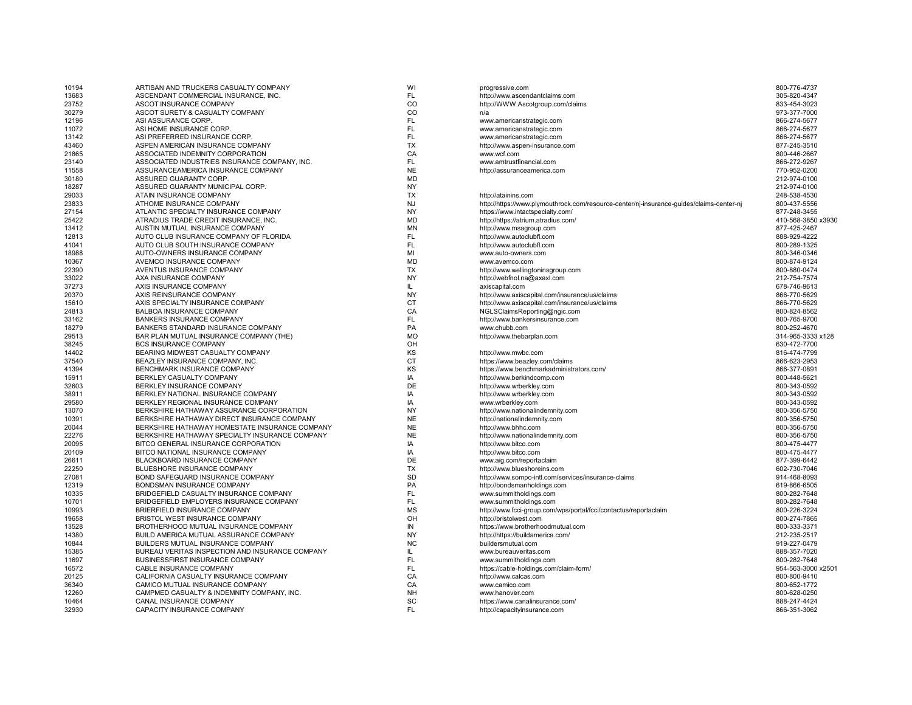| 10194 | ARTISAN AND TRUCKERS CASUALTY COMPANY           | WI        | progressive.com                                                                          | 800-776-4737       |
|-------|-------------------------------------------------|-----------|------------------------------------------------------------------------------------------|--------------------|
| 13683 | ASCENDANT COMMERCIAL INSURANCE, INC.            | FL        | http://www.ascendantclaims.com                                                           | 305-820-4347       |
| 23752 | ASCOT INSURANCE COMPANY                         | CO        | http://WWW.Ascotgroup.com/claims                                                         | 833-454-3023       |
| 30279 | ASCOT SURETY & CASUALTY COMPANY                 | CO        | n/a                                                                                      | 973-377-7000       |
| 12196 | ASI ASSURANCE CORP.                             | FL        | www.americanstrategic.com                                                                | 866-274-5677       |
| 11072 | ASI HOME INSURANCE CORP.                        | FL        | www.americanstrategic.com                                                                | 866-274-5677       |
| 13142 | ASI PREFERRED INSURANCE CORP.                   | FL        | www.americanstrategic.com                                                                | 866-274-5677       |
| 43460 | ASPEN AMERICAN INSURANCE COMPANY                | <b>TX</b> | http://www.aspen-insurance.com                                                           | 877-245-3510       |
| 21865 | ASSOCIATED INDEMNITY CORPORATION                | CA        | www.wcf.com                                                                              | 800-446-2667       |
| 23140 | ASSOCIATED INDUSTRIES INSURANCE COMPANY, INC.   | FL        | www.amtrustfinancial.com                                                                 | 866-272-9267       |
| 11558 | ASSURANCEAMERICA INSURANCE COMPANY              | <b>NE</b> | http://assuranceamerica.com                                                              | 770-952-0200       |
| 30180 | ASSURED GUARANTY CORP.                          | <b>MD</b> |                                                                                          | 212-974-0100       |
| 18287 | ASSURED GUARANTY MUNICIPAL CORP.                | <b>NY</b> |                                                                                          | 212-974-0100       |
| 29033 | ATAIN INSURANCE COMPANY                         | <b>TX</b> | http://atainins.com                                                                      | 248-538-4530       |
| 23833 | ATHOME INSURANCE COMPANY                        | <b>NJ</b> | http://https://www.plymouthrock.com/resource-center/nj-insurance-guides/claims-center-nj | 800-437-5556       |
| 27154 | ATLANTIC SPECIALTY INSURANCE COMPANY            | <b>NY</b> | https://www.intactspecialty.com/                                                         | 877-248-3455       |
| 25422 | ATRADIUS TRADE CREDIT INSURANCE, INC.           | <b>MD</b> | http://https://atrium.atradius.com/                                                      | 410-568-3850 x3930 |
| 13412 | AUSTIN MUTUAL INSURANCE COMPANY                 | MN        | http://www.msagroup.com                                                                  | 877-425-2467       |
| 12813 | AUTO CLUB INSURANCE COMPANY OF FLORIDA          | FL        | http://www.autoclubfl.com                                                                | 888-929-4222       |
| 41041 | AUTO CLUB SOUTH INSURANCE COMPANY               | FL        | http://www.autoclubfl.com                                                                | 800-289-1325       |
| 18988 | AUTO-OWNERS INSURANCE COMPANY                   | MI        | www.auto-owners.com                                                                      | 800-346-0346       |
| 10367 | AVEMCO INSURANCE COMPANY                        | <b>MD</b> | www.avemco.com                                                                           | 800-874-9124       |
| 22390 | AVENTUS INSURANCE COMPANY                       | <b>TX</b> | http://www.wellingtoninsgroup.com                                                        | 800-880-0474       |
| 33022 | AXA INSURANCE COMPANY                           | <b>NY</b> | http://webfnol.na@axaxl.com                                                              | 212-754-7574       |
| 37273 | AXIS INSURANCE COMPANY                          | IL.       | axiscapital.com                                                                          | 678-746-9613       |
| 20370 | AXIS REINSURANCE COMPANY                        | <b>NY</b> | http://www.axiscapital.com/insurance/us/claims                                           | 866-770-5629       |
| 15610 | AXIS SPECIALTY INSURANCE COMPANY                | <b>CT</b> | http://www.axiscapital.com/insurance/us/claims                                           | 866-770-5629       |
| 24813 | BALBOA INSURANCE COMPANY                        | CA        | NGLSClaimsReporting@ngic.com                                                             | 800-824-8562       |
| 33162 | <b>BANKERS INSURANCE COMPANY</b>                | FL        | http://www.bankersinsurance.com                                                          | 800-765-9700       |
| 18279 | BANKERS STANDARD INSURANCE COMPANY              | PA        | www.chubb.com                                                                            | 800-252-4670       |
| 29513 | BAR PLAN MUTUAL INSURANCE COMPANY (THE)         | <b>MO</b> | http://www.thebarplan.com                                                                | 314-965-3333 x128  |
| 38245 | <b>BCS INSURANCE COMPANY</b>                    | OH        |                                                                                          | 630-472-7700       |
| 14402 | BEARING MIDWEST CASUALTY COMPANY                | KS        | http://www.mwbc.com                                                                      | 816-474-7799       |
| 37540 | BEAZLEY INSURANCE COMPANY, INC.                 | <b>CT</b> | https://www.beazley.com/claims                                                           | 866-623-2953       |
| 41394 | <b>BENCHMARK INSURANCE COMPANY</b>              | KS        | https://www.benchmarkadministrators.com/                                                 | 866-377-0891       |
| 15911 | BERKLEY CASUALTY COMPANY                        | IA        | http://www.berkindcomp.com                                                               | 800-448-5621       |
| 32603 | BERKLEY INSURANCE COMPANY                       | DE        | http://www.wrberkley.com                                                                 | 800-343-0592       |
| 38911 | BERKLEY NATIONAL INSURANCE COMPANY              | IA        | http://www.wrberkley.com                                                                 | 800-343-0592       |
| 29580 | BERKLEY REGIONAL INSURANCE COMPANY              | IA        | www.wrberkley.com                                                                        | 800-343-0592       |
| 13070 | BERKSHIRE HATHAWAY ASSURANCE CORPORATION        | <b>NY</b> | http://www.nationalindemnity.com                                                         | 800-356-5750       |
| 10391 | BERKSHIRE HATHAWAY DIRECT INSURANCE COMPANY     | <b>NE</b> | http://nationalindemnity.com                                                             | 800-356-5750       |
| 20044 | BERKSHIRE HATHAWAY HOMESTATE INSURANCE COMPANY  | <b>NE</b> | http://www.bhhc.com                                                                      | 800-356-5750       |
| 22276 | BERKSHIRE HATHAWAY SPECIALTY INSURANCE COMPANY  | <b>NE</b> | http://www.nationalindemnity.com                                                         | 800-356-5750       |
| 20095 | BITCO GENERAL INSURANCE CORPORATION             | IA        | http://www.bitco.com                                                                     | 800-475-4477       |
| 20109 | BITCO NATIONAL INSURANCE COMPANY                | IA        | http://www.bitco.com                                                                     | 800-475-4477       |
| 26611 | BLACKBOARD INSURANCE COMPANY                    | DE        | www.aig.com/reportaclaim                                                                 | 877-399-6442       |
| 22250 | BLUESHORE INSURANCE COMPANY                     | <b>TX</b> | http://www.blueshoreins.com                                                              | 602-730-7046       |
| 27081 | BOND SAFEGUARD INSURANCE COMPANY                | SD        | http://www.sompo-intl.com/services/insurance-claims                                      | 914-468-8093       |
| 12319 | BONDSMAN INSURANCE COMPANY                      | PA        | http://bondsmanholdings.com                                                              | 619-866-6505       |
| 10335 | BRIDGEFIELD CASUALTY INSURANCE COMPANY          | FL        | www.summitholdings.com                                                                   | 800-282-7648       |
| 10701 | BRIDGEFIELD EMPLOYERS INSURANCE COMPANY         | FL        | www.summitholdings.com                                                                   | 800-282-7648       |
| 10993 | BRIERFIELD INSURANCE COMPANY                    | <b>MS</b> | http://www.fcci-group.com/wps/portal/fcci/contactus/reportaclaim                         | 800-226-3224       |
| 19658 | BRISTOL WEST INSURANCE COMPANY                  | OH        | http://bristolwest.com                                                                   | 800-274-7865       |
| 13528 | BROTHERHOOD MUTUAL INSURANCE COMPANY            | IN        | https://www.brotherhoodmutual.com                                                        | 800-333-3371       |
| 14380 | BUILD AMERICA MUTUAL ASSURANCE COMPANY          | <b>NY</b> | http://https://buildamerica.com/                                                         | 212-235-2517       |
| 10844 | BUILDERS MUTUAL INSURANCE COMPANY               | <b>NC</b> | buildersmutual.com                                                                       | 919-227-0479       |
| 15385 | BUREAU VERITAS INSPECTION AND INSURANCE COMPANY | IL.       | www.bureauveritas.com                                                                    | 888-357-7020       |
| 11697 | BUSINESSFIRST INSURANCE COMPANY                 | FL        | www.summitholdings.com                                                                   | 800-282-7648       |
| 16572 | CABLE INSURANCE COMPANY                         | FL        | https://cable-holdings.com/claim-form/                                                   | 954-563-3000 x250  |
| 20125 | CALIFORNIA CASUALTY INSURANCE COMPANY           | CA        | http://www.calcas.com                                                                    | 800-800-9410       |
| 36340 | CAMICO MUTUAL INSURANCE COMPANY                 | CA        | www.camico.com                                                                           | 800-652-1772       |
| 12260 | CAMPMED CASUALTY & INDEMNITY COMPANY, INC.      | <b>NH</b> | www.hanover.com                                                                          | 800-628-0250       |
| 10464 | CANAL INSURANCE COMPANY                         | SC        | https://www.canalinsurance.com/                                                          | 888-247-4424       |
| 32930 | CAPACITY INSURANCE COMPANY                      | FL        | http://capacityinsurance.com                                                             | 866-351-3062       |
|       |                                                 |           |                                                                                          |                    |

| progressive.com                                                                          | 800-776-4737       |
|------------------------------------------------------------------------------------------|--------------------|
| http://www.ascendantclaims.com                                                           | 305-820-4347       |
| http://WWW.Ascotgroup.com/claims                                                         | 833-454-3023       |
| n/a                                                                                      | 973-377-7000       |
| www.americanstrategic.com                                                                | 866-274-5677       |
| www.americanstrategic.com                                                                | 866-274-5677       |
| www.americanstrategic.com                                                                | 866-274-5677       |
| http://www.aspen-insurance.com                                                           | 877-245-3510       |
| www.wcf.com                                                                              | 800-446-2667       |
| www.amtrustfinancial.com                                                                 | 866-272-9267       |
| http://assuranceamerica.com                                                              | 770-952-0200       |
|                                                                                          | 212-974-0100       |
|                                                                                          | 212-974-0100       |
| http://atainins.com                                                                      | 248-538-4530       |
| http://https://www.plymouthrock.com/resource-center/nj-insurance-guides/claims-center-nj | 800-437-5556       |
| https://www.intactspecialty.com/                                                         | 877-248-3455       |
| http://https://atrium.atradius.com/                                                      | 410-568-3850 x3930 |
| http://www.msagroup.com                                                                  | 877-425-2467       |
| http://www.autoclubfl.com                                                                | 888-929-4222       |
|                                                                                          | 800-289-1325       |
| http://www.autoclubfl.com                                                                |                    |
| www.auto-owners.com                                                                      | 800-346-0346       |
| www.avemco.com                                                                           | 800-874-9124       |
| http://www.wellingtoninsgroup.com                                                        | 800-880-0474       |
| http://webfnol.na@axaxl.com                                                              | 212-754-7574       |
| axiscapital.com                                                                          | 678-746-9613       |
| http://www.axiscapital.com/insurance/us/claims                                           | 866-770-5629       |
| http://www.axiscapital.com/insurance/us/claims                                           | 866-770-5629       |
| NGLSClaimsReporting@ngic.com                                                             | 800-824-8562       |
| http://www.bankersinsurance.com                                                          | 800-765-9700       |
| www.chubb.com                                                                            | 800-252-4670       |
| http://www.thebarplan.com                                                                | 314-965-3333 x128  |
|                                                                                          | 630-472-7700       |
| http://www.mwbc.com                                                                      | 816-474-7799       |
| https://www.beazley.com/claims                                                           | 866-623-2953       |
| https://www.benchmarkadministrators.com/                                                 | 866-377-0891       |
| http://www.berkindcomp.com                                                               | 800-448-5621       |
| http://www.wrberkley.com                                                                 | 800-343-0592       |
| http://www.wrberkley.com                                                                 | 800-343-0592       |
| www.wrberkley.com                                                                        | 800-343-0592       |
| http://www.nationalindemnity.com                                                         | 800-356-5750       |
| http://nationalindemnity.com                                                             | 800-356-5750       |
| http://www.bhhc.com                                                                      | 800-356-5750       |
| http://www.nationalindemnity.com                                                         | 800-356-5750       |
| http://www.bitco.com                                                                     | 800-475-4477       |
| http://www.bitco.com                                                                     | 800-475-4477       |
| www.aig.com/reportaclaim                                                                 | 877-399-6442       |
| http://www.blueshoreins.com                                                              | 602-730-7046       |
| http://www.sompo-intl.com/services/insurance-claims                                      | 914-468-8093       |
| http://bondsmanholdings.com                                                              | 619-866-6505       |
| www.summitholdings.com                                                                   | 800-282-7648       |
| www.summitholdings.com                                                                   | 800-282-7648       |
| http://www.fcci-group.com/wps/portal/fcci/contactus/reportaclaim                         | 800-226-3224       |
| http://bristolwest.com                                                                   | 800-274-7865       |
| https://www.brotherhoodmutual.com                                                        | 800-333-3371       |
| http://https://buildamerica.com/                                                         | 212-235-2517       |
| buildersmutual.com                                                                       | 919-227-0479       |
| www.bureauveritas.com                                                                    | 888-357-7020       |
| www.summitholdings.com                                                                   | 800-282-7648       |
| https://cable-holdings.com/claim-form/                                                   | 954-563-3000 x2501 |
| http://www.calcas.com                                                                    | 800-800-9410       |
| www.camico.com                                                                           | 800-652-1772       |
| www.hanover.com                                                                          | 800-628-0250       |
| https://www.canalinsurance.com/                                                          | 888-247-4424       |
| http://capacityinsurance.com                                                             | 866-351-3062       |
|                                                                                          |                    |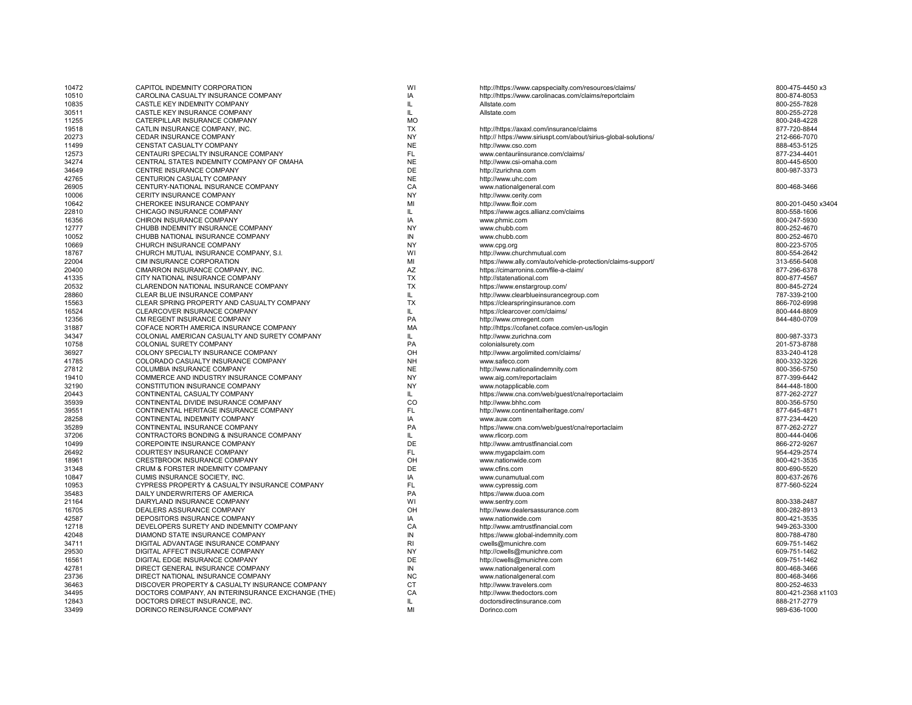| 10472 | CAPITOL INDEMNITY CORPORATION                                        | WI         | http://https://www.capspecialty.com/resources/claims/           | 800-475-4450 x3    |
|-------|----------------------------------------------------------------------|------------|-----------------------------------------------------------------|--------------------|
| 10510 | CAROLINA CASUALTY INSURANCE COMPANY                                  | IA         | http://https://www.carolinacas.com/claims/reportclaim           | 800-874-8053       |
| 10835 | CASTLE KEY INDEMNITY COMPANY                                         | IL         | Allstate.com                                                    | 800-255-7828       |
| 30511 | CASTLE KEY INSURANCE COMPANY                                         | IL.        | Allstate.com                                                    | 800-255-2728       |
| 11255 | CATERPILLAR INSURANCE COMPANY                                        | <b>MO</b>  |                                                                 | 800-248-4228       |
| 19518 | CATLIN INSURANCE COMPANY, INC.                                       | <b>TX</b>  | http://https://axaxl.com/insurance/claims                       | 877-720-8844       |
| 20273 | CEDAR INSURANCE COMPANY                                              | <b>NY</b>  | http:// https://www.siriuspt.com/about/sirius-global-solutions/ | 212-666-7070       |
| 11499 | CENSTAT CASUALTY COMPANY                                             | <b>NE</b>  | http://www.cso.com                                              | 888-453-5125       |
| 12573 | CENTAURI SPECIALTY INSURANCE COMPANY                                 | <b>FL</b>  | www.centauriinsurance.com/claims/                               | 877-234-4401       |
| 34274 | CENTRAL STATES INDEMNITY COMPANY OF OMAHA                            | <b>NE</b>  | http://www.csi-omaha.com                                        | 800-445-6500       |
| 34649 | CENTRE INSURANCE COMPANY                                             | DE         | http://zurichna.com                                             | 800-987-3373       |
| 42765 | CENTURION CASUALTY COMPANY                                           | <b>NE</b>  | http://www.uhc.com                                              |                    |
| 26905 | CENTURY-NATIONAL INSURANCE COMPANY                                   | CA         | www.nationalgeneral.com                                         | 800-468-3466       |
| 10006 | CERITY INSURANCE COMPANY                                             | <b>NY</b>  | http://www.cerity.com                                           |                    |
| 10642 | CHEROKEE INSURANCE COMPANY                                           | MI         | http://www.floir.com                                            | 800-201-0450 x3404 |
| 22810 | CHICAGO INSURANCE COMPANY                                            | IL         | https://www.agcs.allianz.com/claims                             | 800-558-1606       |
| 16356 | CHIRON INSURANCE COMPANY                                             | IA         | www.phmic.com                                                   | 800-247-5930       |
| 12777 | CHUBB INDEMNITY INSURANCE COMPANY                                    | NY         | www.chubb.com                                                   | 800-252-4670       |
| 10052 | CHUBB NATIONAL INSURANCE COMPANY                                     | IN         | www.chubb.com                                                   | 800-252-4670       |
| 10669 | CHURCH INSURANCE COMPANY                                             | NY         | www.cpg.org                                                     | 800-223-5705       |
| 18767 | CHURCH MUTUAL INSURANCE COMPANY, S.I.                                | WI         | http://www.churchmutual.com                                     | 800-554-2642       |
| 22004 | CIM INSURANCE CORPORATION                                            | MI         | https://www.ally.com/auto/vehicle-protection/claims-support/    | 313-656-5408       |
| 20400 | CIMARRON INSURANCE COMPANY, INC.                                     | AZ         | https://cimarronins.com/file-a-claim/                           | 877-296-6378       |
| 41335 | CITY NATIONAL INSURANCE COMPANY                                      | <b>TX</b>  | http://statenational.com                                        | 800-877-4567       |
| 20532 | CLARENDON NATIONAL INSURANCE COMPANY                                 | <b>TX</b>  | https://www.enstargroup.com/                                    | 800-845-2724       |
| 28860 | CLEAR BLUE INSURANCE COMPANY                                         | IL.        | http://www.clearblueinsurancegroup.com                          | 787-339-2100       |
| 15563 | CLEAR SPRING PROPERTY AND CASUALTY COMPANY                           | <b>TX</b>  | https://clearspringinsurance.com                                | 866-702-6998       |
| 16524 | CLEARCOVER INSURANCE COMPANY                                         | IL.        | https://clearcover.com/claims/                                  | 800-444-8809       |
| 12356 | CM REGENT INSURANCE COMPANY                                          | PA         | http://www.cmregent.com                                         | 844-480-0709       |
| 31887 | COFACE NORTH AMERICA INSURANCE COMPANY                               | MA         | http://https://cofanet.coface.com/en-us/login                   |                    |
| 34347 | COLONIAL AMERICAN CASUALTY AND SURETY COMPANY                        | IL.        | http://www.zurichna.com                                         | 800-987-3373       |
| 10758 | <b>COLONIAL SURETY COMPANY</b>                                       | PA         | colonialsurety.com                                              | 201-573-8788       |
| 36927 | COLONY SPECIALTY INSURANCE COMPANY                                   | OH         | http://www.argolimited.com/claims/                              | 833-240-4128       |
| 41785 | COLORADO CASUALTY INSURANCE COMPANY                                  | <b>NH</b>  | www.safeco.com                                                  | 800-332-3226       |
| 27812 | COLUMBIA INSURANCE COMPANY                                           | <b>NE</b>  |                                                                 | 800-356-5750       |
|       |                                                                      | <b>NY</b>  | http://www.nationalindemnity.com                                |                    |
| 19410 | COMMERCE AND INDUSTRY INSURANCE COMPANY                              | <b>NY</b>  | www.aig.com/reportaclaim                                        | 877-399-6442       |
| 32190 | CONSTITUTION INSURANCE COMPANY                                       |            | www.notapplicable.com                                           | 844-448-1800       |
| 20443 | CONTINENTAL CASUALTY COMPANY<br>CONTINENTAL DIVIDE INSURANCE COMPANY | IL.<br>CO  | https://www.cna.com/web/guest/cna/reportaclaim                  | 877-262-2727       |
| 35939 |                                                                      | FL         | http://www.bhhc.com                                             | 800-356-5750       |
| 39551 | CONTINENTAL HERITAGE INSURANCE COMPANY                               |            | http://www.continentalheritage.com/                             | 877-645-4871       |
| 28258 | CONTINENTAL INDEMNITY COMPANY                                        | IA         | www.auw.com                                                     | 877-234-4420       |
| 35289 | CONTINENTAL INSURANCE COMPANY                                        | PA         | https://www.cna.com/web/guest/cna/reportaclaim                  | 877-262-2727       |
| 37206 | CONTRACTORS BONDING & INSURANCE COMPANY                              | IL.        | www.rlicorp.com                                                 | 800-444-0406       |
| 10499 | COREPOINTE INSURANCE COMPANY                                         | DE         | http://www.amtrustfinancial.com                                 | 866-272-9267       |
| 26492 | COURTESY INSURANCE COMPANY                                           | <b>FL</b>  | www.mygapclaim.com                                              | 954-429-2574       |
| 18961 | CRESTBROOK INSURANCE COMPANY                                         | OH         | www.nationwide.com                                              | 800-421-3535       |
| 31348 | CRUM & FORSTER INDEMNITY COMPANY                                     | DE         | www.cfins.com                                                   | 800-690-5520       |
| 10847 | CUMIS INSURANCE SOCIETY, INC.                                        | IA         | www.cunamutual.com                                              | 800-637-2676       |
| 10953 | CYPRESS PROPERTY & CASUALTY INSURANCE COMPANY                        | <b>FL</b>  | www.cypressig.com                                               | 877-560-5224       |
| 35483 | DAILY UNDERWRITERS OF AMERICA                                        | PA         | https://www.duoa.com                                            |                    |
| 21164 | DAIRYLAND INSURANCE COMPANY                                          | WI         | www.sentry.com                                                  | 800-338-2487       |
| 16705 | DEALERS ASSURANCE COMPANY                                            | OH         | http://www.dealersassurance.com                                 | 800-282-8913       |
| 42587 | DEPOSITORS INSURANCE COMPANY                                         | IA         | www.nationwide.com                                              | 800-421-3535       |
| 12718 | DEVELOPERS SURETY AND INDEMNITY COMPANY                              | CA         | http://www.amtrustfinancial.com                                 | 949-263-3300       |
| 42048 | DIAMOND STATE INSURANCE COMPANY                                      | IN         | https://www.global-indemnity.com                                | 800-788-4780       |
| 34711 | DIGITAL ADVANTAGE INSURANCE COMPANY                                  | RI         | cwells@munichre.com                                             | 609-751-1462       |
| 29530 | DIGITAL AFFECT INSURANCE COMPANY                                     | <b>NY</b>  | http://cwells@munichre.com                                      | 609-751-1462       |
| 16561 | DIGITAL EDGE INSURANCE COMPANY                                       | DE         | http://cwells@munichre.com                                      | 609-751-1462       |
| 42781 | DIRECT GENERAL INSURANCE COMPANY                                     | ${\sf IN}$ | www.nationalgeneral.com                                         | 800-468-3466       |
| 23736 | DIRECT NATIONAL INSURANCE COMPANY                                    | <b>NC</b>  | www.nationalgeneral.com                                         | 800-468-3466       |
| 36463 | DISCOVER PROPERTY & CASUALTY INSURANCE COMPANY                       | <b>CT</b>  | http://www.travelers.com                                        | 800-252-4633       |
| 34495 | DOCTORS COMPANY, AN INTERINSURANCE EXCHANGE (THE)                    | CA         | http://www.thedoctors.com                                       | 800-421-2368 x1103 |
| 12843 | DOCTORS DIRECT INSURANCE, INC.                                       | IL.        | doctorsdirectinsurance.com                                      | 888-217-2779       |
| 33499 | DORINCO REINSURANCE COMPANY                                          | MI         | Dorinco.com                                                     | 989-636-1000       |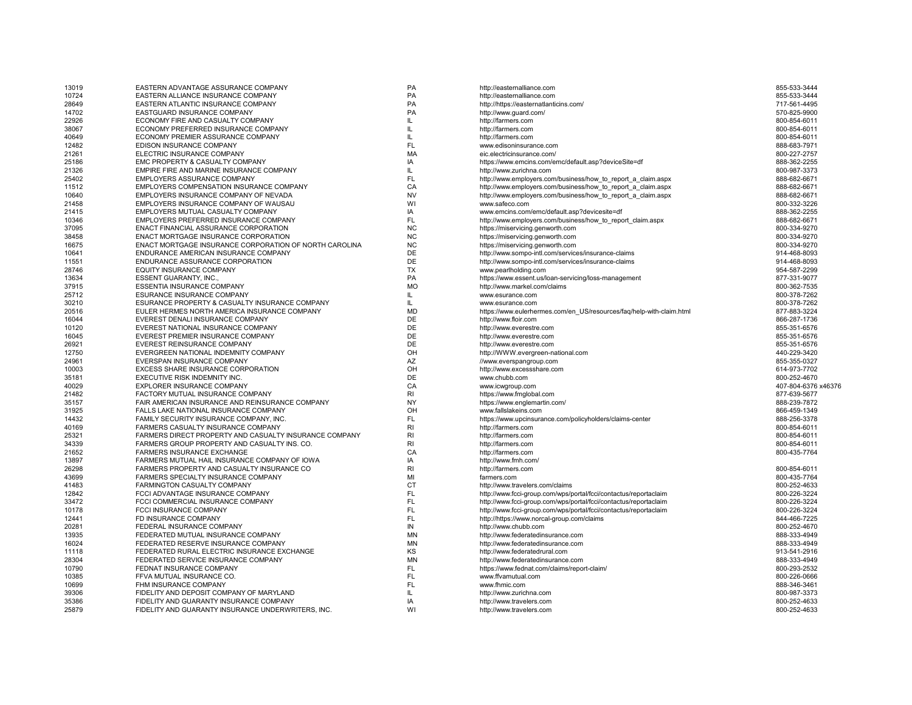| PA<br>10724<br>855-533-3444<br>EASTERN ALLIANCE INSURANCE COMPANY<br>http://easternalliance.com<br>28649<br>EASTERN ATLANTIC INSURANCE COMPANY<br>PA<br>http://https://easternatlanticins.com/<br>717-561-4495<br>14702<br>EASTGUARD INSURANCE COMPANY<br><b>PA</b><br>http://www.guard.com/<br>570-825-9900<br>22926<br>ECONOMY FIRE AND CASUALTY COMPANY<br>IL.<br>http://farmers.com<br>800-854-6011<br>ECONOMY PREFERRED INSURANCE COMPANY<br>38067<br>IL.<br>http://farmers.com<br>800-854-6011<br>40649<br>ECONOMY PREMIER ASSURANCE COMPANY<br>IL<br>800-854-6011<br>http://farmers.com<br>EDISON INSURANCE COMPANY<br><b>FL</b><br>12482<br>888-683-7971<br>www.edisoninsurance.com<br><b>MA</b><br>21261<br>ELECTRIC INSURANCE COMPANY<br>800-227-2757<br>eic.electricinsurance.com/<br>IA<br>25186<br>EMC PROPERTY & CASUALTY COMPANY<br>https://www.emcins.com/emc/default.asp?deviceSite=df<br>888-362-2255<br>EMPIRE FIRE AND MARINE INSURANCE COMPANY<br>21326<br>IL<br>http://www.zurichna.com<br>800-987-3373<br>FL<br>25402<br>EMPLOYERS ASSURANCE COMPANY<br>http://www.employers.com/business/how_to_report_a_claim.aspx<br>888-682-6671<br>CA<br>11512<br>EMPLOYERS COMPENSATION INSURANCE COMPANY<br>http://www.employers.com/business/how to report a claim.aspx<br>888-682-6671<br>EMPLOYERS INSURANCE COMPANY OF NEVADA<br><b>NV</b><br>10640<br>http://www.employers.com/business/how to report a claim.aspx<br>888-682-6671<br>21458<br>EMPLOYERS INSURANCE COMPANY OF WAUSAU<br>WI<br>800-332-3226<br>www.safeco.com<br>21415<br>EMPLOYERS MUTUAL CASUALTY COMPANY<br>IA<br>www.emcins.com/emc/default.asp?devicesite=df<br>888-362-2255<br>FL<br>EMPLOYERS PREFERRED INSURANCE COMPANY<br>http://www.employers.com/business/how to report claim.aspx<br>888-682-6671<br>10346<br>ENACT FINANCIAL ASSURANCE CORPORATION<br><b>NC</b><br>37095<br>https://miservicing.genworth.com<br>800-334-9270<br><b>NC</b><br>38458<br>ENACT MORTGAGE INSURANCE CORPORATION<br>800-334-9270<br>https://miservicing.genworth.com<br>NC<br>16675<br>ENACT MORTGAGE INSURANCE CORPORATION OF NORTH CAROLINA<br>800-334-9270<br>https://miservicing.genworth.com<br>DE<br>ENDURANCE AMERICAN INSURANCE COMPANY<br>10641<br>http://www.sompo-intl.com/services/insurance-claims<br>914-468-8093<br>DE<br>ENDURANCE ASSURANCE CORPORATION<br>914-468-8093<br>11551<br>http://www.sompo-intl.com/services/insurance-claims<br>EQUITY INSURANCE COMPANY<br><b>TX</b><br>954-587-2299<br>28746<br>www.pearlholding.com<br>PA<br>13634<br><b>ESSENT GUARANTY, INC.,</b><br>https://www.essent.us/loan-servicing/loss-management<br>877-331-9077<br><b>MO</b><br>37915<br>ESSENTIA INSURANCE COMPANY<br>http://www.markel.com/claims<br>800-362-7535<br>25712<br>ESURANCE INSURANCE COMPANY<br>IL<br>800-378-7262<br>www.esurance.com<br>30210<br>ESURANCE PROPERTY & CASUALTY INSURANCE COMPANY<br>IL<br>800-378-7262<br>www.esurance.com<br><b>MD</b><br>EULER HERMES NORTH AMERICA INSURANCE COMPANY<br>20516<br>https://www.eulerhermes.com/en US/resources/faq/help-with-claim.html<br>877-883-3224<br>DE<br>16044<br>EVEREST DENALI INSURANCE COMPANY<br>866-287-1736<br>http://www.floir.com<br>DE<br>10120<br>EVEREST NATIONAL INSURANCE COMPANY<br>http://www.everestre.com<br>855-351-6576<br>DE<br>16045<br>EVEREST PREMIER INSURANCE COMPANY<br>http://www.everestre.com<br>855-351-6576<br>DE<br>26921<br>EVEREST REINSURANCE COMPANY<br>http://www.everestre.com<br>855-351-6576<br>OH<br>12750<br>EVERGREEN NATIONAL INDEMNITY COMPANY<br>http://WWW.evergreen-national.com<br>440-229-3420<br>AZ<br>24961<br>EVERSPAN INSURANCE COMPANY<br>855-355-0327<br>//www.everspangroup.com<br>EXCESS SHARE INSURANCE CORPORATION<br>OH<br>10003<br>http://www.excessshare.com<br>614-973-7702<br><b>DE</b><br>35181<br>EXECUTIVE RISK INDEMNITY INC.<br>www.chubb.com<br>800-252-4670<br>CA<br>40029<br>EXPLORER INSURANCE COMPANY<br>407-804-6376 x46376<br>www.icwgroup.com<br>21482<br>FACTORY MUTUAL INSURANCE COMPANY<br><b>RI</b><br>877-639-5677<br>https://www.fmglobal.com<br><b>NY</b><br>35157<br>FAIR AMERICAN INSURANCE AND REINSURANCE COMPANY<br>888-239-7872<br>https://www.englemartin.com/<br>OH<br>31925<br>FALLS LAKE NATIONAL INSURANCE COMPANY<br>www.fallslakeins.com<br>866-459-1349<br>FAMILY SECURITY INSURANCE COMPANY, INC.<br><b>FL</b><br>14432<br>https://www.upcinsurance.com/policyholders/claims-center<br>888-256-3378<br>RI<br>FARMERS CASUALTY INSURANCE COMPANY<br>40169<br>http://farmers.com<br>800-854-6011<br>FARMERS DIRECT PROPERTY AND CASUALTY INSURANCE COMPANY<br>RI<br>800-854-6011<br>25321<br>http://farmers.com<br>34339<br>FARMERS GROUP PROPERTY AND CASUALTY INS. CO.<br><b>RI</b><br>http://farmers.com<br>800-854-6011<br>CA<br>21652<br>FARMERS INSURANCE EXCHANGE<br>800-435-7764<br>http://farmers.com<br>FARMERS MUTUAL HAIL INSURANCE COMPANY OF IOWA<br>IA<br>13897<br>http://www.fmh.com/<br>R <sub>l</sub><br>26298<br>FARMERS PROPERTY AND CASUALTY INSURANCE CO<br>http://farmers.com<br>800-854-6011<br>FARMERS SPECIALTY INSURANCE COMPANY<br>MI<br>800-435-7764<br>43699<br>farmers.com<br><b>CT</b><br>41483<br>FARMINGTON CASUALTY COMPANY<br>http://www.travelers.com/claims<br>800-252-4633<br>FL<br>12842<br>FCCI ADVANTAGE INSURANCE COMPANY<br>http://www.fcci-group.com/wps/portal/fcci/contactus/reportaclaim<br>800-226-3224<br>FL<br>33472<br>FCCI COMMERCIAL INSURANCE COMPANY<br>800-226-3224<br>http://www.fcci-group.com/wps/portal/fcci/contactus/reportaclaim<br>FL<br>10178<br>FCCI INSURANCE COMPANY<br>http://www.fcci-group.com/wps/portal/fcci/contactus/reportaclaim<br>800-226-3224<br>FL<br>12441<br>FD INSURANCE COMPANY<br>http://https://www.norcal-group.com/claims<br>844-466-7225<br>20281<br>IN<br>800-252-4670<br>FEDERAL INSURANCE COMPANY<br>http://www.chubb.com<br>13935<br>FEDERATED MUTUAL INSURANCE COMPANY<br><b>MN</b><br>888-333-4949<br>http://www.federatedinsurance.com<br><b>MN</b><br>16024<br>FEDERATED RESERVE INSURANCE COMPANY<br>http://www.federatedinsurance.com<br>888-333-4949<br>KS<br>FEDERATED RURAL ELECTRIC INSURANCE EXCHANGE<br>913-541-2916<br>11118<br>http://www.federatedrural.com<br>FEDERATED SERVICE INSURANCE COMPANY<br><b>MN</b><br>888-333-4949<br>28304<br>http://www.federatedinsurance.com<br>FL<br>10790<br>FEDNAT INSURANCE COMPANY<br>800-293-2532<br>https://www.fednat.com/claims/report-claim/<br>10385<br>FFVA MUTUAL INSURANCE CO.<br>FL<br>800-226-0666<br>www.ffvamutual.com<br>FHM INSURANCE COMPANY<br>FL.<br>888-346-3461<br>10699<br>www.fhmic.com<br>FIDELITY AND DEPOSIT COMPANY OF MARYLAND<br>39306<br>IL<br>http://www.zurichna.com<br>800-987-3373<br>35386<br>FIDELITY AND GUARANTY INSURANCE COMPANY<br>IA<br>800-252-4633<br>http://www.travelers.com<br>25879<br>FIDELITY AND GUARANTY INSURANCE UNDERWRITERS. INC.<br>WI<br>http://www.travelers.com<br>800-252-4633 | 13019 | EASTERN ADVANTAGE ASSURANCE COMPANY | PA | http://easternalliance.com | 855-533-3444 |
|---------------------------------------------------------------------------------------------------------------------------------------------------------------------------------------------------------------------------------------------------------------------------------------------------------------------------------------------------------------------------------------------------------------------------------------------------------------------------------------------------------------------------------------------------------------------------------------------------------------------------------------------------------------------------------------------------------------------------------------------------------------------------------------------------------------------------------------------------------------------------------------------------------------------------------------------------------------------------------------------------------------------------------------------------------------------------------------------------------------------------------------------------------------------------------------------------------------------------------------------------------------------------------------------------------------------------------------------------------------------------------------------------------------------------------------------------------------------------------------------------------------------------------------------------------------------------------------------------------------------------------------------------------------------------------------------------------------------------------------------------------------------------------------------------------------------------------------------------------------------------------------------------------------------------------------------------------------------------------------------------------------------------------------------------------------------------------------------------------------------------------------------------------------------------------------------------------------------------------------------------------------------------------------------------------------------------------------------------------------------------------------------------------------------------------------------------------------------------------------------------------------------------------------------------------------------------------------------------------------------------------------------------------------------------------------------------------------------------------------------------------------------------------------------------------------------------------------------------------------------------------------------------------------------------------------------------------------------------------------------------------------------------------------------------------------------------------------------------------------------------------------------------------------------------------------------------------------------------------------------------------------------------------------------------------------------------------------------------------------------------------------------------------------------------------------------------------------------------------------------------------------------------------------------------------------------------------------------------------------------------------------------------------------------------------------------------------------------------------------------------------------------------------------------------------------------------------------------------------------------------------------------------------------------------------------------------------------------------------------------------------------------------------------------------------------------------------------------------------------------------------------------------------------------------------------------------------------------------------------------------------------------------------------------------------------------------------------------------------------------------------------------------------------------------------------------------------------------------------------------------------------------------------------------------------------------------------------------------------------------------------------------------------------------------------------------------------------------------------------------------------------------------------------------------------------------------------------------------------------------------------------------------------------------------------------------------------------------------------------------------------------------------------------------------------------------------------------------------------------------------------------------------------------------------------------------------------------------------------------------------------------------------------------------------------------------------------------------------------------------------------------------------------------------------------------------------------------------------------------------------------------------------------------------------------------------------------------------------------------------------------------------------------------------------------------------------------------------------------------------------------------------------------------------------------------------------------------------------------------------------------------------------------------------------------------------------------------------------------------------------------------------------------------------------------------------------------------------------------------------------------------------------------------------------------------------------------------------------------------------------------------------------------------------------------------------------------------------------------------------------------------------------------------------------------------------------------------------------------------------------------------------------------------------------------------------------------------------------------------------------------------------------------------------------------------------------------------------------------------------------------------------------------------------------------------------------------------------------------------------------------------------------------------------------------------------------------------|-------|-------------------------------------|----|----------------------------|--------------|
|                                                                                                                                                                                                                                                                                                                                                                                                                                                                                                                                                                                                                                                                                                                                                                                                                                                                                                                                                                                                                                                                                                                                                                                                                                                                                                                                                                                                                                                                                                                                                                                                                                                                                                                                                                                                                                                                                                                                                                                                                                                                                                                                                                                                                                                                                                                                                                                                                                                                                                                                                                                                                                                                                                                                                                                                                                                                                                                                                                                                                                                                                                                                                                                                                                                                                                                                                                                                                                                                                                                                                                                                                                                                                                                                                                                                                                                                                                                                                                                                                                                                                                                                                                                                                                                                                                                                                                                                                                                                                                                                                                                                                                                                                                                                                                                                                                                                                                                                                                                                                                                                                                                                                                                                                                                                                                                                                                                                                                                                                                                                                                                                                                                                                                                                                                                                                                                                                                                                                                                                                                                                                                                                                                                                                                                                                                                                                                                                                                                                                                                                                                                                                                                                                                                                                                                                                                                                                                                                                               |       |                                     |    |                            |              |
|                                                                                                                                                                                                                                                                                                                                                                                                                                                                                                                                                                                                                                                                                                                                                                                                                                                                                                                                                                                                                                                                                                                                                                                                                                                                                                                                                                                                                                                                                                                                                                                                                                                                                                                                                                                                                                                                                                                                                                                                                                                                                                                                                                                                                                                                                                                                                                                                                                                                                                                                                                                                                                                                                                                                                                                                                                                                                                                                                                                                                                                                                                                                                                                                                                                                                                                                                                                                                                                                                                                                                                                                                                                                                                                                                                                                                                                                                                                                                                                                                                                                                                                                                                                                                                                                                                                                                                                                                                                                                                                                                                                                                                                                                                                                                                                                                                                                                                                                                                                                                                                                                                                                                                                                                                                                                                                                                                                                                                                                                                                                                                                                                                                                                                                                                                                                                                                                                                                                                                                                                                                                                                                                                                                                                                                                                                                                                                                                                                                                                                                                                                                                                                                                                                                                                                                                                                                                                                                                                               |       |                                     |    |                            |              |
|                                                                                                                                                                                                                                                                                                                                                                                                                                                                                                                                                                                                                                                                                                                                                                                                                                                                                                                                                                                                                                                                                                                                                                                                                                                                                                                                                                                                                                                                                                                                                                                                                                                                                                                                                                                                                                                                                                                                                                                                                                                                                                                                                                                                                                                                                                                                                                                                                                                                                                                                                                                                                                                                                                                                                                                                                                                                                                                                                                                                                                                                                                                                                                                                                                                                                                                                                                                                                                                                                                                                                                                                                                                                                                                                                                                                                                                                                                                                                                                                                                                                                                                                                                                                                                                                                                                                                                                                                                                                                                                                                                                                                                                                                                                                                                                                                                                                                                                                                                                                                                                                                                                                                                                                                                                                                                                                                                                                                                                                                                                                                                                                                                                                                                                                                                                                                                                                                                                                                                                                                                                                                                                                                                                                                                                                                                                                                                                                                                                                                                                                                                                                                                                                                                                                                                                                                                                                                                                                                               |       |                                     |    |                            |              |
|                                                                                                                                                                                                                                                                                                                                                                                                                                                                                                                                                                                                                                                                                                                                                                                                                                                                                                                                                                                                                                                                                                                                                                                                                                                                                                                                                                                                                                                                                                                                                                                                                                                                                                                                                                                                                                                                                                                                                                                                                                                                                                                                                                                                                                                                                                                                                                                                                                                                                                                                                                                                                                                                                                                                                                                                                                                                                                                                                                                                                                                                                                                                                                                                                                                                                                                                                                                                                                                                                                                                                                                                                                                                                                                                                                                                                                                                                                                                                                                                                                                                                                                                                                                                                                                                                                                                                                                                                                                                                                                                                                                                                                                                                                                                                                                                                                                                                                                                                                                                                                                                                                                                                                                                                                                                                                                                                                                                                                                                                                                                                                                                                                                                                                                                                                                                                                                                                                                                                                                                                                                                                                                                                                                                                                                                                                                                                                                                                                                                                                                                                                                                                                                                                                                                                                                                                                                                                                                                                               |       |                                     |    |                            |              |
|                                                                                                                                                                                                                                                                                                                                                                                                                                                                                                                                                                                                                                                                                                                                                                                                                                                                                                                                                                                                                                                                                                                                                                                                                                                                                                                                                                                                                                                                                                                                                                                                                                                                                                                                                                                                                                                                                                                                                                                                                                                                                                                                                                                                                                                                                                                                                                                                                                                                                                                                                                                                                                                                                                                                                                                                                                                                                                                                                                                                                                                                                                                                                                                                                                                                                                                                                                                                                                                                                                                                                                                                                                                                                                                                                                                                                                                                                                                                                                                                                                                                                                                                                                                                                                                                                                                                                                                                                                                                                                                                                                                                                                                                                                                                                                                                                                                                                                                                                                                                                                                                                                                                                                                                                                                                                                                                                                                                                                                                                                                                                                                                                                                                                                                                                                                                                                                                                                                                                                                                                                                                                                                                                                                                                                                                                                                                                                                                                                                                                                                                                                                                                                                                                                                                                                                                                                                                                                                                                               |       |                                     |    |                            |              |
|                                                                                                                                                                                                                                                                                                                                                                                                                                                                                                                                                                                                                                                                                                                                                                                                                                                                                                                                                                                                                                                                                                                                                                                                                                                                                                                                                                                                                                                                                                                                                                                                                                                                                                                                                                                                                                                                                                                                                                                                                                                                                                                                                                                                                                                                                                                                                                                                                                                                                                                                                                                                                                                                                                                                                                                                                                                                                                                                                                                                                                                                                                                                                                                                                                                                                                                                                                                                                                                                                                                                                                                                                                                                                                                                                                                                                                                                                                                                                                                                                                                                                                                                                                                                                                                                                                                                                                                                                                                                                                                                                                                                                                                                                                                                                                                                                                                                                                                                                                                                                                                                                                                                                                                                                                                                                                                                                                                                                                                                                                                                                                                                                                                                                                                                                                                                                                                                                                                                                                                                                                                                                                                                                                                                                                                                                                                                                                                                                                                                                                                                                                                                                                                                                                                                                                                                                                                                                                                                                               |       |                                     |    |                            |              |
|                                                                                                                                                                                                                                                                                                                                                                                                                                                                                                                                                                                                                                                                                                                                                                                                                                                                                                                                                                                                                                                                                                                                                                                                                                                                                                                                                                                                                                                                                                                                                                                                                                                                                                                                                                                                                                                                                                                                                                                                                                                                                                                                                                                                                                                                                                                                                                                                                                                                                                                                                                                                                                                                                                                                                                                                                                                                                                                                                                                                                                                                                                                                                                                                                                                                                                                                                                                                                                                                                                                                                                                                                                                                                                                                                                                                                                                                                                                                                                                                                                                                                                                                                                                                                                                                                                                                                                                                                                                                                                                                                                                                                                                                                                                                                                                                                                                                                                                                                                                                                                                                                                                                                                                                                                                                                                                                                                                                                                                                                                                                                                                                                                                                                                                                                                                                                                                                                                                                                                                                                                                                                                                                                                                                                                                                                                                                                                                                                                                                                                                                                                                                                                                                                                                                                                                                                                                                                                                                                               |       |                                     |    |                            |              |
|                                                                                                                                                                                                                                                                                                                                                                                                                                                                                                                                                                                                                                                                                                                                                                                                                                                                                                                                                                                                                                                                                                                                                                                                                                                                                                                                                                                                                                                                                                                                                                                                                                                                                                                                                                                                                                                                                                                                                                                                                                                                                                                                                                                                                                                                                                                                                                                                                                                                                                                                                                                                                                                                                                                                                                                                                                                                                                                                                                                                                                                                                                                                                                                                                                                                                                                                                                                                                                                                                                                                                                                                                                                                                                                                                                                                                                                                                                                                                                                                                                                                                                                                                                                                                                                                                                                                                                                                                                                                                                                                                                                                                                                                                                                                                                                                                                                                                                                                                                                                                                                                                                                                                                                                                                                                                                                                                                                                                                                                                                                                                                                                                                                                                                                                                                                                                                                                                                                                                                                                                                                                                                                                                                                                                                                                                                                                                                                                                                                                                                                                                                                                                                                                                                                                                                                                                                                                                                                                                               |       |                                     |    |                            |              |
|                                                                                                                                                                                                                                                                                                                                                                                                                                                                                                                                                                                                                                                                                                                                                                                                                                                                                                                                                                                                                                                                                                                                                                                                                                                                                                                                                                                                                                                                                                                                                                                                                                                                                                                                                                                                                                                                                                                                                                                                                                                                                                                                                                                                                                                                                                                                                                                                                                                                                                                                                                                                                                                                                                                                                                                                                                                                                                                                                                                                                                                                                                                                                                                                                                                                                                                                                                                                                                                                                                                                                                                                                                                                                                                                                                                                                                                                                                                                                                                                                                                                                                                                                                                                                                                                                                                                                                                                                                                                                                                                                                                                                                                                                                                                                                                                                                                                                                                                                                                                                                                                                                                                                                                                                                                                                                                                                                                                                                                                                                                                                                                                                                                                                                                                                                                                                                                                                                                                                                                                                                                                                                                                                                                                                                                                                                                                                                                                                                                                                                                                                                                                                                                                                                                                                                                                                                                                                                                                                               |       |                                     |    |                            |              |
|                                                                                                                                                                                                                                                                                                                                                                                                                                                                                                                                                                                                                                                                                                                                                                                                                                                                                                                                                                                                                                                                                                                                                                                                                                                                                                                                                                                                                                                                                                                                                                                                                                                                                                                                                                                                                                                                                                                                                                                                                                                                                                                                                                                                                                                                                                                                                                                                                                                                                                                                                                                                                                                                                                                                                                                                                                                                                                                                                                                                                                                                                                                                                                                                                                                                                                                                                                                                                                                                                                                                                                                                                                                                                                                                                                                                                                                                                                                                                                                                                                                                                                                                                                                                                                                                                                                                                                                                                                                                                                                                                                                                                                                                                                                                                                                                                                                                                                                                                                                                                                                                                                                                                                                                                                                                                                                                                                                                                                                                                                                                                                                                                                                                                                                                                                                                                                                                                                                                                                                                                                                                                                                                                                                                                                                                                                                                                                                                                                                                                                                                                                                                                                                                                                                                                                                                                                                                                                                                                               |       |                                     |    |                            |              |
|                                                                                                                                                                                                                                                                                                                                                                                                                                                                                                                                                                                                                                                                                                                                                                                                                                                                                                                                                                                                                                                                                                                                                                                                                                                                                                                                                                                                                                                                                                                                                                                                                                                                                                                                                                                                                                                                                                                                                                                                                                                                                                                                                                                                                                                                                                                                                                                                                                                                                                                                                                                                                                                                                                                                                                                                                                                                                                                                                                                                                                                                                                                                                                                                                                                                                                                                                                                                                                                                                                                                                                                                                                                                                                                                                                                                                                                                                                                                                                                                                                                                                                                                                                                                                                                                                                                                                                                                                                                                                                                                                                                                                                                                                                                                                                                                                                                                                                                                                                                                                                                                                                                                                                                                                                                                                                                                                                                                                                                                                                                                                                                                                                                                                                                                                                                                                                                                                                                                                                                                                                                                                                                                                                                                                                                                                                                                                                                                                                                                                                                                                                                                                                                                                                                                                                                                                                                                                                                                                               |       |                                     |    |                            |              |
|                                                                                                                                                                                                                                                                                                                                                                                                                                                                                                                                                                                                                                                                                                                                                                                                                                                                                                                                                                                                                                                                                                                                                                                                                                                                                                                                                                                                                                                                                                                                                                                                                                                                                                                                                                                                                                                                                                                                                                                                                                                                                                                                                                                                                                                                                                                                                                                                                                                                                                                                                                                                                                                                                                                                                                                                                                                                                                                                                                                                                                                                                                                                                                                                                                                                                                                                                                                                                                                                                                                                                                                                                                                                                                                                                                                                                                                                                                                                                                                                                                                                                                                                                                                                                                                                                                                                                                                                                                                                                                                                                                                                                                                                                                                                                                                                                                                                                                                                                                                                                                                                                                                                                                                                                                                                                                                                                                                                                                                                                                                                                                                                                                                                                                                                                                                                                                                                                                                                                                                                                                                                                                                                                                                                                                                                                                                                                                                                                                                                                                                                                                                                                                                                                                                                                                                                                                                                                                                                                               |       |                                     |    |                            |              |
|                                                                                                                                                                                                                                                                                                                                                                                                                                                                                                                                                                                                                                                                                                                                                                                                                                                                                                                                                                                                                                                                                                                                                                                                                                                                                                                                                                                                                                                                                                                                                                                                                                                                                                                                                                                                                                                                                                                                                                                                                                                                                                                                                                                                                                                                                                                                                                                                                                                                                                                                                                                                                                                                                                                                                                                                                                                                                                                                                                                                                                                                                                                                                                                                                                                                                                                                                                                                                                                                                                                                                                                                                                                                                                                                                                                                                                                                                                                                                                                                                                                                                                                                                                                                                                                                                                                                                                                                                                                                                                                                                                                                                                                                                                                                                                                                                                                                                                                                                                                                                                                                                                                                                                                                                                                                                                                                                                                                                                                                                                                                                                                                                                                                                                                                                                                                                                                                                                                                                                                                                                                                                                                                                                                                                                                                                                                                                                                                                                                                                                                                                                                                                                                                                                                                                                                                                                                                                                                                                               |       |                                     |    |                            |              |
|                                                                                                                                                                                                                                                                                                                                                                                                                                                                                                                                                                                                                                                                                                                                                                                                                                                                                                                                                                                                                                                                                                                                                                                                                                                                                                                                                                                                                                                                                                                                                                                                                                                                                                                                                                                                                                                                                                                                                                                                                                                                                                                                                                                                                                                                                                                                                                                                                                                                                                                                                                                                                                                                                                                                                                                                                                                                                                                                                                                                                                                                                                                                                                                                                                                                                                                                                                                                                                                                                                                                                                                                                                                                                                                                                                                                                                                                                                                                                                                                                                                                                                                                                                                                                                                                                                                                                                                                                                                                                                                                                                                                                                                                                                                                                                                                                                                                                                                                                                                                                                                                                                                                                                                                                                                                                                                                                                                                                                                                                                                                                                                                                                                                                                                                                                                                                                                                                                                                                                                                                                                                                                                                                                                                                                                                                                                                                                                                                                                                                                                                                                                                                                                                                                                                                                                                                                                                                                                                                               |       |                                     |    |                            |              |
|                                                                                                                                                                                                                                                                                                                                                                                                                                                                                                                                                                                                                                                                                                                                                                                                                                                                                                                                                                                                                                                                                                                                                                                                                                                                                                                                                                                                                                                                                                                                                                                                                                                                                                                                                                                                                                                                                                                                                                                                                                                                                                                                                                                                                                                                                                                                                                                                                                                                                                                                                                                                                                                                                                                                                                                                                                                                                                                                                                                                                                                                                                                                                                                                                                                                                                                                                                                                                                                                                                                                                                                                                                                                                                                                                                                                                                                                                                                                                                                                                                                                                                                                                                                                                                                                                                                                                                                                                                                                                                                                                                                                                                                                                                                                                                                                                                                                                                                                                                                                                                                                                                                                                                                                                                                                                                                                                                                                                                                                                                                                                                                                                                                                                                                                                                                                                                                                                                                                                                                                                                                                                                                                                                                                                                                                                                                                                                                                                                                                                                                                                                                                                                                                                                                                                                                                                                                                                                                                                               |       |                                     |    |                            |              |
|                                                                                                                                                                                                                                                                                                                                                                                                                                                                                                                                                                                                                                                                                                                                                                                                                                                                                                                                                                                                                                                                                                                                                                                                                                                                                                                                                                                                                                                                                                                                                                                                                                                                                                                                                                                                                                                                                                                                                                                                                                                                                                                                                                                                                                                                                                                                                                                                                                                                                                                                                                                                                                                                                                                                                                                                                                                                                                                                                                                                                                                                                                                                                                                                                                                                                                                                                                                                                                                                                                                                                                                                                                                                                                                                                                                                                                                                                                                                                                                                                                                                                                                                                                                                                                                                                                                                                                                                                                                                                                                                                                                                                                                                                                                                                                                                                                                                                                                                                                                                                                                                                                                                                                                                                                                                                                                                                                                                                                                                                                                                                                                                                                                                                                                                                                                                                                                                                                                                                                                                                                                                                                                                                                                                                                                                                                                                                                                                                                                                                                                                                                                                                                                                                                                                                                                                                                                                                                                                                               |       |                                     |    |                            |              |
|                                                                                                                                                                                                                                                                                                                                                                                                                                                                                                                                                                                                                                                                                                                                                                                                                                                                                                                                                                                                                                                                                                                                                                                                                                                                                                                                                                                                                                                                                                                                                                                                                                                                                                                                                                                                                                                                                                                                                                                                                                                                                                                                                                                                                                                                                                                                                                                                                                                                                                                                                                                                                                                                                                                                                                                                                                                                                                                                                                                                                                                                                                                                                                                                                                                                                                                                                                                                                                                                                                                                                                                                                                                                                                                                                                                                                                                                                                                                                                                                                                                                                                                                                                                                                                                                                                                                                                                                                                                                                                                                                                                                                                                                                                                                                                                                                                                                                                                                                                                                                                                                                                                                                                                                                                                                                                                                                                                                                                                                                                                                                                                                                                                                                                                                                                                                                                                                                                                                                                                                                                                                                                                                                                                                                                                                                                                                                                                                                                                                                                                                                                                                                                                                                                                                                                                                                                                                                                                                                               |       |                                     |    |                            |              |
|                                                                                                                                                                                                                                                                                                                                                                                                                                                                                                                                                                                                                                                                                                                                                                                                                                                                                                                                                                                                                                                                                                                                                                                                                                                                                                                                                                                                                                                                                                                                                                                                                                                                                                                                                                                                                                                                                                                                                                                                                                                                                                                                                                                                                                                                                                                                                                                                                                                                                                                                                                                                                                                                                                                                                                                                                                                                                                                                                                                                                                                                                                                                                                                                                                                                                                                                                                                                                                                                                                                                                                                                                                                                                                                                                                                                                                                                                                                                                                                                                                                                                                                                                                                                                                                                                                                                                                                                                                                                                                                                                                                                                                                                                                                                                                                                                                                                                                                                                                                                                                                                                                                                                                                                                                                                                                                                                                                                                                                                                                                                                                                                                                                                                                                                                                                                                                                                                                                                                                                                                                                                                                                                                                                                                                                                                                                                                                                                                                                                                                                                                                                                                                                                                                                                                                                                                                                                                                                                                               |       |                                     |    |                            |              |
|                                                                                                                                                                                                                                                                                                                                                                                                                                                                                                                                                                                                                                                                                                                                                                                                                                                                                                                                                                                                                                                                                                                                                                                                                                                                                                                                                                                                                                                                                                                                                                                                                                                                                                                                                                                                                                                                                                                                                                                                                                                                                                                                                                                                                                                                                                                                                                                                                                                                                                                                                                                                                                                                                                                                                                                                                                                                                                                                                                                                                                                                                                                                                                                                                                                                                                                                                                                                                                                                                                                                                                                                                                                                                                                                                                                                                                                                                                                                                                                                                                                                                                                                                                                                                                                                                                                                                                                                                                                                                                                                                                                                                                                                                                                                                                                                                                                                                                                                                                                                                                                                                                                                                                                                                                                                                                                                                                                                                                                                                                                                                                                                                                                                                                                                                                                                                                                                                                                                                                                                                                                                                                                                                                                                                                                                                                                                                                                                                                                                                                                                                                                                                                                                                                                                                                                                                                                                                                                                                               |       |                                     |    |                            |              |
|                                                                                                                                                                                                                                                                                                                                                                                                                                                                                                                                                                                                                                                                                                                                                                                                                                                                                                                                                                                                                                                                                                                                                                                                                                                                                                                                                                                                                                                                                                                                                                                                                                                                                                                                                                                                                                                                                                                                                                                                                                                                                                                                                                                                                                                                                                                                                                                                                                                                                                                                                                                                                                                                                                                                                                                                                                                                                                                                                                                                                                                                                                                                                                                                                                                                                                                                                                                                                                                                                                                                                                                                                                                                                                                                                                                                                                                                                                                                                                                                                                                                                                                                                                                                                                                                                                                                                                                                                                                                                                                                                                                                                                                                                                                                                                                                                                                                                                                                                                                                                                                                                                                                                                                                                                                                                                                                                                                                                                                                                                                                                                                                                                                                                                                                                                                                                                                                                                                                                                                                                                                                                                                                                                                                                                                                                                                                                                                                                                                                                                                                                                                                                                                                                                                                                                                                                                                                                                                                                               |       |                                     |    |                            |              |
|                                                                                                                                                                                                                                                                                                                                                                                                                                                                                                                                                                                                                                                                                                                                                                                                                                                                                                                                                                                                                                                                                                                                                                                                                                                                                                                                                                                                                                                                                                                                                                                                                                                                                                                                                                                                                                                                                                                                                                                                                                                                                                                                                                                                                                                                                                                                                                                                                                                                                                                                                                                                                                                                                                                                                                                                                                                                                                                                                                                                                                                                                                                                                                                                                                                                                                                                                                                                                                                                                                                                                                                                                                                                                                                                                                                                                                                                                                                                                                                                                                                                                                                                                                                                                                                                                                                                                                                                                                                                                                                                                                                                                                                                                                                                                                                                                                                                                                                                                                                                                                                                                                                                                                                                                                                                                                                                                                                                                                                                                                                                                                                                                                                                                                                                                                                                                                                                                                                                                                                                                                                                                                                                                                                                                                                                                                                                                                                                                                                                                                                                                                                                                                                                                                                                                                                                                                                                                                                                                               |       |                                     |    |                            |              |
|                                                                                                                                                                                                                                                                                                                                                                                                                                                                                                                                                                                                                                                                                                                                                                                                                                                                                                                                                                                                                                                                                                                                                                                                                                                                                                                                                                                                                                                                                                                                                                                                                                                                                                                                                                                                                                                                                                                                                                                                                                                                                                                                                                                                                                                                                                                                                                                                                                                                                                                                                                                                                                                                                                                                                                                                                                                                                                                                                                                                                                                                                                                                                                                                                                                                                                                                                                                                                                                                                                                                                                                                                                                                                                                                                                                                                                                                                                                                                                                                                                                                                                                                                                                                                                                                                                                                                                                                                                                                                                                                                                                                                                                                                                                                                                                                                                                                                                                                                                                                                                                                                                                                                                                                                                                                                                                                                                                                                                                                                                                                                                                                                                                                                                                                                                                                                                                                                                                                                                                                                                                                                                                                                                                                                                                                                                                                                                                                                                                                                                                                                                                                                                                                                                                                                                                                                                                                                                                                                               |       |                                     |    |                            |              |
|                                                                                                                                                                                                                                                                                                                                                                                                                                                                                                                                                                                                                                                                                                                                                                                                                                                                                                                                                                                                                                                                                                                                                                                                                                                                                                                                                                                                                                                                                                                                                                                                                                                                                                                                                                                                                                                                                                                                                                                                                                                                                                                                                                                                                                                                                                                                                                                                                                                                                                                                                                                                                                                                                                                                                                                                                                                                                                                                                                                                                                                                                                                                                                                                                                                                                                                                                                                                                                                                                                                                                                                                                                                                                                                                                                                                                                                                                                                                                                                                                                                                                                                                                                                                                                                                                                                                                                                                                                                                                                                                                                                                                                                                                                                                                                                                                                                                                                                                                                                                                                                                                                                                                                                                                                                                                                                                                                                                                                                                                                                                                                                                                                                                                                                                                                                                                                                                                                                                                                                                                                                                                                                                                                                                                                                                                                                                                                                                                                                                                                                                                                                                                                                                                                                                                                                                                                                                                                                                                               |       |                                     |    |                            |              |
|                                                                                                                                                                                                                                                                                                                                                                                                                                                                                                                                                                                                                                                                                                                                                                                                                                                                                                                                                                                                                                                                                                                                                                                                                                                                                                                                                                                                                                                                                                                                                                                                                                                                                                                                                                                                                                                                                                                                                                                                                                                                                                                                                                                                                                                                                                                                                                                                                                                                                                                                                                                                                                                                                                                                                                                                                                                                                                                                                                                                                                                                                                                                                                                                                                                                                                                                                                                                                                                                                                                                                                                                                                                                                                                                                                                                                                                                                                                                                                                                                                                                                                                                                                                                                                                                                                                                                                                                                                                                                                                                                                                                                                                                                                                                                                                                                                                                                                                                                                                                                                                                                                                                                                                                                                                                                                                                                                                                                                                                                                                                                                                                                                                                                                                                                                                                                                                                                                                                                                                                                                                                                                                                                                                                                                                                                                                                                                                                                                                                                                                                                                                                                                                                                                                                                                                                                                                                                                                                                               |       |                                     |    |                            |              |
|                                                                                                                                                                                                                                                                                                                                                                                                                                                                                                                                                                                                                                                                                                                                                                                                                                                                                                                                                                                                                                                                                                                                                                                                                                                                                                                                                                                                                                                                                                                                                                                                                                                                                                                                                                                                                                                                                                                                                                                                                                                                                                                                                                                                                                                                                                                                                                                                                                                                                                                                                                                                                                                                                                                                                                                                                                                                                                                                                                                                                                                                                                                                                                                                                                                                                                                                                                                                                                                                                                                                                                                                                                                                                                                                                                                                                                                                                                                                                                                                                                                                                                                                                                                                                                                                                                                                                                                                                                                                                                                                                                                                                                                                                                                                                                                                                                                                                                                                                                                                                                                                                                                                                                                                                                                                                                                                                                                                                                                                                                                                                                                                                                                                                                                                                                                                                                                                                                                                                                                                                                                                                                                                                                                                                                                                                                                                                                                                                                                                                                                                                                                                                                                                                                                                                                                                                                                                                                                                                               |       |                                     |    |                            |              |
|                                                                                                                                                                                                                                                                                                                                                                                                                                                                                                                                                                                                                                                                                                                                                                                                                                                                                                                                                                                                                                                                                                                                                                                                                                                                                                                                                                                                                                                                                                                                                                                                                                                                                                                                                                                                                                                                                                                                                                                                                                                                                                                                                                                                                                                                                                                                                                                                                                                                                                                                                                                                                                                                                                                                                                                                                                                                                                                                                                                                                                                                                                                                                                                                                                                                                                                                                                                                                                                                                                                                                                                                                                                                                                                                                                                                                                                                                                                                                                                                                                                                                                                                                                                                                                                                                                                                                                                                                                                                                                                                                                                                                                                                                                                                                                                                                                                                                                                                                                                                                                                                                                                                                                                                                                                                                                                                                                                                                                                                                                                                                                                                                                                                                                                                                                                                                                                                                                                                                                                                                                                                                                                                                                                                                                                                                                                                                                                                                                                                                                                                                                                                                                                                                                                                                                                                                                                                                                                                                               |       |                                     |    |                            |              |
|                                                                                                                                                                                                                                                                                                                                                                                                                                                                                                                                                                                                                                                                                                                                                                                                                                                                                                                                                                                                                                                                                                                                                                                                                                                                                                                                                                                                                                                                                                                                                                                                                                                                                                                                                                                                                                                                                                                                                                                                                                                                                                                                                                                                                                                                                                                                                                                                                                                                                                                                                                                                                                                                                                                                                                                                                                                                                                                                                                                                                                                                                                                                                                                                                                                                                                                                                                                                                                                                                                                                                                                                                                                                                                                                                                                                                                                                                                                                                                                                                                                                                                                                                                                                                                                                                                                                                                                                                                                                                                                                                                                                                                                                                                                                                                                                                                                                                                                                                                                                                                                                                                                                                                                                                                                                                                                                                                                                                                                                                                                                                                                                                                                                                                                                                                                                                                                                                                                                                                                                                                                                                                                                                                                                                                                                                                                                                                                                                                                                                                                                                                                                                                                                                                                                                                                                                                                                                                                                                               |       |                                     |    |                            |              |
|                                                                                                                                                                                                                                                                                                                                                                                                                                                                                                                                                                                                                                                                                                                                                                                                                                                                                                                                                                                                                                                                                                                                                                                                                                                                                                                                                                                                                                                                                                                                                                                                                                                                                                                                                                                                                                                                                                                                                                                                                                                                                                                                                                                                                                                                                                                                                                                                                                                                                                                                                                                                                                                                                                                                                                                                                                                                                                                                                                                                                                                                                                                                                                                                                                                                                                                                                                                                                                                                                                                                                                                                                                                                                                                                                                                                                                                                                                                                                                                                                                                                                                                                                                                                                                                                                                                                                                                                                                                                                                                                                                                                                                                                                                                                                                                                                                                                                                                                                                                                                                                                                                                                                                                                                                                                                                                                                                                                                                                                                                                                                                                                                                                                                                                                                                                                                                                                                                                                                                                                                                                                                                                                                                                                                                                                                                                                                                                                                                                                                                                                                                                                                                                                                                                                                                                                                                                                                                                                                               |       |                                     |    |                            |              |
|                                                                                                                                                                                                                                                                                                                                                                                                                                                                                                                                                                                                                                                                                                                                                                                                                                                                                                                                                                                                                                                                                                                                                                                                                                                                                                                                                                                                                                                                                                                                                                                                                                                                                                                                                                                                                                                                                                                                                                                                                                                                                                                                                                                                                                                                                                                                                                                                                                                                                                                                                                                                                                                                                                                                                                                                                                                                                                                                                                                                                                                                                                                                                                                                                                                                                                                                                                                                                                                                                                                                                                                                                                                                                                                                                                                                                                                                                                                                                                                                                                                                                                                                                                                                                                                                                                                                                                                                                                                                                                                                                                                                                                                                                                                                                                                                                                                                                                                                                                                                                                                                                                                                                                                                                                                                                                                                                                                                                                                                                                                                                                                                                                                                                                                                                                                                                                                                                                                                                                                                                                                                                                                                                                                                                                                                                                                                                                                                                                                                                                                                                                                                                                                                                                                                                                                                                                                                                                                                                               |       |                                     |    |                            |              |
|                                                                                                                                                                                                                                                                                                                                                                                                                                                                                                                                                                                                                                                                                                                                                                                                                                                                                                                                                                                                                                                                                                                                                                                                                                                                                                                                                                                                                                                                                                                                                                                                                                                                                                                                                                                                                                                                                                                                                                                                                                                                                                                                                                                                                                                                                                                                                                                                                                                                                                                                                                                                                                                                                                                                                                                                                                                                                                                                                                                                                                                                                                                                                                                                                                                                                                                                                                                                                                                                                                                                                                                                                                                                                                                                                                                                                                                                                                                                                                                                                                                                                                                                                                                                                                                                                                                                                                                                                                                                                                                                                                                                                                                                                                                                                                                                                                                                                                                                                                                                                                                                                                                                                                                                                                                                                                                                                                                                                                                                                                                                                                                                                                                                                                                                                                                                                                                                                                                                                                                                                                                                                                                                                                                                                                                                                                                                                                                                                                                                                                                                                                                                                                                                                                                                                                                                                                                                                                                                                               |       |                                     |    |                            |              |
|                                                                                                                                                                                                                                                                                                                                                                                                                                                                                                                                                                                                                                                                                                                                                                                                                                                                                                                                                                                                                                                                                                                                                                                                                                                                                                                                                                                                                                                                                                                                                                                                                                                                                                                                                                                                                                                                                                                                                                                                                                                                                                                                                                                                                                                                                                                                                                                                                                                                                                                                                                                                                                                                                                                                                                                                                                                                                                                                                                                                                                                                                                                                                                                                                                                                                                                                                                                                                                                                                                                                                                                                                                                                                                                                                                                                                                                                                                                                                                                                                                                                                                                                                                                                                                                                                                                                                                                                                                                                                                                                                                                                                                                                                                                                                                                                                                                                                                                                                                                                                                                                                                                                                                                                                                                                                                                                                                                                                                                                                                                                                                                                                                                                                                                                                                                                                                                                                                                                                                                                                                                                                                                                                                                                                                                                                                                                                                                                                                                                                                                                                                                                                                                                                                                                                                                                                                                                                                                                                               |       |                                     |    |                            |              |
|                                                                                                                                                                                                                                                                                                                                                                                                                                                                                                                                                                                                                                                                                                                                                                                                                                                                                                                                                                                                                                                                                                                                                                                                                                                                                                                                                                                                                                                                                                                                                                                                                                                                                                                                                                                                                                                                                                                                                                                                                                                                                                                                                                                                                                                                                                                                                                                                                                                                                                                                                                                                                                                                                                                                                                                                                                                                                                                                                                                                                                                                                                                                                                                                                                                                                                                                                                                                                                                                                                                                                                                                                                                                                                                                                                                                                                                                                                                                                                                                                                                                                                                                                                                                                                                                                                                                                                                                                                                                                                                                                                                                                                                                                                                                                                                                                                                                                                                                                                                                                                                                                                                                                                                                                                                                                                                                                                                                                                                                                                                                                                                                                                                                                                                                                                                                                                                                                                                                                                                                                                                                                                                                                                                                                                                                                                                                                                                                                                                                                                                                                                                                                                                                                                                                                                                                                                                                                                                                                               |       |                                     |    |                            |              |
|                                                                                                                                                                                                                                                                                                                                                                                                                                                                                                                                                                                                                                                                                                                                                                                                                                                                                                                                                                                                                                                                                                                                                                                                                                                                                                                                                                                                                                                                                                                                                                                                                                                                                                                                                                                                                                                                                                                                                                                                                                                                                                                                                                                                                                                                                                                                                                                                                                                                                                                                                                                                                                                                                                                                                                                                                                                                                                                                                                                                                                                                                                                                                                                                                                                                                                                                                                                                                                                                                                                                                                                                                                                                                                                                                                                                                                                                                                                                                                                                                                                                                                                                                                                                                                                                                                                                                                                                                                                                                                                                                                                                                                                                                                                                                                                                                                                                                                                                                                                                                                                                                                                                                                                                                                                                                                                                                                                                                                                                                                                                                                                                                                                                                                                                                                                                                                                                                                                                                                                                                                                                                                                                                                                                                                                                                                                                                                                                                                                                                                                                                                                                                                                                                                                                                                                                                                                                                                                                                               |       |                                     |    |                            |              |
|                                                                                                                                                                                                                                                                                                                                                                                                                                                                                                                                                                                                                                                                                                                                                                                                                                                                                                                                                                                                                                                                                                                                                                                                                                                                                                                                                                                                                                                                                                                                                                                                                                                                                                                                                                                                                                                                                                                                                                                                                                                                                                                                                                                                                                                                                                                                                                                                                                                                                                                                                                                                                                                                                                                                                                                                                                                                                                                                                                                                                                                                                                                                                                                                                                                                                                                                                                                                                                                                                                                                                                                                                                                                                                                                                                                                                                                                                                                                                                                                                                                                                                                                                                                                                                                                                                                                                                                                                                                                                                                                                                                                                                                                                                                                                                                                                                                                                                                                                                                                                                                                                                                                                                                                                                                                                                                                                                                                                                                                                                                                                                                                                                                                                                                                                                                                                                                                                                                                                                                                                                                                                                                                                                                                                                                                                                                                                                                                                                                                                                                                                                                                                                                                                                                                                                                                                                                                                                                                                               |       |                                     |    |                            |              |
|                                                                                                                                                                                                                                                                                                                                                                                                                                                                                                                                                                                                                                                                                                                                                                                                                                                                                                                                                                                                                                                                                                                                                                                                                                                                                                                                                                                                                                                                                                                                                                                                                                                                                                                                                                                                                                                                                                                                                                                                                                                                                                                                                                                                                                                                                                                                                                                                                                                                                                                                                                                                                                                                                                                                                                                                                                                                                                                                                                                                                                                                                                                                                                                                                                                                                                                                                                                                                                                                                                                                                                                                                                                                                                                                                                                                                                                                                                                                                                                                                                                                                                                                                                                                                                                                                                                                                                                                                                                                                                                                                                                                                                                                                                                                                                                                                                                                                                                                                                                                                                                                                                                                                                                                                                                                                                                                                                                                                                                                                                                                                                                                                                                                                                                                                                                                                                                                                                                                                                                                                                                                                                                                                                                                                                                                                                                                                                                                                                                                                                                                                                                                                                                                                                                                                                                                                                                                                                                                                               |       |                                     |    |                            |              |
|                                                                                                                                                                                                                                                                                                                                                                                                                                                                                                                                                                                                                                                                                                                                                                                                                                                                                                                                                                                                                                                                                                                                                                                                                                                                                                                                                                                                                                                                                                                                                                                                                                                                                                                                                                                                                                                                                                                                                                                                                                                                                                                                                                                                                                                                                                                                                                                                                                                                                                                                                                                                                                                                                                                                                                                                                                                                                                                                                                                                                                                                                                                                                                                                                                                                                                                                                                                                                                                                                                                                                                                                                                                                                                                                                                                                                                                                                                                                                                                                                                                                                                                                                                                                                                                                                                                                                                                                                                                                                                                                                                                                                                                                                                                                                                                                                                                                                                                                                                                                                                                                                                                                                                                                                                                                                                                                                                                                                                                                                                                                                                                                                                                                                                                                                                                                                                                                                                                                                                                                                                                                                                                                                                                                                                                                                                                                                                                                                                                                                                                                                                                                                                                                                                                                                                                                                                                                                                                                                               |       |                                     |    |                            |              |
|                                                                                                                                                                                                                                                                                                                                                                                                                                                                                                                                                                                                                                                                                                                                                                                                                                                                                                                                                                                                                                                                                                                                                                                                                                                                                                                                                                                                                                                                                                                                                                                                                                                                                                                                                                                                                                                                                                                                                                                                                                                                                                                                                                                                                                                                                                                                                                                                                                                                                                                                                                                                                                                                                                                                                                                                                                                                                                                                                                                                                                                                                                                                                                                                                                                                                                                                                                                                                                                                                                                                                                                                                                                                                                                                                                                                                                                                                                                                                                                                                                                                                                                                                                                                                                                                                                                                                                                                                                                                                                                                                                                                                                                                                                                                                                                                                                                                                                                                                                                                                                                                                                                                                                                                                                                                                                                                                                                                                                                                                                                                                                                                                                                                                                                                                                                                                                                                                                                                                                                                                                                                                                                                                                                                                                                                                                                                                                                                                                                                                                                                                                                                                                                                                                                                                                                                                                                                                                                                                               |       |                                     |    |                            |              |
|                                                                                                                                                                                                                                                                                                                                                                                                                                                                                                                                                                                                                                                                                                                                                                                                                                                                                                                                                                                                                                                                                                                                                                                                                                                                                                                                                                                                                                                                                                                                                                                                                                                                                                                                                                                                                                                                                                                                                                                                                                                                                                                                                                                                                                                                                                                                                                                                                                                                                                                                                                                                                                                                                                                                                                                                                                                                                                                                                                                                                                                                                                                                                                                                                                                                                                                                                                                                                                                                                                                                                                                                                                                                                                                                                                                                                                                                                                                                                                                                                                                                                                                                                                                                                                                                                                                                                                                                                                                                                                                                                                                                                                                                                                                                                                                                                                                                                                                                                                                                                                                                                                                                                                                                                                                                                                                                                                                                                                                                                                                                                                                                                                                                                                                                                                                                                                                                                                                                                                                                                                                                                                                                                                                                                                                                                                                                                                                                                                                                                                                                                                                                                                                                                                                                                                                                                                                                                                                                                               |       |                                     |    |                            |              |
|                                                                                                                                                                                                                                                                                                                                                                                                                                                                                                                                                                                                                                                                                                                                                                                                                                                                                                                                                                                                                                                                                                                                                                                                                                                                                                                                                                                                                                                                                                                                                                                                                                                                                                                                                                                                                                                                                                                                                                                                                                                                                                                                                                                                                                                                                                                                                                                                                                                                                                                                                                                                                                                                                                                                                                                                                                                                                                                                                                                                                                                                                                                                                                                                                                                                                                                                                                                                                                                                                                                                                                                                                                                                                                                                                                                                                                                                                                                                                                                                                                                                                                                                                                                                                                                                                                                                                                                                                                                                                                                                                                                                                                                                                                                                                                                                                                                                                                                                                                                                                                                                                                                                                                                                                                                                                                                                                                                                                                                                                                                                                                                                                                                                                                                                                                                                                                                                                                                                                                                                                                                                                                                                                                                                                                                                                                                                                                                                                                                                                                                                                                                                                                                                                                                                                                                                                                                                                                                                                               |       |                                     |    |                            |              |
|                                                                                                                                                                                                                                                                                                                                                                                                                                                                                                                                                                                                                                                                                                                                                                                                                                                                                                                                                                                                                                                                                                                                                                                                                                                                                                                                                                                                                                                                                                                                                                                                                                                                                                                                                                                                                                                                                                                                                                                                                                                                                                                                                                                                                                                                                                                                                                                                                                                                                                                                                                                                                                                                                                                                                                                                                                                                                                                                                                                                                                                                                                                                                                                                                                                                                                                                                                                                                                                                                                                                                                                                                                                                                                                                                                                                                                                                                                                                                                                                                                                                                                                                                                                                                                                                                                                                                                                                                                                                                                                                                                                                                                                                                                                                                                                                                                                                                                                                                                                                                                                                                                                                                                                                                                                                                                                                                                                                                                                                                                                                                                                                                                                                                                                                                                                                                                                                                                                                                                                                                                                                                                                                                                                                                                                                                                                                                                                                                                                                                                                                                                                                                                                                                                                                                                                                                                                                                                                                                               |       |                                     |    |                            |              |
|                                                                                                                                                                                                                                                                                                                                                                                                                                                                                                                                                                                                                                                                                                                                                                                                                                                                                                                                                                                                                                                                                                                                                                                                                                                                                                                                                                                                                                                                                                                                                                                                                                                                                                                                                                                                                                                                                                                                                                                                                                                                                                                                                                                                                                                                                                                                                                                                                                                                                                                                                                                                                                                                                                                                                                                                                                                                                                                                                                                                                                                                                                                                                                                                                                                                                                                                                                                                                                                                                                                                                                                                                                                                                                                                                                                                                                                                                                                                                                                                                                                                                                                                                                                                                                                                                                                                                                                                                                                                                                                                                                                                                                                                                                                                                                                                                                                                                                                                                                                                                                                                                                                                                                                                                                                                                                                                                                                                                                                                                                                                                                                                                                                                                                                                                                                                                                                                                                                                                                                                                                                                                                                                                                                                                                                                                                                                                                                                                                                                                                                                                                                                                                                                                                                                                                                                                                                                                                                                                               |       |                                     |    |                            |              |
|                                                                                                                                                                                                                                                                                                                                                                                                                                                                                                                                                                                                                                                                                                                                                                                                                                                                                                                                                                                                                                                                                                                                                                                                                                                                                                                                                                                                                                                                                                                                                                                                                                                                                                                                                                                                                                                                                                                                                                                                                                                                                                                                                                                                                                                                                                                                                                                                                                                                                                                                                                                                                                                                                                                                                                                                                                                                                                                                                                                                                                                                                                                                                                                                                                                                                                                                                                                                                                                                                                                                                                                                                                                                                                                                                                                                                                                                                                                                                                                                                                                                                                                                                                                                                                                                                                                                                                                                                                                                                                                                                                                                                                                                                                                                                                                                                                                                                                                                                                                                                                                                                                                                                                                                                                                                                                                                                                                                                                                                                                                                                                                                                                                                                                                                                                                                                                                                                                                                                                                                                                                                                                                                                                                                                                                                                                                                                                                                                                                                                                                                                                                                                                                                                                                                                                                                                                                                                                                                                               |       |                                     |    |                            |              |
|                                                                                                                                                                                                                                                                                                                                                                                                                                                                                                                                                                                                                                                                                                                                                                                                                                                                                                                                                                                                                                                                                                                                                                                                                                                                                                                                                                                                                                                                                                                                                                                                                                                                                                                                                                                                                                                                                                                                                                                                                                                                                                                                                                                                                                                                                                                                                                                                                                                                                                                                                                                                                                                                                                                                                                                                                                                                                                                                                                                                                                                                                                                                                                                                                                                                                                                                                                                                                                                                                                                                                                                                                                                                                                                                                                                                                                                                                                                                                                                                                                                                                                                                                                                                                                                                                                                                                                                                                                                                                                                                                                                                                                                                                                                                                                                                                                                                                                                                                                                                                                                                                                                                                                                                                                                                                                                                                                                                                                                                                                                                                                                                                                                                                                                                                                                                                                                                                                                                                                                                                                                                                                                                                                                                                                                                                                                                                                                                                                                                                                                                                                                                                                                                                                                                                                                                                                                                                                                                                               |       |                                     |    |                            |              |
|                                                                                                                                                                                                                                                                                                                                                                                                                                                                                                                                                                                                                                                                                                                                                                                                                                                                                                                                                                                                                                                                                                                                                                                                                                                                                                                                                                                                                                                                                                                                                                                                                                                                                                                                                                                                                                                                                                                                                                                                                                                                                                                                                                                                                                                                                                                                                                                                                                                                                                                                                                                                                                                                                                                                                                                                                                                                                                                                                                                                                                                                                                                                                                                                                                                                                                                                                                                                                                                                                                                                                                                                                                                                                                                                                                                                                                                                                                                                                                                                                                                                                                                                                                                                                                                                                                                                                                                                                                                                                                                                                                                                                                                                                                                                                                                                                                                                                                                                                                                                                                                                                                                                                                                                                                                                                                                                                                                                                                                                                                                                                                                                                                                                                                                                                                                                                                                                                                                                                                                                                                                                                                                                                                                                                                                                                                                                                                                                                                                                                                                                                                                                                                                                                                                                                                                                                                                                                                                                                               |       |                                     |    |                            |              |
|                                                                                                                                                                                                                                                                                                                                                                                                                                                                                                                                                                                                                                                                                                                                                                                                                                                                                                                                                                                                                                                                                                                                                                                                                                                                                                                                                                                                                                                                                                                                                                                                                                                                                                                                                                                                                                                                                                                                                                                                                                                                                                                                                                                                                                                                                                                                                                                                                                                                                                                                                                                                                                                                                                                                                                                                                                                                                                                                                                                                                                                                                                                                                                                                                                                                                                                                                                                                                                                                                                                                                                                                                                                                                                                                                                                                                                                                                                                                                                                                                                                                                                                                                                                                                                                                                                                                                                                                                                                                                                                                                                                                                                                                                                                                                                                                                                                                                                                                                                                                                                                                                                                                                                                                                                                                                                                                                                                                                                                                                                                                                                                                                                                                                                                                                                                                                                                                                                                                                                                                                                                                                                                                                                                                                                                                                                                                                                                                                                                                                                                                                                                                                                                                                                                                                                                                                                                                                                                                                               |       |                                     |    |                            |              |
|                                                                                                                                                                                                                                                                                                                                                                                                                                                                                                                                                                                                                                                                                                                                                                                                                                                                                                                                                                                                                                                                                                                                                                                                                                                                                                                                                                                                                                                                                                                                                                                                                                                                                                                                                                                                                                                                                                                                                                                                                                                                                                                                                                                                                                                                                                                                                                                                                                                                                                                                                                                                                                                                                                                                                                                                                                                                                                                                                                                                                                                                                                                                                                                                                                                                                                                                                                                                                                                                                                                                                                                                                                                                                                                                                                                                                                                                                                                                                                                                                                                                                                                                                                                                                                                                                                                                                                                                                                                                                                                                                                                                                                                                                                                                                                                                                                                                                                                                                                                                                                                                                                                                                                                                                                                                                                                                                                                                                                                                                                                                                                                                                                                                                                                                                                                                                                                                                                                                                                                                                                                                                                                                                                                                                                                                                                                                                                                                                                                                                                                                                                                                                                                                                                                                                                                                                                                                                                                                                               |       |                                     |    |                            |              |
|                                                                                                                                                                                                                                                                                                                                                                                                                                                                                                                                                                                                                                                                                                                                                                                                                                                                                                                                                                                                                                                                                                                                                                                                                                                                                                                                                                                                                                                                                                                                                                                                                                                                                                                                                                                                                                                                                                                                                                                                                                                                                                                                                                                                                                                                                                                                                                                                                                                                                                                                                                                                                                                                                                                                                                                                                                                                                                                                                                                                                                                                                                                                                                                                                                                                                                                                                                                                                                                                                                                                                                                                                                                                                                                                                                                                                                                                                                                                                                                                                                                                                                                                                                                                                                                                                                                                                                                                                                                                                                                                                                                                                                                                                                                                                                                                                                                                                                                                                                                                                                                                                                                                                                                                                                                                                                                                                                                                                                                                                                                                                                                                                                                                                                                                                                                                                                                                                                                                                                                                                                                                                                                                                                                                                                                                                                                                                                                                                                                                                                                                                                                                                                                                                                                                                                                                                                                                                                                                                               |       |                                     |    |                            |              |
|                                                                                                                                                                                                                                                                                                                                                                                                                                                                                                                                                                                                                                                                                                                                                                                                                                                                                                                                                                                                                                                                                                                                                                                                                                                                                                                                                                                                                                                                                                                                                                                                                                                                                                                                                                                                                                                                                                                                                                                                                                                                                                                                                                                                                                                                                                                                                                                                                                                                                                                                                                                                                                                                                                                                                                                                                                                                                                                                                                                                                                                                                                                                                                                                                                                                                                                                                                                                                                                                                                                                                                                                                                                                                                                                                                                                                                                                                                                                                                                                                                                                                                                                                                                                                                                                                                                                                                                                                                                                                                                                                                                                                                                                                                                                                                                                                                                                                                                                                                                                                                                                                                                                                                                                                                                                                                                                                                                                                                                                                                                                                                                                                                                                                                                                                                                                                                                                                                                                                                                                                                                                                                                                                                                                                                                                                                                                                                                                                                                                                                                                                                                                                                                                                                                                                                                                                                                                                                                                                               |       |                                     |    |                            |              |
|                                                                                                                                                                                                                                                                                                                                                                                                                                                                                                                                                                                                                                                                                                                                                                                                                                                                                                                                                                                                                                                                                                                                                                                                                                                                                                                                                                                                                                                                                                                                                                                                                                                                                                                                                                                                                                                                                                                                                                                                                                                                                                                                                                                                                                                                                                                                                                                                                                                                                                                                                                                                                                                                                                                                                                                                                                                                                                                                                                                                                                                                                                                                                                                                                                                                                                                                                                                                                                                                                                                                                                                                                                                                                                                                                                                                                                                                                                                                                                                                                                                                                                                                                                                                                                                                                                                                                                                                                                                                                                                                                                                                                                                                                                                                                                                                                                                                                                                                                                                                                                                                                                                                                                                                                                                                                                                                                                                                                                                                                                                                                                                                                                                                                                                                                                                                                                                                                                                                                                                                                                                                                                                                                                                                                                                                                                                                                                                                                                                                                                                                                                                                                                                                                                                                                                                                                                                                                                                                                               |       |                                     |    |                            |              |
|                                                                                                                                                                                                                                                                                                                                                                                                                                                                                                                                                                                                                                                                                                                                                                                                                                                                                                                                                                                                                                                                                                                                                                                                                                                                                                                                                                                                                                                                                                                                                                                                                                                                                                                                                                                                                                                                                                                                                                                                                                                                                                                                                                                                                                                                                                                                                                                                                                                                                                                                                                                                                                                                                                                                                                                                                                                                                                                                                                                                                                                                                                                                                                                                                                                                                                                                                                                                                                                                                                                                                                                                                                                                                                                                                                                                                                                                                                                                                                                                                                                                                                                                                                                                                                                                                                                                                                                                                                                                                                                                                                                                                                                                                                                                                                                                                                                                                                                                                                                                                                                                                                                                                                                                                                                                                                                                                                                                                                                                                                                                                                                                                                                                                                                                                                                                                                                                                                                                                                                                                                                                                                                                                                                                                                                                                                                                                                                                                                                                                                                                                                                                                                                                                                                                                                                                                                                                                                                                                               |       |                                     |    |                            |              |
|                                                                                                                                                                                                                                                                                                                                                                                                                                                                                                                                                                                                                                                                                                                                                                                                                                                                                                                                                                                                                                                                                                                                                                                                                                                                                                                                                                                                                                                                                                                                                                                                                                                                                                                                                                                                                                                                                                                                                                                                                                                                                                                                                                                                                                                                                                                                                                                                                                                                                                                                                                                                                                                                                                                                                                                                                                                                                                                                                                                                                                                                                                                                                                                                                                                                                                                                                                                                                                                                                                                                                                                                                                                                                                                                                                                                                                                                                                                                                                                                                                                                                                                                                                                                                                                                                                                                                                                                                                                                                                                                                                                                                                                                                                                                                                                                                                                                                                                                                                                                                                                                                                                                                                                                                                                                                                                                                                                                                                                                                                                                                                                                                                                                                                                                                                                                                                                                                                                                                                                                                                                                                                                                                                                                                                                                                                                                                                                                                                                                                                                                                                                                                                                                                                                                                                                                                                                                                                                                                               |       |                                     |    |                            |              |
|                                                                                                                                                                                                                                                                                                                                                                                                                                                                                                                                                                                                                                                                                                                                                                                                                                                                                                                                                                                                                                                                                                                                                                                                                                                                                                                                                                                                                                                                                                                                                                                                                                                                                                                                                                                                                                                                                                                                                                                                                                                                                                                                                                                                                                                                                                                                                                                                                                                                                                                                                                                                                                                                                                                                                                                                                                                                                                                                                                                                                                                                                                                                                                                                                                                                                                                                                                                                                                                                                                                                                                                                                                                                                                                                                                                                                                                                                                                                                                                                                                                                                                                                                                                                                                                                                                                                                                                                                                                                                                                                                                                                                                                                                                                                                                                                                                                                                                                                                                                                                                                                                                                                                                                                                                                                                                                                                                                                                                                                                                                                                                                                                                                                                                                                                                                                                                                                                                                                                                                                                                                                                                                                                                                                                                                                                                                                                                                                                                                                                                                                                                                                                                                                                                                                                                                                                                                                                                                                                               |       |                                     |    |                            |              |
|                                                                                                                                                                                                                                                                                                                                                                                                                                                                                                                                                                                                                                                                                                                                                                                                                                                                                                                                                                                                                                                                                                                                                                                                                                                                                                                                                                                                                                                                                                                                                                                                                                                                                                                                                                                                                                                                                                                                                                                                                                                                                                                                                                                                                                                                                                                                                                                                                                                                                                                                                                                                                                                                                                                                                                                                                                                                                                                                                                                                                                                                                                                                                                                                                                                                                                                                                                                                                                                                                                                                                                                                                                                                                                                                                                                                                                                                                                                                                                                                                                                                                                                                                                                                                                                                                                                                                                                                                                                                                                                                                                                                                                                                                                                                                                                                                                                                                                                                                                                                                                                                                                                                                                                                                                                                                                                                                                                                                                                                                                                                                                                                                                                                                                                                                                                                                                                                                                                                                                                                                                                                                                                                                                                                                                                                                                                                                                                                                                                                                                                                                                                                                                                                                                                                                                                                                                                                                                                                                               |       |                                     |    |                            |              |
|                                                                                                                                                                                                                                                                                                                                                                                                                                                                                                                                                                                                                                                                                                                                                                                                                                                                                                                                                                                                                                                                                                                                                                                                                                                                                                                                                                                                                                                                                                                                                                                                                                                                                                                                                                                                                                                                                                                                                                                                                                                                                                                                                                                                                                                                                                                                                                                                                                                                                                                                                                                                                                                                                                                                                                                                                                                                                                                                                                                                                                                                                                                                                                                                                                                                                                                                                                                                                                                                                                                                                                                                                                                                                                                                                                                                                                                                                                                                                                                                                                                                                                                                                                                                                                                                                                                                                                                                                                                                                                                                                                                                                                                                                                                                                                                                                                                                                                                                                                                                                                                                                                                                                                                                                                                                                                                                                                                                                                                                                                                                                                                                                                                                                                                                                                                                                                                                                                                                                                                                                                                                                                                                                                                                                                                                                                                                                                                                                                                                                                                                                                                                                                                                                                                                                                                                                                                                                                                                                               |       |                                     |    |                            |              |
|                                                                                                                                                                                                                                                                                                                                                                                                                                                                                                                                                                                                                                                                                                                                                                                                                                                                                                                                                                                                                                                                                                                                                                                                                                                                                                                                                                                                                                                                                                                                                                                                                                                                                                                                                                                                                                                                                                                                                                                                                                                                                                                                                                                                                                                                                                                                                                                                                                                                                                                                                                                                                                                                                                                                                                                                                                                                                                                                                                                                                                                                                                                                                                                                                                                                                                                                                                                                                                                                                                                                                                                                                                                                                                                                                                                                                                                                                                                                                                                                                                                                                                                                                                                                                                                                                                                                                                                                                                                                                                                                                                                                                                                                                                                                                                                                                                                                                                                                                                                                                                                                                                                                                                                                                                                                                                                                                                                                                                                                                                                                                                                                                                                                                                                                                                                                                                                                                                                                                                                                                                                                                                                                                                                                                                                                                                                                                                                                                                                                                                                                                                                                                                                                                                                                                                                                                                                                                                                                                               |       |                                     |    |                            |              |
|                                                                                                                                                                                                                                                                                                                                                                                                                                                                                                                                                                                                                                                                                                                                                                                                                                                                                                                                                                                                                                                                                                                                                                                                                                                                                                                                                                                                                                                                                                                                                                                                                                                                                                                                                                                                                                                                                                                                                                                                                                                                                                                                                                                                                                                                                                                                                                                                                                                                                                                                                                                                                                                                                                                                                                                                                                                                                                                                                                                                                                                                                                                                                                                                                                                                                                                                                                                                                                                                                                                                                                                                                                                                                                                                                                                                                                                                                                                                                                                                                                                                                                                                                                                                                                                                                                                                                                                                                                                                                                                                                                                                                                                                                                                                                                                                                                                                                                                                                                                                                                                                                                                                                                                                                                                                                                                                                                                                                                                                                                                                                                                                                                                                                                                                                                                                                                                                                                                                                                                                                                                                                                                                                                                                                                                                                                                                                                                                                                                                                                                                                                                                                                                                                                                                                                                                                                                                                                                                                               |       |                                     |    |                            |              |
|                                                                                                                                                                                                                                                                                                                                                                                                                                                                                                                                                                                                                                                                                                                                                                                                                                                                                                                                                                                                                                                                                                                                                                                                                                                                                                                                                                                                                                                                                                                                                                                                                                                                                                                                                                                                                                                                                                                                                                                                                                                                                                                                                                                                                                                                                                                                                                                                                                                                                                                                                                                                                                                                                                                                                                                                                                                                                                                                                                                                                                                                                                                                                                                                                                                                                                                                                                                                                                                                                                                                                                                                                                                                                                                                                                                                                                                                                                                                                                                                                                                                                                                                                                                                                                                                                                                                                                                                                                                                                                                                                                                                                                                                                                                                                                                                                                                                                                                                                                                                                                                                                                                                                                                                                                                                                                                                                                                                                                                                                                                                                                                                                                                                                                                                                                                                                                                                                                                                                                                                                                                                                                                                                                                                                                                                                                                                                                                                                                                                                                                                                                                                                                                                                                                                                                                                                                                                                                                                                               |       |                                     |    |                            |              |
|                                                                                                                                                                                                                                                                                                                                                                                                                                                                                                                                                                                                                                                                                                                                                                                                                                                                                                                                                                                                                                                                                                                                                                                                                                                                                                                                                                                                                                                                                                                                                                                                                                                                                                                                                                                                                                                                                                                                                                                                                                                                                                                                                                                                                                                                                                                                                                                                                                                                                                                                                                                                                                                                                                                                                                                                                                                                                                                                                                                                                                                                                                                                                                                                                                                                                                                                                                                                                                                                                                                                                                                                                                                                                                                                                                                                                                                                                                                                                                                                                                                                                                                                                                                                                                                                                                                                                                                                                                                                                                                                                                                                                                                                                                                                                                                                                                                                                                                                                                                                                                                                                                                                                                                                                                                                                                                                                                                                                                                                                                                                                                                                                                                                                                                                                                                                                                                                                                                                                                                                                                                                                                                                                                                                                                                                                                                                                                                                                                                                                                                                                                                                                                                                                                                                                                                                                                                                                                                                                               |       |                                     |    |                            |              |
|                                                                                                                                                                                                                                                                                                                                                                                                                                                                                                                                                                                                                                                                                                                                                                                                                                                                                                                                                                                                                                                                                                                                                                                                                                                                                                                                                                                                                                                                                                                                                                                                                                                                                                                                                                                                                                                                                                                                                                                                                                                                                                                                                                                                                                                                                                                                                                                                                                                                                                                                                                                                                                                                                                                                                                                                                                                                                                                                                                                                                                                                                                                                                                                                                                                                                                                                                                                                                                                                                                                                                                                                                                                                                                                                                                                                                                                                                                                                                                                                                                                                                                                                                                                                                                                                                                                                                                                                                                                                                                                                                                                                                                                                                                                                                                                                                                                                                                                                                                                                                                                                                                                                                                                                                                                                                                                                                                                                                                                                                                                                                                                                                                                                                                                                                                                                                                                                                                                                                                                                                                                                                                                                                                                                                                                                                                                                                                                                                                                                                                                                                                                                                                                                                                                                                                                                                                                                                                                                                               |       |                                     |    |                            |              |
|                                                                                                                                                                                                                                                                                                                                                                                                                                                                                                                                                                                                                                                                                                                                                                                                                                                                                                                                                                                                                                                                                                                                                                                                                                                                                                                                                                                                                                                                                                                                                                                                                                                                                                                                                                                                                                                                                                                                                                                                                                                                                                                                                                                                                                                                                                                                                                                                                                                                                                                                                                                                                                                                                                                                                                                                                                                                                                                                                                                                                                                                                                                                                                                                                                                                                                                                                                                                                                                                                                                                                                                                                                                                                                                                                                                                                                                                                                                                                                                                                                                                                                                                                                                                                                                                                                                                                                                                                                                                                                                                                                                                                                                                                                                                                                                                                                                                                                                                                                                                                                                                                                                                                                                                                                                                                                                                                                                                                                                                                                                                                                                                                                                                                                                                                                                                                                                                                                                                                                                                                                                                                                                                                                                                                                                                                                                                                                                                                                                                                                                                                                                                                                                                                                                                                                                                                                                                                                                                                               |       |                                     |    |                            |              |
|                                                                                                                                                                                                                                                                                                                                                                                                                                                                                                                                                                                                                                                                                                                                                                                                                                                                                                                                                                                                                                                                                                                                                                                                                                                                                                                                                                                                                                                                                                                                                                                                                                                                                                                                                                                                                                                                                                                                                                                                                                                                                                                                                                                                                                                                                                                                                                                                                                                                                                                                                                                                                                                                                                                                                                                                                                                                                                                                                                                                                                                                                                                                                                                                                                                                                                                                                                                                                                                                                                                                                                                                                                                                                                                                                                                                                                                                                                                                                                                                                                                                                                                                                                                                                                                                                                                                                                                                                                                                                                                                                                                                                                                                                                                                                                                                                                                                                                                                                                                                                                                                                                                                                                                                                                                                                                                                                                                                                                                                                                                                                                                                                                                                                                                                                                                                                                                                                                                                                                                                                                                                                                                                                                                                                                                                                                                                                                                                                                                                                                                                                                                                                                                                                                                                                                                                                                                                                                                                                               |       |                                     |    |                            |              |
|                                                                                                                                                                                                                                                                                                                                                                                                                                                                                                                                                                                                                                                                                                                                                                                                                                                                                                                                                                                                                                                                                                                                                                                                                                                                                                                                                                                                                                                                                                                                                                                                                                                                                                                                                                                                                                                                                                                                                                                                                                                                                                                                                                                                                                                                                                                                                                                                                                                                                                                                                                                                                                                                                                                                                                                                                                                                                                                                                                                                                                                                                                                                                                                                                                                                                                                                                                                                                                                                                                                                                                                                                                                                                                                                                                                                                                                                                                                                                                                                                                                                                                                                                                                                                                                                                                                                                                                                                                                                                                                                                                                                                                                                                                                                                                                                                                                                                                                                                                                                                                                                                                                                                                                                                                                                                                                                                                                                                                                                                                                                                                                                                                                                                                                                                                                                                                                                                                                                                                                                                                                                                                                                                                                                                                                                                                                                                                                                                                                                                                                                                                                                                                                                                                                                                                                                                                                                                                                                                               |       |                                     |    |                            |              |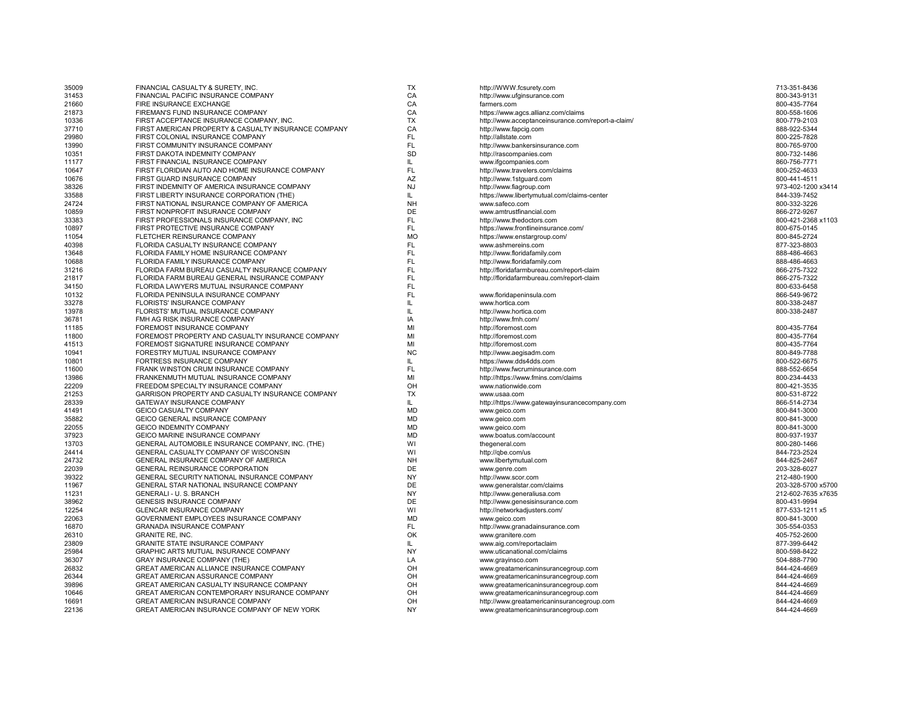| 35009 | FINANCIAL CASUALTY & SURETY, INC                     | TX        | http://WWW.fcsurety.com                            | 713-351-8436       |
|-------|------------------------------------------------------|-----------|----------------------------------------------------|--------------------|
| 31453 | FINANCIAL PACIFIC INSURANCE COMPANY                  | CA        | http://www.ufginsurance.com                        | 800-343-9131       |
| 21660 | FIRE INSURANCE EXCHANGE                              | CA        | farmers.com                                        | 800-435-7764       |
| 21873 | FIREMAN'S FUND INSURANCE COMPANY                     | CA        | https://www.agcs.allianz.com/claims                | 800-558-1606       |
| 10336 | FIRST ACCEPTANCE INSURANCE COMPANY, INC.             | <b>TX</b> | http://www.acceptanceinsurance.com/report-a-claim/ | 800-779-2103       |
| 37710 | FIRST AMERICAN PROPERTY & CASUALTY INSURANCE COMPANY | CA        | http://www.fapcig.com                              | 888-922-5344       |
| 29980 | FIRST COLONIAL INSURANCE COMPANY                     | <b>FL</b> | http://allstate.com                                | 800-225-7828       |
| 13990 | FIRST COMMUNITY INSURANCE COMPANY                    | FL        | http://www.bankersinsurance.com                    | 800-765-9700       |
| 10351 | FIRST DAKOTA INDEMNITY COMPANY                       | SD        | http://rascompanies.com                            | 800-732-1486       |
| 11177 | FIRST FINANCIAL INSURANCE COMPANY                    | IL        | www.ifgcompanies.com                               | 860-756-7771       |
| 10647 | FIRST FLORIDIAN AUTO AND HOME INSURANCE COMPANY      | FL        | http://www.travelers.com/claims                    | 800-252-4633       |
| 10676 | FIRST GUARD INSURANCE COMPANY                        | AZ        | http://www.1stguard.com                            | 800-441-4511       |
| 38326 | FIRST INDEMNITY OF AMERICA INSURANCE COMPANY         | NJ        | http://www.fiagroup.com                            | 973-402-1200 x3414 |
| 33588 | FIRST LIBERTY INSURANCE CORPORATION (THE)            | IL        | https://www.libertymutual.com/claims-center        | 844-339-7452       |
| 24724 | FIRST NATIONAL INSURANCE COMPANY OF AMERICA          | <b>NH</b> | www.safeco.com                                     | 800-332-3226       |
|       | FIRST NONPROFIT INSURANCE COMPANY                    | <b>DE</b> |                                                    | 866-272-9267       |
| 10859 |                                                      | FL        | www.amtrustfinancial.com                           |                    |
| 33383 | FIRST PROFESSIONALS INSURANCE COMPANY, INC           |           | http://www.thedoctors.com                          | 800-421-2368 x1103 |
| 10897 | FIRST PROTECTIVE INSURANCE COMPANY                   | <b>FL</b> | https://www.frontlineinsurance.com/                | 800-675-0145       |
| 11054 | FLETCHER REINSURANCE COMPANY                         | <b>MO</b> | https://www.enstargroup.com/                       | 800-845-2724       |
| 40398 | FLORIDA CASUALTY INSURANCE COMPANY                   | FL        | www.ashmereins.com                                 | 877-323-8803       |
| 13648 | FLORIDA FAMILY HOME INSURANCE COMPANY                | FL        | http://www.floridafamily.com                       | 888-486-4663       |
| 10688 | FLORIDA FAMILY INSURANCE COMPANY                     | FL.       | http://www.floridafamily.com                       | 888-486-4663       |
| 31216 | FLORIDA FARM BUREAU CASUALTY INSURANCE COMPANY       | FL        | http://floridafarmbureau.com/report-claim          | 866-275-7322       |
| 21817 | FLORIDA FARM BUREAU GENERAL INSURANCE COMPANY        | <b>FL</b> | http://floridafarmbureau.com/report-claim          | 866-275-7322       |
| 34150 | FLORIDA LAWYERS MUTUAL INSURANCE COMPANY             | <b>FL</b> |                                                    | 800-633-6458       |
| 10132 | FLORIDA PENINSULA INSURANCE COMPANY                  | FL        | www.floridapeninsula.com                           | 866-549-9672       |
| 33278 | FLORISTS' INSURANCE COMPANY                          | IL        | www.hortica.com                                    | 800-338-2487       |
| 13978 | FLORISTS' MUTUAL INSURANCE COMPANY                   | IL.       | http://www.hortica.com                             | 800-338-2487       |
| 36781 | FMH AG RISK INSURANCE COMPANY                        | IA        | http://www.fmh.com/                                |                    |
| 11185 | FOREMOST INSURANCE COMPANY                           | MI        | http://foremost.com                                | 800-435-7764       |
| 11800 | FOREMOST PROPERTY AND CASUALTY INSURANCE COMPANY     | MI        | http://foremost.com                                | 800-435-7764       |
| 41513 | FOREMOST SIGNATURE INSURANCE COMPANY                 | MI        | http://foremost.com                                | 800-435-7764       |
| 10941 | FORESTRY MUTUAL INSURANCE COMPANY                    | <b>NC</b> | http://www.aegisadm.com                            | 800-849-7788       |
| 10801 | FORTRESS INSURANCE COMPANY                           | IL        | https://www.dds4dds.com                            | 800-522-6675       |
| 11600 | FRANK WINSTON CRUM INSURANCE COMPANY                 | FL        | http://www.fwcruminsurance.com                     | 888-552-6654       |
| 13986 | FRANKENMUTH MUTUAL INSURANCE COMPANY                 | MI        | http://https://www.fmins.com/claims                | 800-234-4433       |
| 22209 | FREEDOM SPECIALTY INSURANCE COMPANY                  | OH        |                                                    | 800-421-3535       |
|       |                                                      | <b>TX</b> | www.nationwide.com                                 | 800-531-8722       |
| 21253 | GARRISON PROPERTY AND CASUALTY INSURANCE COMPANY     |           | www.usaa.com                                       |                    |
| 28339 | GATEWAY INSURANCE COMPANY                            | IL        | http://https://www.gatewayinsurancecompany.com     | 866-514-2734       |
| 41491 | <b>GEICO CASUALTY COMPANY</b>                        | <b>MD</b> | www.geico.com                                      | 800-841-3000       |
| 35882 | GEICO GENERAL INSURANCE COMPANY                      | <b>MD</b> | www.geico.com                                      | 800-841-3000       |
| 22055 | <b>GEICO INDEMNITY COMPANY</b>                       | <b>MD</b> | www.geico.com                                      | 800-841-3000       |
| 37923 | GEICO MARINE INSURANCE COMPANY                       | <b>MD</b> | www.boatus.com/account                             | 800-937-1937       |
| 13703 | GENERAL AUTOMOBILE INSURANCE COMPANY, INC. (THE)     | WI        | thegeneral.com                                     | 800-280-1466       |
| 24414 | GENERAL CASUALTY COMPANY OF WISCONSIN                | WI        | http://qbe.com/us                                  | 844-723-2524       |
| 24732 | GENERAL INSURANCE COMPANY OF AMERICA                 | <b>NH</b> | www.libertymutual.com                              | 844-825-2467       |
| 22039 | GENERAL REINSURANCE CORPORATION                      | <b>DE</b> | www.genre.com                                      | 203-328-6027       |
| 39322 | GENERAL SECURITY NATIONAL INSURANCE COMPANY          | <b>NY</b> | http://www.scor.com                                | 212-480-1900       |
| 11967 | <b>GENERAL STAR NATIONAL INSURANCE COMPANY</b>       | DE        | www.generalstar.com/claims                         | 203-328-5700 x5700 |
| 11231 | GENERALI - U. S. BRANCH                              | <b>NY</b> | http://www.generaliusa.com                         | 212-602-7635 x7635 |
| 38962 | <b>GENESIS INSURANCE COMPANY</b>                     | DE        | http://www.genesisinsurance.com                    | 800-431-9994       |
| 12254 | GLENCAR INSURANCE COMPANY                            | WI        | http://networkadjusters.com/                       | 877-533-1211 x5    |
| 22063 | GOVERNMENT EMPLOYEES INSURANCE COMPANY               | <b>MD</b> | www.geico.com                                      | 800-841-3000       |
| 16870 | <b>GRANADA INSURANCE COMPANY</b>                     | FL        | http://www.granadainsurance.com                    | 305-554-0353       |
| 26310 | <b>GRANITE RE. INC.</b>                              | OK        | www.granitere.com                                  | 405-752-2600       |
| 23809 | GRANITE STATE INSURANCE COMPANY                      | IL        | www.aig.com/reportaclaim                           | 877-399-6442       |
| 25984 | GRAPHIC ARTS MUTUAL INSURANCE COMPANY                | <b>NY</b> |                                                    | 800-598-8422       |
|       |                                                      |           | www.uticanational.com/claims                       |                    |
| 36307 | <b>GRAY INSURANCE COMPANY (THE)</b>                  | LA        | www.grayinsco.com                                  | 504-888-7790       |
| 26832 | GREAT AMERICAN ALLIANCE INSURANCE COMPANY            | OH        | www.greatamericaninsurancegroup.com                | 844-424-4669       |
| 26344 | GREAT AMERICAN ASSURANCE COMPANY                     | OH        | www.greatamericaninsurancegroup.com                | 844-424-4669       |
| 39896 | GREAT AMERICAN CASUALTY INSURANCE COMPANY            | OH        | www.greatamericaninsurancegroup.com                | 844-424-4669       |
| 10646 | GREAT AMERICAN CONTEMPORARY INSURANCE COMPANY        | OH        | www.greatamericaninsurancegroup.com                | 844-424-4669       |
| 16691 | GREAT AMERICAN INSURANCE COMPANY                     | OH        | http://www.greatamericaninsurancegroup.com         | 844-424-4669       |
| 22136 | GREAT AMERICAN INSURANCE COMPANY OF NEW YORK         | <b>NY</b> | www.greatamericaninsurancegroup.com                | 844-424-4669       |
|       |                                                      |           |                                                    |                    |

| tp://WWW.fcsurety.com                            | 713-351-8436      |
|--------------------------------------------------|-------------------|
| tp://www.ufginsurance.com                        | 800-343-9131      |
| rmers.com                                        | 800-435-7764      |
| tps://www.agcs.allianz.com/claims                | 800-558-1606      |
| tp://www.acceptanceinsurance.com/report-a-claim/ | 800-779-2103      |
| tp://www.fapcig.com                              | 888-922-5344      |
| tp://allstate.com                                | 800-225-7828      |
| tp://www.bankersinsurance.com                    | 800-765-9700      |
| tp://rascompanies.com                            | 800-732-1486      |
| ww.ifgcompanies.com                              | 860-756-7771      |
| tp://www.travelers.com/claims                    | 800-252-4633      |
| tp://www.1stquard.com                            | 800-441-4511      |
| tp://www.fiagroup.com                            | 973-402-1200 x341 |
| tps://www.libertymutual.com/claims-center        | 844-339-7452      |
| ww.safeco.com                                    | 800-332-3226      |
| ww.amtrustfinancial.com                          | 866-272-9267      |
| tp://www.thedoctors.com                          | 800-421-2368 x110 |
| tps://www.frontlineinsurance.com/                | 800-675-0145      |
| tps://www.enstargroup.com/                       | 800-845-2724      |
| ww.ashmereins.com                                | 877-323-8803      |
|                                                  |                   |
| tp://www.floridafamily.com                       | 888-486-4663      |
| tp://www.floridafamily.com                       | 888-486-4663      |
| tp://floridafarmbureau.com/report-claim          | 866-275-7322      |
| tp://floridafarmbureau.com/report-claim          | 866-275-7322      |
|                                                  | 800-633-6458      |
| ww.floridapeninsula.com                          | 866-549-9672      |
| ww.hortica.com                                   | 800-338-2487      |
| tp://www.hortica.com                             | 800-338-2487      |
| tp://www.fmh.com/                                |                   |
| tp://foremost.com                                | 800-435-7764      |
| tp://foremost.com                                | 800-435-7764      |
| tp://foremost.com                                | 800-435-7764      |
| tp://www.aegisadm.com                            | 800-849-7788      |
| tps://www.dds4dds.com                            | 800-522-6675      |
| tp://www.fwcruminsurance.com                     | 888-552-6654      |
| tp://https://www.fmins.com/claims                | 800-234-4433      |
| ww.nationwide.com                                | 800-421-3535      |
| ww.usaa.com                                      | 800-531-8722      |
| tp://https://www.gatewayinsurancecompany.com     | 866-514-2734      |
| ww.geico.com                                     | 800-841-3000      |
| ww.geico.com                                     | 800-841-3000      |
| ww.geico.com                                     | 800-841-3000      |
| ww.boatus.com/account                            | 800-937-1937      |
| egeneral.com                                     | 800-280-1466      |
| tp://qbe.com/us                                  | 844-723-2524      |
| ww.libertymutual.com                             | 844-825-2467      |
| ww.genre.com                                     | 203-328-6027      |
| tp://www.scor.com                                | 212-480-1900      |
| ww.generalstar.com/claims                        | 203-328-5700 x570 |
| tp://www.generaliusa.com                         | 212-602-7635 x763 |
| tp://www.genesisinsurance.com                    | 800-431-9994      |
| tp://networkadjusters.com/                       | 877-533-1211 x5   |
| ww.geico.com                                     | 800-841-3000      |
| tp://www.granadainsurance.com                    | 305-554-0353      |
|                                                  | 405-752-2600      |
| ww.granitere.com                                 |                   |
| ww.aig.com/reportaclaim                          | 877-399-6442      |
| ww.uticanational.com/claims                      | 800-598-8422      |
| ww.grayinsco.com                                 | 504-888-7790      |
| ww.greatamericaninsurancegroup.com               | 844-424-4669      |
| ww.greatamericaninsurancegroup.com               | 844-424-4669      |
| ww.greatamericaninsurancegroup.com               | 844-424-4669      |
| ww.greatamericaninsurancegroup.com               | 844-424-4669      |
| tp://www.greatamericaninsurancegroup.com         | 844-424-4669      |
| ww.greatamericaninsurancegroup.com               | 844-424-4669      |
|                                                  |                   |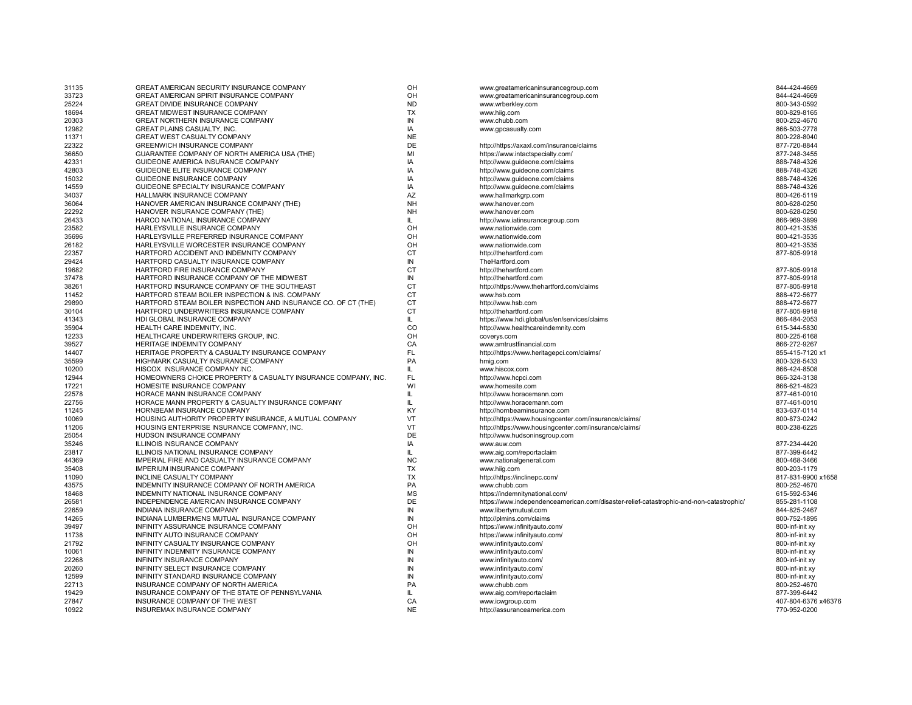| 31135 | GREAT AMERICAN SECURITY INSURANCE COMPANY                      | OH        | www.greatamericaninsurancegroup.com                                                     | 844-424-4669        |
|-------|----------------------------------------------------------------|-----------|-----------------------------------------------------------------------------------------|---------------------|
| 33723 | GREAT AMERICAN SPIRIT INSURANCE COMPANY                        | OH        | www.greatamericaninsurancegroup.com                                                     | 844-424-4669        |
| 25224 | GREAT DIVIDE INSURANCE COMPANY                                 | <b>ND</b> | www.wrberkley.com                                                                       | 800-343-0592        |
| 18694 | GREAT MIDWEST INSURANCE COMPANY                                | <b>TX</b> | www.hiig.com                                                                            | 800-829-8165        |
| 20303 | GREAT NORTHERN INSURANCE COMPANY                               | IN        | www.chubb.com                                                                           | 800-252-4670        |
| 12982 | GREAT PLAINS CASUALTY, INC.                                    | IA        | www.gpcasualty.com                                                                      | 866-503-2778        |
| 11371 | GREAT WEST CASUALTY COMPANY                                    | <b>NE</b> |                                                                                         | 800-228-8040        |
| 22322 | GREENWICH INSURANCE COMPANY                                    | DE        | http://https://axaxl.com/insurance/claims                                               | 877-720-8844        |
| 36650 | GUARANTEE COMPANY OF NORTH AMERICA USA (THE)                   | MI        | https://www.intactspecialty.com/                                                        | 877-248-3455        |
| 42331 | GUIDEONE AMERICA INSURANCE COMPANY                             | IA        | http://www.guideone.com/claims                                                          | 888-748-4326        |
| 42803 | GUIDEONE ELITE INSURANCE COMPANY                               | IA        | http://www.guideone.com/claims                                                          | 888-748-4326        |
| 15032 | GUIDEONE INSURANCE COMPANY                                     | IA        | http://www.guideone.com/claims                                                          | 888-748-4326        |
| 14559 | GUIDEONE SPECIALTY INSURANCE COMPANY                           | IA        | http://www.guideone.com/claims                                                          | 888-748-4326        |
| 34037 | HALLMARK INSURANCE COMPANY                                     | AZ        | www.hallmarkgrp.com                                                                     | 800-426-5119        |
| 36064 | HANOVER AMERICAN INSURANCE COMPANY (THE)                       | <b>NH</b> | www.hanover.com                                                                         | 800-628-0250        |
| 22292 | HANOVER INSURANCE COMPANY (THE)                                | <b>NH</b> | www.hanover.com                                                                         | 800-628-0250        |
| 26433 | HARCO NATIONAL INSURANCE COMPANY                               | IL        | http://www.iatinsurancegroup.com                                                        | 866-969-3899        |
| 23582 | HARLEYSVILLE INSURANCE COMPANY                                 | OH        | www.nationwide.com                                                                      | 800-421-3535        |
| 35696 | HARLEYSVILLE PREFERRED INSURANCE COMPANY                       | OH        | www.nationwide.com                                                                      | 800-421-3535        |
| 26182 | HARLEYSVILLE WORCESTER INSURANCE COMPANY                       | OH        | www.nationwide.com                                                                      | 800-421-3535        |
| 22357 | HARTFORD ACCIDENT AND INDEMNITY COMPANY                        | <b>CT</b> | http://thehartford.com                                                                  | 877-805-9918        |
| 29424 | HARTFORD CASUALTY INSURANCE COMPANY                            | IN        | TheHartford.com                                                                         |                     |
| 19682 | HARTFORD FIRE INSURANCE COMPANY                                | <b>CT</b> | http://thehartford.com                                                                  | 877-805-9918        |
| 37478 | HARTFORD INSURANCE COMPANY OF THE MIDWEST                      | IN        | http://thehartford.com                                                                  | 877-805-9918        |
| 38261 | HARTFORD INSURANCE COMPANY OF THE SOUTHEAST                    | <b>CT</b> | http://https://www.thehartford.com/claims                                               | 877-805-9918        |
| 11452 | HARTFORD STEAM BOILER INSPECTION & INS. COMPANY                | <b>CT</b> | www.hsb.com                                                                             | 888-472-5677        |
| 29890 | HARTFORD STEAM BOILER INSPECTION AND INSURANCE CO. OF CT (THE) | <b>CT</b> | http://www.hsb.com                                                                      | 888-472-5677        |
| 30104 | HARTFORD UNDERWRITERS INSURANCE COMPANY                        | <b>CT</b> | http://thehartford.com                                                                  | 877-805-9918        |
| 41343 | HDI GLOBAL INSURANCE COMPANY                                   | L         | https://www.hdi.global/us/en/services/claims                                            | 866-484-2053        |
| 35904 | HEALTH CARE INDEMNITY, INC.                                    | CO        | http://www.healthcareindemnity.com                                                      | 615-344-5830        |
| 12233 | HEALTHCARE UNDERWRITERS GROUP. INC.                            | OH        | coverys.com                                                                             | 800-225-6168        |
| 39527 | HERITAGE INDEMNITY COMPANY                                     | CA        | www.amtrustfinancial.com                                                                | 866-272-9267        |
| 14407 | HERITAGE PROPERTY & CASUALTY INSURANCE COMPANY                 | FL        | http://https://www.heritagepci.com/claims/                                              | 855-415-7120 x1     |
| 35599 | HIGHMARK CASUALTY INSURANCE COMPANY                            | PA        | hmig.com                                                                                | 800-328-5433        |
| 10200 | HISCOX INSURANCE COMPANY INC.                                  | IL.       | www.hiscox.com                                                                          | 866-424-8508        |
| 12944 | HOMEOWNERS CHOICE PROPERTY & CASUALTY INSURANCE COMPANY, INC.  | <b>FL</b> | http://www.hcpci.com                                                                    | 866-324-3138        |
| 17221 | HOMESITE INSURANCE COMPANY                                     | WI        | www.homesite.com                                                                        | 866-621-4823        |
| 22578 | HORACE MANN INSURANCE COMPANY                                  | L         | http://www.horacemann.com                                                               | 877-461-0010        |
| 22756 | HORACE MANN PROPERTY & CASUALTY INSURANCE COMPANY              | IL.       | http://www.horacemann.com                                                               | 877-461-0010        |
| 11245 | HORNBEAM INSURANCE COMPANY                                     | KY        | http://hornbeaminsurance.com                                                            | 833-637-0114        |
| 10069 | HOUSING AUTHORITY PROPERTY INSURANCE, A MUTUAL COMPANY         | VT        | http://https://www.housingcenter.com/insurance/claims/                                  | 800-873-0242        |
| 11206 | HOUSING ENTERPRISE INSURANCE COMPANY, INC.                     | VT        | http://https://www.housingcenter.com/insurance/claims/                                  | 800-238-6225        |
| 25054 | HUDSON INSURANCE COMPANY                                       | DE        | http://www.hudsoninsgroup.com                                                           |                     |
| 35246 | ILLINOIS INSURANCE COMPANY                                     | IA        | www.auw.com                                                                             | 877-234-4420        |
| 23817 | ILLINOIS NATIONAL INSURANCE COMPANY                            | IL.       | www.aig.com/reportaclaim                                                                | 877-399-6442        |
| 44369 | IMPERIAL FIRE AND CASUALTY INSURANCE COMPANY                   | <b>NC</b> | www.nationalgeneral.com                                                                 | 800-468-3466        |
| 35408 | IMPERIUM INSURANCE COMPANY                                     | <b>TX</b> | www.hiig.com                                                                            | 800-203-1179        |
| 11090 | INCLINE CASUALTY COMPANY                                       | <b>TX</b> | http://https://inclinepc.com/                                                           | 817-831-9900 x1658  |
| 43575 | INDEMNITY INSURANCE COMPANY OF NORTH AMERICA                   | PA        | www.chubb.com                                                                           | 800-252-4670        |
| 18468 | INDEMNITY NATIONAL INSURANCE COMPANY                           | <b>MS</b> | https://indemnitynational.com/                                                          | 615-592-5346        |
| 26581 | INDEPENDENCE AMERICAN INSURANCE COMPANY                        | DE        | https://www.independenceamerican.com/disaster-relief-catastrophic-and-non-catastrophic/ | 855-281-1108        |
| 22659 | INDIANA INSURANCE COMPANY                                      | IN        | www.libertymutual.com                                                                   | 844-825-2467        |
| 14265 | INDIANA LUMBERMENS MUTUAL INSURANCE COMPANY                    | IN        | http://plmins.com/claims                                                                | 800-752-1895        |
| 39497 | INFINITY ASSURANCE INSURANCE COMPANY                           | OH        | https://www.infinityauto.com/                                                           | 800-inf-init xy     |
| 11738 | INFINITY AUTO INSURANCE COMPANY                                | OH        | https://www.infinityauto.com/                                                           | 800-inf-init xy     |
| 21792 | INFINITY CASUALTY INSURANCE COMPANY                            | OH        | www.infinityauto.com/                                                                   | 800-inf-init xy     |
| 10061 | INFINITY INDEMNITY INSURANCE COMPANY                           | IN        | www.infinityauto.com/                                                                   | 800-inf-init xy     |
| 22268 | INFINITY INSURANCE COMPANY                                     | IN        | www.infinityauto.com/                                                                   | 800-inf-init xy     |
| 20260 | INFINITY SELECT INSURANCE COMPANY                              | IN        | www.infinityauto.com/                                                                   | 800-inf-init xy     |
| 12599 | INFINITY STANDARD INSURANCE COMPANY                            | IN        | www.infinityauto.com/                                                                   | 800-inf-init xy     |
| 22713 | INSURANCE COMPANY OF NORTH AMERICA                             | PA        | www.chubb.com                                                                           | 800-252-4670        |
| 19429 | INSURANCE COMPANY OF THE STATE OF PENNSYLVANIA                 | IL        | www.aig.com/reportaclaim                                                                | 877-399-6442        |
| 27847 | INSURANCE COMPANY OF THE WEST                                  | CA        | www.icwgroup.com                                                                        | 407-804-6376 x46376 |
| 10922 | INSUREMAX INSURANCE COMPANY                                    | <b>NE</b> | http://assuranceamerica.com                                                             | 770-952-0200        |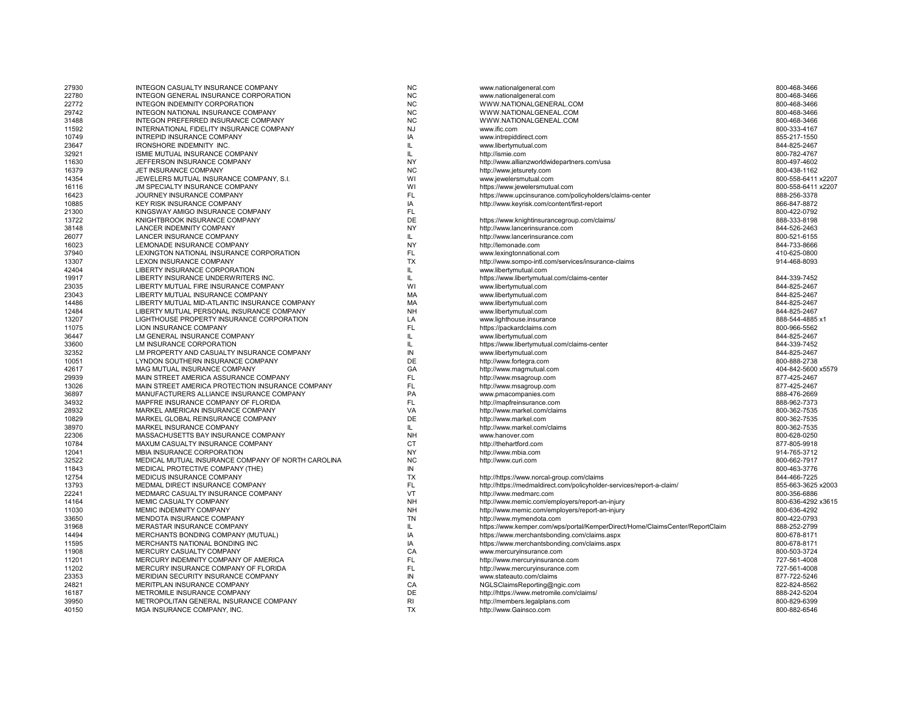| 27930 | INTEGON CASUALTY INSURANCE COMPANY                 | <b>NC</b> | www.nationalgeneral.com                                                      | 800-468-3466       |
|-------|----------------------------------------------------|-----------|------------------------------------------------------------------------------|--------------------|
| 22780 | INTEGON GENERAL INSURANCE CORPORATION              | <b>NC</b> | www.nationalgeneral.com                                                      | 800-468-3466       |
| 22772 | INTEGON INDEMNITY CORPORATION                      | <b>NC</b> | WWW.NATIONALGENERAL.COM                                                      | 800-468-3466       |
| 29742 | INTEGON NATIONAL INSURANCE COMPANY                 | <b>NC</b> | WWW.NATIONALGENEAL.COM                                                       | 800-468-3466       |
| 31488 | INTEGON PREFERRED INSURANCE COMPANY                | <b>NC</b> | WWW.NATIONALGENEAL.COM                                                       | 800-468-3466       |
| 11592 | INTERNATIONAL FIDELITY INSURANCE COMPANY           | <b>NJ</b> | www.ific.com                                                                 | 800-333-4167       |
| 10749 | INTREPID INSURANCE COMPANY                         | IA        | www.intrepiddirect.com                                                       | 855-217-1550       |
| 23647 | IRONSHORE INDEMNITY INC.                           | IL        |                                                                              | 844-825-2467       |
|       | ISMIE MUTUAL INSURANCE COMPANY                     | IL.       | www.libertymutual.com<br>http://ismie.com                                    | 800-782-4767       |
| 32921 |                                                    |           |                                                                              |                    |
| 11630 | JEFFERSON INSURANCE COMPANY                        | <b>NY</b> | http://www.allianzworldwidepartners.com/usa                                  | 800-497-4602       |
| 16379 | JET INSURANCE COMPANY                              | <b>NC</b> | http://www.jetsurety.com                                                     | 800-438-1162       |
| 14354 | JEWELERS MUTUAL INSURANCE COMPANY, S.I.            | WI        | www.jewelersmutual.com                                                       | 800-558-6411 x2207 |
| 16116 | JM SPECIALTY INSURANCE COMPANY                     | WI        | https://www.jewelersmutual.com                                               | 800-558-6411 x2207 |
| 16423 | JOURNEY INSURANCE COMPANY                          | <b>FL</b> | https://www.upcinsurance.com/policyholders/claims-center                     | 888-256-3378       |
| 10885 | KEY RISK INSURANCE COMPANY                         | IA        | http://www.keyrisk.com/content/first-report                                  | 866-847-8872       |
| 21300 | KINGSWAY AMIGO INSURANCE COMPANY                   | FL.       |                                                                              | 800-422-0792       |
| 13722 | KNIGHTBROOK INSURANCE COMPANY                      | DE        | https://www.knightinsurancegroup.com/claims/                                 | 888-333-8198       |
| 38148 | LANCER INDEMNITY COMPANY                           | <b>NY</b> | http://www.lancerinsurance.com                                               | 844-526-2463       |
| 26077 | LANCER INSURANCE COMPANY                           | IL.       | http://www.lancerinsurance.com                                               | 800-521-6155       |
| 16023 | LEMONADE INSURANCE COMPANY                         | <b>NY</b> | http://lemonade.com                                                          | 844-733-8666       |
| 37940 | LEXINGTON NATIONAL INSURANCE CORPORATION           | FL        | www.lexingtonnational.com                                                    | 410-625-0800       |
| 13307 | LEXON INSURANCE COMPANY                            | <b>TX</b> |                                                                              | 914-468-8093       |
|       |                                                    |           | http://www.sompo-intl.com/services/insurance-claims                          |                    |
| 42404 | LIBERTY INSURANCE CORPORATION                      | IL.       | www.libertymutual.com                                                        |                    |
| 19917 | LIBERTY INSURANCE UNDERWRITERS INC.                | IL.       | https://www.libertymutual.com/claims-center                                  | 844-339-7452       |
| 23035 | LIBERTY MUTUAL FIRE INSURANCE COMPANY              | WI        | www.libertymutual.com                                                        | 844-825-2467       |
| 23043 | LIBERTY MUTUAL INSURANCE COMPANY                   | MA        | www.libertymutual.com                                                        | 844-825-2467       |
| 14486 | LIBERTY MUTUAL MID-ATLANTIC INSURANCE COMPANY      | MA        | www.libertymutual.com                                                        | 844-825-2467       |
| 12484 | LIBERTY MUTUAL PERSONAL INSURANCE COMPANY          | <b>NH</b> | www.libertymutual.com                                                        | 844-825-2467       |
| 13207 | LIGHTHOUSE PROPERTY INSURANCE CORPORATION          | LA        | www.lighthouse.insurance                                                     | 888-544-4885 x1    |
| 11075 | LION INSURANCE COMPANY                             | FL        | https://packardclaims.com                                                    | 800-966-5562       |
| 36447 | LM GENERAL INSURANCE COMPANY                       | IL.       | www.libertymutual.com                                                        | 844-825-2467       |
| 33600 | LM INSURANCE CORPORATION                           | IL.       | https://www.libertymutual.com/claims-center                                  | 844-339-7452       |
| 32352 | LM PROPERTY AND CASUALTY INSURANCE COMPANY         | IN        | www.libertymutual.com                                                        | 844-825-2467       |
| 10051 | LYNDON SOUTHERN INSURANCE COMPANY                  | DE        | http://www.fortegra.com                                                      | 800-888-2738       |
| 42617 | MAG MUTUAL INSURANCE COMPANY                       | GA        | http://www.magmutual.com                                                     | 404-842-5600 x5579 |
| 29939 | MAIN STREET AMERICA ASSURANCE COMPANY              | <b>FL</b> | http://www.msagroup.com                                                      | 877-425-2467       |
| 13026 | MAIN STREET AMERICA PROTECTION INSURANCE COMPANY   | <b>FL</b> | http://www.msagroup.com                                                      | 877-425-2467       |
| 36897 | MANUFACTURERS ALLIANCE INSURANCE COMPANY           | PA        | www.pmacompanies.com                                                         | 888-476-2669       |
| 34932 | MAPFRE INSURANCE COMPANY OF FLORIDA                | FL        | http://mapfreinsurance.com                                                   | 888-962-7373       |
|       |                                                    | VA        |                                                                              |                    |
| 28932 | MARKEL AMERICAN INSURANCE COMPANY                  |           | http://www.markel.com/claims                                                 | 800-362-7535       |
| 10829 | MARKEL GLOBAL REINSURANCE COMPANY                  | DE        | http://www.markel.com                                                        | 800-362-7535       |
| 38970 | MARKEL INSURANCE COMPANY                           | IL.       | http://www.markel.com/claims                                                 | 800-362-7535       |
| 22306 | MASSACHUSETTS BAY INSURANCE COMPANY                | <b>NH</b> | www.hanover.com                                                              | 800-628-0250       |
| 10784 | MAXUM CASUALTY INSURANCE COMPANY                   | <b>CT</b> | http://thehartford.com                                                       | 877-805-9918       |
| 12041 | MBIA INSURANCE CORPORATION                         | <b>NY</b> | http://www.mbia.com                                                          | 914-765-3712       |
| 32522 | MEDICAL MUTUAL INSURANCE COMPANY OF NORTH CAROLINA | <b>NC</b> | http://www.curi.com                                                          | 800-662-7917       |
| 11843 | MEDICAL PROTECTIVE COMPANY (THE)                   | IN        |                                                                              | 800-463-3776       |
| 12754 | MEDICUS INSURANCE COMPANY                          | <b>TX</b> | http://https://www.norcal-group.com/claims                                   | 844-466-7225       |
| 13793 | MEDMAL DIRECT INSURANCE COMPANY                    | FL        | http://https://medmaldirect.com/policyholder-services/report-a-claim/        | 855-663-3625 x2003 |
| 22241 | MEDMARC CASUALTY INSURANCE COMPANY                 | VT        | http://www.medmarc.com                                                       | 800-356-6886       |
| 14164 | MEMIC CASUALTY COMPANY                             | <b>NH</b> | http://www.memic.com/employers/report-an-injury                              | 800-636-4292 x3615 |
| 11030 | MEMIC INDEMNITY COMPANY                            | <b>NH</b> | http://www.memic.com/employers/report-an-injury                              | 800-636-4292       |
| 33650 | MENDOTA INSURANCE COMPANY                          | <b>TN</b> | http://www.mymendota.com                                                     | 800-422-0793       |
| 31968 | MERASTAR INSURANCE COMPANY                         | IL        | https://www.kemper.com/wps/portal/KemperDirect/Home/ClaimsCenter/ReportClaim | 888-252-2799       |
| 14494 | MERCHANTS BONDING COMPANY (MUTUAL)                 | IA        | https://www.merchantsbonding.com/claims.aspx                                 | 800-678-8171       |
|       |                                                    | IA        |                                                                              |                    |
| 11595 | MERCHANTS NATIONAL BONDING INC                     |           | https://www.merchantsbonding.com/claims.aspx                                 | 800-678-8171       |
| 11908 | MERCURY CASUALTY COMPANY                           | CA        | www.mercuryinsurance.com                                                     | 800-503-3724       |
| 11201 | MERCURY INDEMNITY COMPANY OF AMERICA               | FL        | http://www.mercuryinsurance.com                                              | 727-561-4008       |
| 11202 | MERCURY INSURANCE COMPANY OF FLORIDA               | FL        | http://www.mercuryinsurance.com                                              | 727-561-4008       |
| 23353 | MERIDIAN SECURITY INSURANCE COMPANY                | IN        | www.stateauto.com/claims                                                     | 877-722-5246       |
| 24821 | MERITPLAN INSURANCE COMPANY                        | CA        | NGLSClaimsReporting@ngic.com                                                 | 822-824-8562       |
| 16187 | METROMILE INSURANCE COMPANY                        | DE        | http://https://www.metromile.com/claims/                                     | 888-242-5204       |
| 39950 | METROPOLITAN GENERAL INSURANCE COMPANY             | RI        | http://members.legalplans.com                                                | 800-829-6399       |
| 40150 | MGA INSURANCE COMPANY, INC.                        | <b>TX</b> | http://www.Gainsco.com                                                       | 800-882-6546       |
|       |                                                    |           |                                                                              |                    |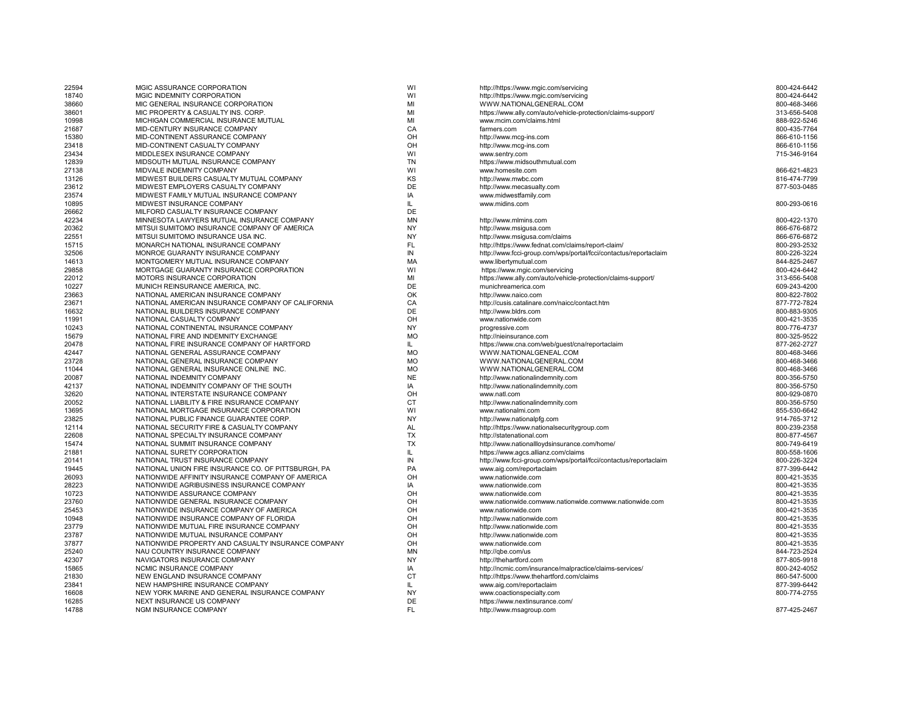| 22594          | MGIC ASSURANCE CORPORATION                          | WI        | http://https://www.mgic.com/servicing                                             | 800-424-6442 |
|----------------|-----------------------------------------------------|-----------|-----------------------------------------------------------------------------------|--------------|
| 18740          | MGIC INDEMNITY CORPORATION                          | WI        | http://https://www.mgic.com/servicing                                             | 800-424-6442 |
| 38660          | MIC GENERAL INSURANCE CORPORATION                   | MI        | WWW.NATIONALGENERAL.COM                                                           | 800-468-3466 |
| 38601          | MIC PROPERTY & CASUALTY INS. CORP.                  | MI        | https://www.ally.com/auto/vehicle-protection/claims-support/                      | 313-656-5408 |
| 10998          | MICHIGAN COMMERCIAL INSURANCE MUTUAL                | MI        | www.mcim.com/claims.html                                                          | 888-922-5246 |
| 21687          | MID-CENTURY INSURANCE COMPANY                       | CA        | farmers.com                                                                       | 800-435-7764 |
| 15380          | MID-CONTINENT ASSURANCE COMPANY                     | OH        | http://www.mcg-ins.com                                                            | 866-610-1156 |
| 23418          | MID-CONTINENT CASUALTY COMPANY                      | OH        | http://www.mcg-ins.com                                                            | 866-610-1156 |
| 23434          | MIDDLESEX INSURANCE COMPANY                         | WI        | www.sentry.com                                                                    | 715-346-9164 |
| 12839          | MIDSOUTH MUTUAL INSURANCE COMPANY                   | <b>TN</b> | https://www.midsouthmutual.com                                                    |              |
| 27138          | MIDVALE INDEMNITY COMPANY                           | WI        | www.homesite.com                                                                  | 866-621-4823 |
| 13126          | MIDWEST BUILDERS CASUALTY MUTUAL COMPANY            | KS        | http://www.mwbc.com                                                               | 816-474-7799 |
| 23612          | MIDWEST EMPLOYERS CASUALTY COMPANY                  | DE        | http://www.mecasualty.com                                                         | 877-503-0485 |
| 23574          | MIDWEST FAMILY MUTUAL INSURANCE COMPANY             | IA        | www.midwestfamily.com                                                             |              |
| 10895          | MIDWEST INSURANCE COMPANY                           | IL        | www.midins.com                                                                    | 800-293-0616 |
| 26662          | MILFORD CASUALTY INSURANCE COMPANY                  | DE        |                                                                                   |              |
| 42234          | MINNESOTA LAWYERS MUTUAL INSURANCE COMPANY          | <b>MN</b> | http://www.mlmins.com                                                             | 800-422-1370 |
| 20362          | MITSUI SUMITOMO INSURANCE COMPANY OF AMERICA        | <b>NY</b> | http://www.msigusa.com                                                            | 866-676-6872 |
| 22551          | MITSUI SUMITOMO INSURANCE USA INC.                  | <b>NY</b> | http://www.msigusa.com/claims                                                     | 866-676-6872 |
| 15715          | MONARCH NATIONAL INSURANCE COMPANY                  | FL        | http://https://www.fednat.com/claims/report-claim/                                | 800-293-2532 |
| 32506          | MONROE GUARANTY INSURANCE COMPANY                   | IN        | http://www.fcci-group.com/wps/portal/fcci/contactus/reportaclaim                  | 800-226-3224 |
| 14613          | MONTGOMERY MUTUAL INSURANCE COMPANY                 | MA        | www.libertymutual.com                                                             | 844-825-2467 |
| 29858          | MORTGAGE GUARANTY INSURANCE CORPORATION             | WI        | https://www.mgic.com/servicing                                                    | 800-424-6442 |
| 22012          | MOTORS INSURANCE CORPORATION                        | MI        | https://www.ally.com/auto/vehicle-protection/claims-support/                      | 313-656-5408 |
| 10227          | MUNICH REINSURANCE AMERICA, INC.                    | DE        | munichreamerica.com                                                               | 609-243-4200 |
| 23663          | NATIONAL AMERICAN INSURANCE COMPANY                 | OK        | http://www.naico.com                                                              | 800-822-7802 |
| 23671          | NATIONAL AMERICAN INSURANCE COMPANY OF CALIFORNIA   | CA        | http://cusis.catalinare.com/naicc/contact.htm                                     | 877-772-7824 |
| 16632          | NATIONAL BUILDERS INSURANCE COMPANY                 | DE        | http://www.bldrs.com                                                              | 800-883-9305 |
| 11991          | NATIONAL CASUALTY COMPANY                           | OH        | www.nationwide.com                                                                | 800-421-3535 |
| 10243          | NATIONAL CONTINENTAL INSURANCE COMPANY              | NY        | progressive.com                                                                   | 800-776-4737 |
| 15679          | NATIONAL FIRE AND INDEMNITY EXCHANGE                | <b>MO</b> | http://nieinsurance.com                                                           | 800-325-9522 |
| 20478          | NATIONAL FIRE INSURANCE COMPANY OF HARTFORD         | IL.       | https://www.cna.com/web/quest/cna/reportaclaim                                    | 877-262-2727 |
| 42447          | NATIONAL GENERAL ASSURANCE COMPANY                  | <b>MO</b> | WWW.NATIONALGENEAL.COM                                                            | 800-468-3466 |
| 23728          | NATIONAL GENERAL INSURANCE COMPANY                  | <b>MO</b> | WWW.NATIONALGENERAL.COM                                                           | 800-468-3466 |
| 11044          | NATIONAL GENERAL INSURANCE ONLINE INC.              | <b>MO</b> | WWW.NATIONALGENERAL.COM                                                           | 800-468-3466 |
| 20087          | NATIONAL INDEMNITY COMPANY                          | <b>NE</b> | http://www.nationalindemnity.com                                                  | 800-356-5750 |
| 42137          | NATIONAL INDEMNITY COMPANY OF THE SOUTH             | IA        | http://www.nationalindemnity.com                                                  | 800-356-5750 |
| 32620          | NATIONAL INTERSTATE INSURANCE COMPANY               | OH        | www.natl.com                                                                      | 800-929-0870 |
| 20052          | NATIONAL LIABILITY & FIRE INSURANCE COMPANY         | СT        | http://www.nationalindemnity.com                                                  | 800-356-5750 |
| 13695          | NATIONAL MORTGAGE INSURANCE CORPORATION             | WI        | www.nationalmi.com                                                                | 855-530-6642 |
| 23825          | NATIONAL PUBLIC FINANCE GUARANTEE CORP.             | <b>NY</b> | http://www.nationalpfg.com                                                        | 914-765-3712 |
| 12114          | NATIONAL SECURITY FIRE & CASUALTY COMPANY           | <b>AL</b> | http://https://www.nationalsecuritygroup.com                                      | 800-239-2358 |
| 22608          | NATIONAL SPECIALTY INSURANCE COMPANY                | TX        | http://statenational.com                                                          | 800-877-4567 |
| 15474          | NATIONAL SUMMIT INSURANCE COMPANY                   | <b>TX</b> | http://www.nationallloydsinsurance.com/home/                                      | 800-749-6419 |
| 21881          | NATIONAL SURETY CORPORATION                         | IL        | https://www.agcs.allianz.com/claims                                               | 800-558-1606 |
| 20141          | NATIONAL TRUST INSURANCE COMPANY                    | IN        | http://www.fcci-group.com/wps/portal/fcci/contactus/reportaclaim                  | 800-226-3224 |
| 19445          | NATIONAL UNION FIRE INSURANCE CO. OF PITTSBURGH, PA | PA        | www.aig.com/reportaclaim                                                          | 877-399-6442 |
| 26093          | NATIONWIDE AFFINITY INSURANCE COMPANY OF AMERICA    | OH        | www.nationwide.com                                                                | 800-421-3535 |
| 28223          | NATIONWIDE AGRIBUSINESS INSURANCE COMPANY           | IA        | www.nationwide.com                                                                | 800-421-3535 |
| 10723          | NATIONWIDE ASSURANCE COMPANY                        | OH        | www.nationwide.com                                                                | 800-421-3535 |
| 23760          | NATIONWIDE GENERAL INSURANCE COMPANY                | OH        | www.nationwide.comwww.nationwide.comwww.nationwide.com                            | 800-421-3535 |
| 25453          | NATIONWIDE INSURANCE COMPANY OF AMERICA             | OH        | www.nationwide.com                                                                | 800-421-3535 |
| 10948          | NATIONWIDE INSURANCE COMPANY OF FLORIDA             | OH        | http://www.nationwide.com                                                         | 800-421-3535 |
| 23779          | NATIONWIDE MUTUAL FIRE INSURANCE COMPANY            | OH        | http://www.nationwide.com                                                         | 800-421-3535 |
| 23787          | NATIONWIDE MUTUAL INSURANCE COMPANY                 | OH        | http://www.nationwide.com                                                         | 800-421-3535 |
| 37877          | NATIONWIDE PROPERTY AND CASUALTY INSURANCE COMPANY  | OH        | www.nationwide.com                                                                | 800-421-3535 |
| 25240          | NAU COUNTRY INSURANCE COMPANY                       | <b>MN</b> |                                                                                   | 844-723-2524 |
| 42307          | NAVIGATORS INSURANCE COMPANY                        | NY        | http://qbe.com/us                                                                 | 877-805-9918 |
| 15865          | NCMIC INSURANCE COMPANY                             | IA        | http://thehartford.com<br>http://ncmic.com/insurance/malpractice/claims-services/ | 800-242-4052 |
| 21830          | NEW ENGLAND INSURANCE COMPANY                       | СT        | http://https://www.thehartford.com/claims                                         | 860-547-5000 |
|                | NEW HAMPSHIRE INSURANCE COMPANY                     | IL        |                                                                                   | 877-399-6442 |
| 23841<br>16608 | NEW YORK MARINE AND GENERAL INSURANCE COMPANY       | <b>NY</b> | www.aig.com/reportaclaim                                                          | 800-774-2755 |
| 16285          | NEXT INSURANCE US COMPANY                           | DE        | www.coactionspecialty.com<br>https://www.nextinsurance.com/                       |              |
|                |                                                     | <b>FL</b> |                                                                                   | 877-425-2467 |
| 14788          | NGM INSURANCE COMPANY                               |           | http://www.msagroup.com                                                           |              |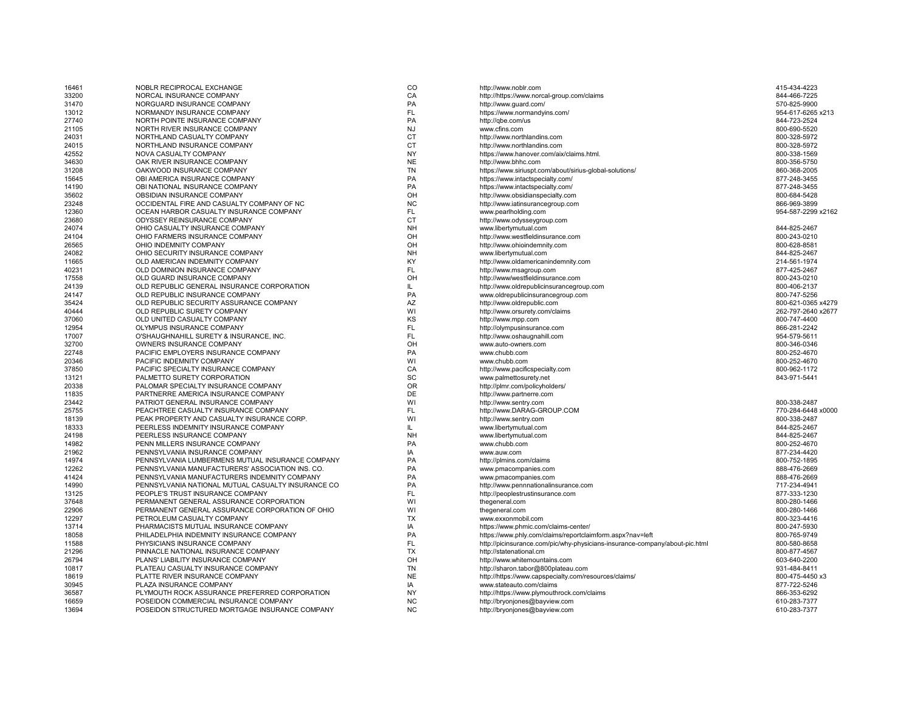| 16461 | NOBLR RECIPROCAL EXCHANGE                          | $_{\rm CO}$ | http://www.noblr.com                                                        | 415-434-4223       |
|-------|----------------------------------------------------|-------------|-----------------------------------------------------------------------------|--------------------|
| 33200 | NORCAL INSURANCE COMPANY                           | CA          | http://https://www.norcal-group.com/claims                                  | 844-466-7225       |
| 31470 | NORGUARD INSURANCE COMPANY                         | PA          | http://www.quard.com/                                                       | 570-825-9900       |
| 13012 | NORMANDY INSURANCE COMPANY                         | FL.         | https://www.normandyins.com/                                                | 954-617-6265 x213  |
| 27740 | NORTH POINTE INSURANCE COMPANY                     | PA          | http://qbe.com/us                                                           | 844-723-2524       |
| 21105 | NORTH RIVER INSURANCE COMPANY                      | <b>NJ</b>   | www.cfins.com                                                               | 800-690-5520       |
| 24031 | NORTHLAND CASUALTY COMPANY                         | <b>CT</b>   | http://www.northlandins.com                                                 | 800-328-5972       |
| 24015 | NORTHLAND INSURANCE COMPANY                        | <b>CT</b>   | http://www.northlandins.com                                                 | 800-328-5972       |
| 42552 | NOVA CASUALTY COMPANY                              | NY          | https://www.hanover.com/aix/claims.html.                                    | 800-338-1569       |
| 34630 | OAK RIVER INSURANCE COMPANY                        | <b>NE</b>   | http://www.bhhc.com                                                         | 800-356-5750       |
| 31208 | OAKWOOD INSURANCE COMPANY                          | <b>TN</b>   | https://www.siriuspt.com/about/sirius-global-solutions/                     | 860-368-2005       |
| 15645 | OBI AMERICA INSURANCE COMPANY                      | PA          | https://www.intactspecialty.com/                                            | 877-248-3455       |
| 14190 | OBI NATIONAL INSURANCE COMPANY                     | PA          | https://www.intactspecialty.com/                                            | 877-248-3455       |
| 35602 | OBSIDIAN INSURANCE COMPANY                         | OH          | http://www.obsidianspecialty.com                                            | 800-684-5428       |
| 23248 | OCCIDENTAL FIRE AND CASUALTY COMPANY OF NC         | <b>NC</b>   | http://www.iatinsurancegroup.com                                            | 866-969-3899       |
| 12360 | OCEAN HARBOR CASUALTY INSURANCE COMPANY            | FL.         | www.pearlholding.com                                                        | 954-587-2299 x2162 |
| 23680 | ODYSSEY REINSURANCE COMPANY                        | <b>CT</b>   | http://www.odysseygroup.com                                                 |                    |
| 24074 | OHIO CASUALTY INSURANCE COMPANY                    | <b>NH</b>   | www.libertymutual.com                                                       | 844-825-2467       |
| 24104 | OHIO FARMERS INSURANCE COMPANY                     | OH          | http://www.westfieldinsurance.com                                           | 800-243-0210       |
| 26565 | OHIO INDEMNITY COMPANY                             | OH          | http://www.ohioindemnity.com                                                | 800-628-8581       |
| 24082 | OHIO SECURITY INSURANCE COMPANY                    | <b>NH</b>   | www.libertymutual.com                                                       | 844-825-2467       |
| 11665 | OLD AMERICAN INDEMNITY COMPANY                     | KY          | http://www.oldamericanindemnity.com                                         | 214-561-1974       |
| 40231 | OLD DOMINION INSURANCE COMPANY                     | FL.         | http://www.msagroup.com                                                     | 877-425-2467       |
| 17558 | OLD GUARD INSURANCE COMPANY                        | OH          | http://www/westfieldinsurance.com                                           | 800-243-0210       |
| 24139 | OLD REPUBLIC GENERAL INSURANCE CORPORATION         | IL          | http://www.oldrepublicinsurancegroup.com                                    | 800-406-2137       |
| 24147 | OLD REPUBLIC INSURANCE COMPANY                     | PA          | www.oldrepublicinsurancegroup.com                                           | 800-747-5256       |
| 35424 | OLD REPUBLIC SECURITY ASSURANCE COMPANY            | AZ          | http://www.oldrepublic.com                                                  | 800-621-0365 x4279 |
| 40444 | OLD REPUBLIC SURETY COMPANY                        | WI          | http://www.orsurety.com/claims                                              | 262-797-2640 x2677 |
| 37060 | OLD UNITED CASUALTY COMPANY                        | KS          | http://www.mpp.com                                                          | 800-747-4400       |
| 12954 | OLYMPUS INSURANCE COMPANY                          | FL.         | http://olympusinsurance.com                                                 | 866-281-2242       |
| 17007 | O'SHAUGHNAHILL SURETY & INSURANCE, INC.            | <b>FL</b>   | http://www.oshaugnahill.com                                                 | 954-579-5611       |
| 32700 | OWNERS INSURANCE COMPANY                           | OH          | www.auto-owners.com                                                         | 800-346-0346       |
| 22748 | PACIFIC EMPLOYERS INSURANCE COMPANY                | PA          | www.chubb.com                                                               | 800-252-4670       |
| 20346 | PACIFIC INDEMNITY COMPANY                          | WI          | www.chubb.com                                                               | 800-252-4670       |
| 37850 | PACIFIC SPECIALTY INSURANCE COMPANY                | CA          | http://www.pacificspecialty.com                                             | 800-962-1172       |
| 13121 | PALMETTO SURETY CORPORATION                        | SC          | www.palmettosurety.net                                                      | 843-971-5441       |
| 20338 | PALOMAR SPECIALTY INSURANCE COMPANY                | <b>OR</b>   | http://plmr.com/policyholders/                                              |                    |
| 11835 | PARTNERRE AMERICA INSURANCE COMPANY                | DE          | http://www.partnerre.com                                                    |                    |
| 23442 | PATRIOT GENERAL INSURANCE COMPANY                  | WI          | http://www.sentry.com                                                       | 800-338-2487       |
| 25755 | PEACHTREE CASUALTY INSURANCE COMPANY               | FL.         | http://www.DARAG-GROUP.COM                                                  | 770-284-6448 x0000 |
| 18139 | PEAK PROPERTY AND CASUALTY INSURANCE CORP.         | WI          | http://www.sentry.com                                                       | 800-338-2487       |
| 18333 | PEERLESS INDEMNITY INSURANCE COMPANY               | IL.         | www.libertymutual.com                                                       | 844-825-2467       |
| 24198 | PEERLESS INSURANCE COMPANY                         | <b>NH</b>   | www.libertymutual.com                                                       | 844-825-2467       |
| 14982 | PENN MILLERS INSURANCE COMPANY                     | PA          | www.chubb.com                                                               | 800-252-4670       |
| 21962 | PENNSYLVANIA INSURANCE COMPANY                     | IA          | www.auw.com                                                                 | 877-234-4420       |
| 14974 | PENNSYLVANIA LUMBERMENS MUTUAL INSURANCE COMPANY   | PA          | http://plmins.com/claims                                                    | 800-752-1895       |
| 12262 | PENNSYLVANIA MANUFACTURERS' ASSOCIATION INS. CO.   | PA          | www.pmacompanies.com                                                        | 888-476-2669       |
| 41424 | PENNSYLVANIA MANUFACTURERS INDEMNITY COMPANY       | PA          | www.pmacompanies.com                                                        | 888-476-2669       |
| 14990 | PENNSYLVANIA NATIONAL MUTUAL CASUALTY INSURANCE CO | PA          | http://www.pennnationalinsurance.com                                        | 717-234-4941       |
| 13125 | PEOPLE'S TRUST INSURANCE COMPANY                   | FL.         | http://peoplestrustinsurance.com                                            | 877-333-1230       |
| 37648 | PERMANENT GENERAL ASSURANCE CORPORATION            | WI          | thegeneral.com                                                              | 800-280-1466       |
| 22906 | PERMANENT GENERAL ASSURANCE CORPORATION OF OHIO    | WI          | thegeneral.com                                                              | 800-280-1466       |
| 12297 | PETROLEUM CASUALTY COMPANY                         | TX          | www.exxonmobil.com                                                          | 800-323-4416       |
| 13714 | PHARMACISTS MUTUAL INSURANCE COMPANY               | IA          | https://www.phmic.com/claims-center/                                        | 800-247-5930       |
| 18058 | PHILADELPHIA INDEMNITY INSURANCE COMPANY           | PA          | https://www.phly.com/claims/reportclaimform.aspx?nav=left                   | 800-765-9749       |
| 11588 | PHYSICIANS INSURANCE COMPANY                       | <b>FL</b>   | http://picinsurance.com/pic/why-physicians-insurance-company/about-pic.html | 800-580-8658       |
| 21296 | PINNACLE NATIONAL INSURANCE COMPANY                | <b>TX</b>   | http://statenational.cm                                                     | 800-877-4567       |
| 26794 | PLANS' LIABILITY INSURANCE COMPANY                 | OH          | http://www.whitemountains.com                                               | 603-640-2200       |
| 10817 | PLATEAU CASUALTY INSURANCE COMPANY                 | <b>TN</b>   | http://sharon.tabor@800plateau.com                                          | 931-484-8411       |
| 18619 | PLATTE RIVER INSURANCE COMPANY                     | <b>NE</b>   | http://https://www.capspecialty.com/resources/claims/                       | 800-475-4450 x3    |
| 30945 | PLAZA INSURANCE COMPANY                            | IA          | www.stateauto.com/claims                                                    | 877-722-5246       |
| 36587 | PLYMOUTH ROCK ASSURANCE PREFERRED CORPORATION      | <b>NY</b>   | http://https://www.plymouthrock.com/claims                                  | 866-353-6292       |
| 16659 | POSEIDON COMMERCIAL INSURANCE COMPANY              | <b>NC</b>   | http://bryonjones@bayview.com                                               | 610-283-7377       |
| 13694 | POSEIDON STRUCTURED MORTGAGE INSURANCE COMPANY     | <b>NC</b>   | http://bryonjones@bayview.com                                               | 610-283-7377       |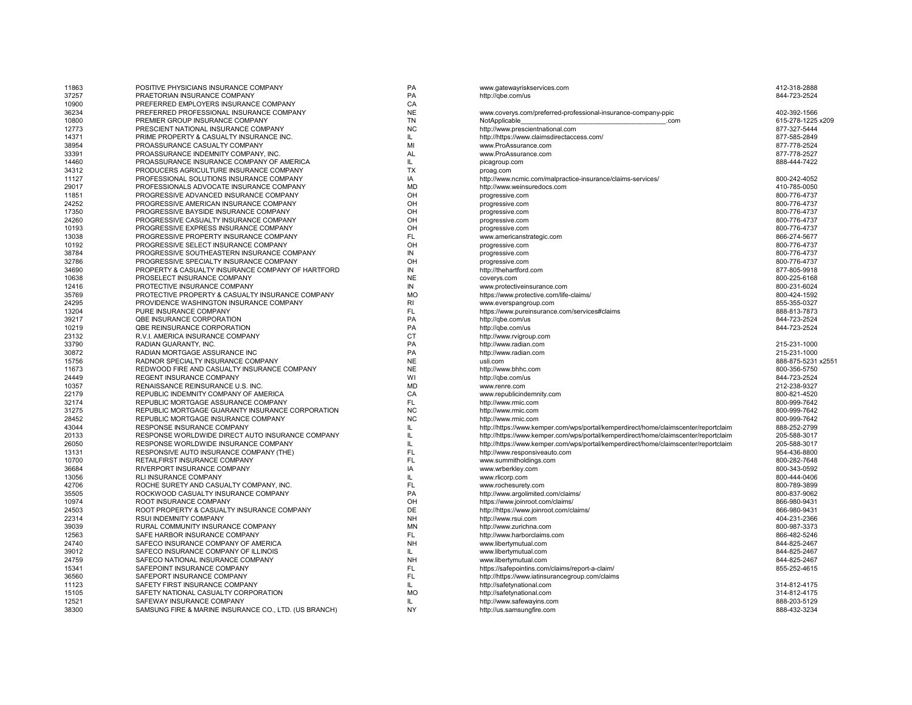| 11863 | POSITIVE PHYSICIANS INSURANCE COMPANY                 | PA        | www.gatewayriskservices.com                                                         | 412-318-2888      |
|-------|-------------------------------------------------------|-----------|-------------------------------------------------------------------------------------|-------------------|
| 37257 | PRAETORIAN INSURANCE COMPANY                          | PA        | http://gbe.com/us                                                                   | 844-723-2524      |
| 10900 | PREFERRED EMPLOYERS INSURANCE COMPANY                 | CA        |                                                                                     |                   |
| 36234 | PREFERRED PROFESSIONAL INSURANCE COMPANY              | <b>NE</b> | www.coverys.com/preferred-professional-insurance-company-ppic                       | 402-392-1566      |
| 10800 | PREMIER GROUP INSURANCE COMPANY                       | <b>TN</b> | NotApplicable<br>.com                                                               | 615-278-1225 x209 |
| 12773 | PRESCIENT NATIONAL INSURANCE COMPANY                  | <b>NC</b> | http://www.prescientnational.com                                                    | 877-327-5444      |
| 14371 | PRIME PROPERTY & CASUALTY INSURANCE INC.              | IL.       | http://https://www.claimsdirectaccess.com/                                          | 877-585-2849      |
| 38954 | PROASSURANCE CASUALTY COMPANY                         | MI        | www.ProAssurance.com                                                                | 877-778-2524      |
| 33391 | PROASSURANCE INDEMNITY COMPANY, INC.                  | <b>AL</b> | www.ProAssurance.com                                                                | 877-778-2527      |
| 14460 | PROASSURANCE INSURANCE COMPANY OF AMERICA             | IL.       | picagroup.com                                                                       | 888-444-7422      |
|       | PRODUCERS AGRICULTURE INSURANCE COMPANY               | <b>TX</b> |                                                                                     |                   |
| 34312 |                                                       |           | proag.com                                                                           |                   |
| 11127 | PROFESSIONAL SOLUTIONS INSURANCE COMPANY              | IA        | http://www.ncmic.com/malpractice-insurance/claims-services/                         | 800-242-4052      |
| 29017 | PROFESSIONALS ADVOCATE INSURANCE COMPANY              | <b>MD</b> | http://www.weinsuredocs.com                                                         | 410-785-0050      |
| 11851 | PROGRESSIVE ADVANCED INSURANCE COMPANY                | OH        | progressive.com                                                                     | 800-776-4737      |
| 24252 | PROGRESSIVE AMERICAN INSURANCE COMPANY                | OH        | progressive.com                                                                     | 800-776-4737      |
| 17350 | PROGRESSIVE BAYSIDE INSURANCE COMPANY                 | OH        | progressive.com                                                                     | 800-776-4737      |
| 24260 | PROGRESSIVE CASUALTY INSURANCE COMPANY                | OH        | progressive.com                                                                     | 800-776-4737      |
| 10193 | PROGRESSIVE EXPRESS INSURANCE COMPANY                 | OH        | progressive.com                                                                     | 800-776-4737      |
| 13038 | PROGRESSIVE PROPERTY INSURANCE COMPANY                | <b>FL</b> | www.americanstrategic.com                                                           | 866-274-5677      |
| 10192 | PROGRESSIVE SELECT INSURANCE COMPANY                  | OH        | progressive.com                                                                     | 800-776-4737      |
| 38784 | PROGRESSIVE SOUTHEASTERN INSURANCE COMPANY            | IN        | progressive.com                                                                     | 800-776-4737      |
| 32786 | PROGRESSIVE SPECIALTY INSURANCE COMPANY               | OH        | progressive.com                                                                     | 800-776-4737      |
| 34690 | PROPERTY & CASUALTY INSURANCE COMPANY OF HARTFORD     | IN        | http://thehartford.com                                                              | 877-805-9918      |
| 10638 | PROSELECT INSURANCE COMPANY                           | <b>NE</b> | coverys.com                                                                         | 800-225-6168      |
| 12416 | PROTECTIVE INSURANCE COMPANY                          | IN        | www.protectiveinsurance.com                                                         | 800-231-6024      |
| 35769 | PROTECTIVE PROPERTY & CASUALTY INSURANCE COMPANY      | <b>MO</b> | https://www.protective.com/life-claims/                                             | 800-424-1592      |
|       | PROVIDENCE WASHINGTON INSURANCE COMPANY               | RI        |                                                                                     | 855-355-0327      |
| 24295 |                                                       | <b>FL</b> | www.everspangroup.com                                                               |                   |
| 13204 | PURE INSURANCE COMPANY                                |           | https://www.pureinsurance.com/services#claims                                       | 888-813-7873      |
| 39217 | <b>QBE INSURANCE CORPORATION</b>                      | PA        | http://gbe.com/us                                                                   | 844-723-2524      |
| 10219 | QBE REINSURANCE CORPORATION                           | PA        | http://qbe.com/us                                                                   | 844-723-2524      |
| 23132 | R.V.I. AMERICA INSURANCE COMPANY                      | CT        | http://www.rvigroup.com                                                             |                   |
| 33790 | RADIAN GUARANTY, INC.                                 | PA        | http://www.radian.com                                                               | 215-231-1000      |
| 30872 | RADIAN MORTGAGE ASSURANCE INC                         | PA        | http://www.radian.com                                                               | 215-231-1000      |
| 15756 | RADNOR SPECIALTY INSURANCE COMPANY                    | <b>NE</b> | usli.com                                                                            | 888-875-5231 x255 |
| 11673 | REDWOOD FIRE AND CASUALTY INSURANCE COMPANY           | <b>NE</b> | http://www.bhhc.com                                                                 | 800-356-5750      |
| 24449 | REGENT INSURANCE COMPANY                              | WI        | http://qbe.com/us                                                                   | 844-723-2524      |
| 10357 | RENAISSANCE REINSURANCE U.S. INC.                     | <b>MD</b> | www.renre.com                                                                       | 212-238-9327      |
| 22179 | REPUBLIC INDEMNITY COMPANY OF AMERICA                 | CA        | www.republicindemnity.com                                                           | 800-821-4520      |
| 32174 | REPUBLIC MORTGAGE ASSURANCE COMPANY                   | <b>FL</b> | http://www.rmic.com                                                                 | 800-999-7642      |
| 31275 | REPUBLIC MORTGAGE GUARANTY INSURANCE CORPORATION      | <b>NC</b> | http://www.rmic.com                                                                 | 800-999-7642      |
| 28452 | REPUBLIC MORTGAGE INSURANCE COMPANY                   | <b>NC</b> | http://www.rmic.com                                                                 | 800-999-7642      |
| 43044 | RESPONSE INSURANCE COMPANY                            | IL        | http://https://www.kemper.com/wps/portal/kemperdirect/home/claimscenter/reportclaim | 888-252-2799      |
| 20133 | RESPONSE WORLDWIDE DIRECT AUTO INSURANCE COMPANY      | IL.       | http://https://www.kemper.com/wps/portal/kemperdirect/home/claimscenter/reportclaim | 205-588-3017      |
| 26050 | RESPONSE WORLDWIDE INSURANCE COMPANY                  | IL.       | http://https://www.kemper.com/wps/portal/kemperdirect/home/claimscenter/reportclaim | 205-588-3017      |
| 13131 | RESPONSIVE AUTO INSURANCE COMPANY (THE)               | <b>FL</b> | http://www.responsiveauto.com                                                       | 954-436-8800      |
|       |                                                       |           |                                                                                     |                   |
| 10700 | RETAILFIRST INSURANCE COMPANY                         | <b>FL</b> | www.summitholdings.com                                                              | 800-282-7648      |
| 36684 | RIVERPORT INSURANCE COMPANY                           | IA        | www.wrberkley.com                                                                   | 800-343-0592      |
| 13056 | RLI INSURANCE COMPANY                                 | IL.       | www.rlicorp.com                                                                     | 800-444-0406      |
| 42706 | ROCHE SURETY AND CASUALTY COMPANY, INC.               | <b>FL</b> | www.rochesurety.com                                                                 | 800-789-3899      |
| 35505 | ROCKWOOD CASUALTY INSURANCE COMPANY                   | PA        | http://www.argolimited.com/claims/                                                  | 800-837-9062      |
| 10974 | ROOT INSURANCE COMPANY                                | OH        | https://www.joinroot.com/claims/                                                    | 866-980-9431      |
| 24503 | ROOT PROPERTY & CASUALTY INSURANCE COMPANY            | DE        | http://https://www.joinroot.com/claims/                                             | 866-980-9431      |
| 22314 | RSUI INDEMNITY COMPANY                                | <b>NH</b> | http://www.rsui.com                                                                 | 404-231-2366      |
| 39039 | RURAL COMMUNITY INSURANCE COMPANY                     | <b>MN</b> | http://www.zurichna.com                                                             | 800-987-3373      |
| 12563 | SAFE HARBOR INSURANCE COMPANY                         | <b>FL</b> | http://www.harborclaims.com                                                         | 866-482-5246      |
| 24740 | SAFECO INSURANCE COMPANY OF AMERICA                   | <b>NH</b> | www.libertymutual.com                                                               | 844-825-2467      |
| 39012 | SAFECO INSURANCE COMPANY OF ILLINOIS                  | IL        | www.libertymutual.com                                                               | 844-825-2467      |
| 24759 | SAFECO NATIONAL INSURANCE COMPANY                     | <b>NH</b> | www.libertymutual.com                                                               | 844-825-2467      |
| 15341 | SAFEPOINT INSURANCE COMPANY                           | FL        | https://safepointins.com/claims/report-a-claim/                                     | 855-252-4615      |
| 36560 | SAFEPORT INSURANCE COMPANY                            | <b>FL</b> | http://https://www.iatinsurancegroup.com/claims                                     |                   |
|       |                                                       | IL.       |                                                                                     |                   |
| 11123 | SAFETY FIRST INSURANCE COMPANY                        |           | http://safetynational.com                                                           | 314-812-4175      |
| 15105 | SAFETY NATIONAL CASUALTY CORPORATION                  | <b>MO</b> | http://safetynational.com                                                           | 314-812-4175      |
| 12521 | SAFEWAY INSURANCE COMPANY                             | IL        | http://www.safewayins.com                                                           | 888-203-5129      |
| 38300 | SAMSUNG FIRE & MARINE INSURANCE CO., LTD. (US BRANCH) | <b>NY</b> | http://us.samsungfire.com                                                           | 888-432-3234      |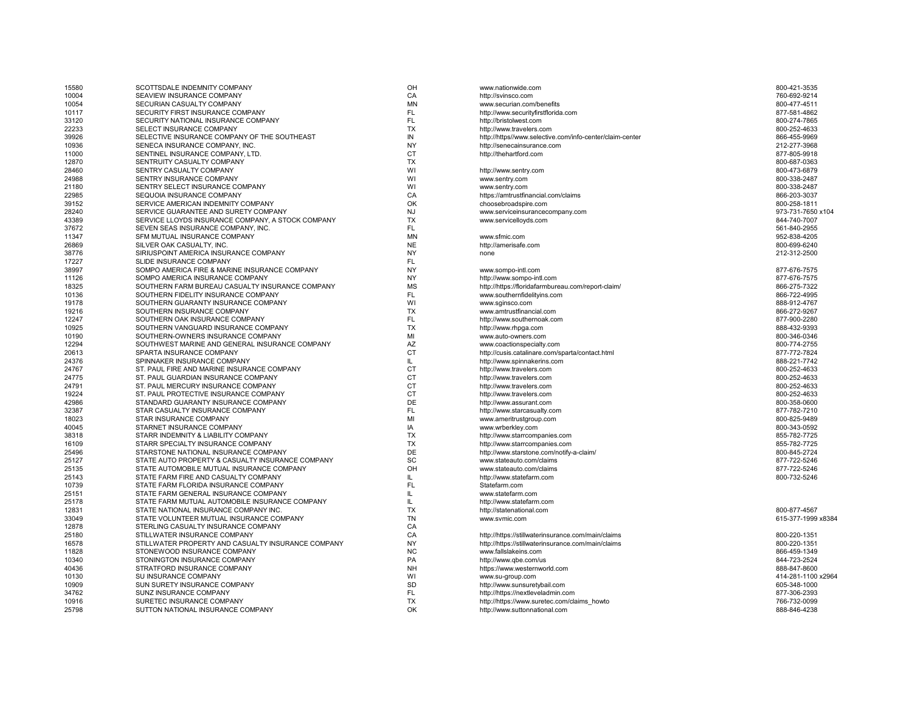| 15580 | SCOTTSDALE INDEMNITY COMPANY                                                | OH        | www.nationwide.com                                       | 800-421-3535       |
|-------|-----------------------------------------------------------------------------|-----------|----------------------------------------------------------|--------------------|
| 10004 | SEAVIEW INSURANCE COMPANY                                                   | CA        | http://svinsco.com                                       | 760-692-9214       |
| 10054 | SECURIAN CASUALTY COMPANY                                                   | <b>MN</b> | www.securian.com/benefits                                | 800-477-4511       |
| 10117 | SECURITY FIRST INSURANCE COMPANY                                            | FL        | http://www.securityfirstflorida.com                      | 877-581-4862       |
| 33120 | SECURITY NATIONAL INSURANCE COMPANY                                         | FL        | http://bristolwest.com                                   | 800-274-7865       |
| 22233 | SELECT INSURANCE COMPANY                                                    | <b>TX</b> | http://www.travelers.com                                 | 800-252-4633       |
| 39926 | SELECTIVE INSURANCE COMPANY OF THE SOUTHEAST                                | IN        | http://https//www.selective.com/info-center/claim-center | 866-455-9969       |
| 10936 | SENECA INSURANCE COMPANY, INC.                                              | <b>NY</b> | http://senecainsurance.com                               | 212-277-3968       |
| 11000 | SENTINEL INSURANCE COMPANY, LTD.                                            | <b>CT</b> | http://thehartford.com                                   | 877-805-9918       |
| 12870 | SENTRUITY CASUALTY COMPANY                                                  | <b>TX</b> |                                                          | 800-687-0363       |
| 28460 | SENTRY CASUALTY COMPANY                                                     | WI        | http://www.sentry.com                                    | 800-473-6879       |
| 24988 | SENTRY INSURANCE COMPANY                                                    | WI        | www.sentry.com                                           | 800-338-2487       |
| 21180 | SENTRY SELECT INSURANCE COMPANY                                             | WI        | www.sentry.com                                           | 800-338-2487       |
| 22985 | SEQUOIA INSURANCE COMPANY                                                   | CA        | https://amtrustfinancial.com/claims                      | 866-203-3037       |
| 39152 | SERVICE AMERICAN INDEMNITY COMPANY                                          | OK        | choosebroadspire.com                                     | 800-258-1811       |
|       |                                                                             |           |                                                          |                    |
| 28240 | SERVICE GUARANTEE AND SURETY COMPANY                                        | <b>NJ</b> | www.serviceinsurancecompany.com                          | 973-731-7650 x104  |
| 43389 | SERVICE LLOYDS INSURANCE COMPANY, A STOCK COMPANY                           | <b>TX</b> | www.servicelloyds.com                                    | 844-740-7007       |
| 37672 | SEVEN SEAS INSURANCE COMPANY, INC.                                          | FL        |                                                          | 561-840-2955       |
| 11347 | SFM MUTUAL INSURANCE COMPANY                                                | MN        | www.sfmic.com                                            | 952-838-4205       |
| 26869 | SILVER OAK CASUALTY, INC.                                                   | <b>NE</b> | http://amerisafe.com                                     | 800-699-6240       |
| 38776 | SIRIUSPOINT AMERICA INSURANCE COMPANY                                       | <b>NY</b> | none                                                     | 212-312-2500       |
| 17227 | SLIDE INSURANCE COMPANY                                                     | FL        |                                                          |                    |
| 38997 | SOMPO AMERICA FIRE & MARINE INSURANCE COMPANY                               | <b>NY</b> | www.sompo-intl.com                                       | 877-676-7575       |
| 11126 | SOMPO AMERICA INSURANCE COMPANY                                             | <b>NY</b> | http://www.sompo-intl.com                                | 877-676-7575       |
| 18325 | SOUTHERN FARM BUREAU CASUALTY INSURANCE COMPANY                             | <b>MS</b> | http://https://floridafarmbureau.com/report-claim/       | 866-275-7322       |
| 10136 | SOUTHERN FIDELITY INSURANCE COMPANY                                         | FL.       | www.southernfidelityins.com                              | 866-722-4995       |
| 19178 | SOUTHERN GUARANTY INSURANCE COMPANY                                         | WI        | www.sginsco.com                                          | 888-912-4767       |
| 19216 | SOUTHERN INSURANCE COMPANY                                                  | <b>TX</b> | www.amtrustfinancial.com                                 | 866-272-9267       |
| 12247 | SOUTHERN OAK INSURANCE COMPANY                                              | FL        | http://www.southernoak.com                               | 877-900-2280       |
| 10925 | SOUTHERN VANGUARD INSURANCE COMPANY                                         | <b>TX</b> | http://www.rhpga.com                                     | 888-432-9393       |
| 10190 | SOUTHERN-OWNERS INSURANCE COMPANY                                           | MI        | www.auto-owners.com                                      | 800-346-0346       |
| 12294 | SOUTHWEST MARINE AND GENERAL INSURANCE COMPANY                              | AZ        | www.coactionspecialty.com                                | 800-774-2755       |
| 20613 | SPARTA INSURANCE COMPANY                                                    | <b>CT</b> | http://cusis.catalinare.com/sparta/contact.html          | 877-772-7824       |
| 24376 | SPINNAKER INSURANCE COMPANY                                                 | IL.       | http://www.spinnakerins.com                              | 888-221-7742       |
| 24767 | ST. PAUL FIRE AND MARINE INSURANCE COMPANY                                  | <b>CT</b> | http://www.travelers.com                                 | 800-252-4633       |
| 24775 | ST. PAUL GUARDIAN INSURANCE COMPANY                                         | <b>CT</b> |                                                          | 800-252-4633       |
|       |                                                                             | <b>CT</b> | http://www.travelers.com                                 |                    |
| 24791 | ST. PAUL MERCURY INSURANCE COMPANY<br>ST. PAUL PROTECTIVE INSURANCE COMPANY | <b>CT</b> | http://www.travelers.com                                 | 800-252-4633       |
| 19224 |                                                                             |           | http://www.travelers.com                                 | 800-252-4633       |
| 42986 | STANDARD GUARANTY INSURANCE COMPANY                                         | DE        | http://www.assurant.com                                  | 800-358-0600       |
| 32387 | STAR CASUALTY INSURANCE COMPANY                                             | <b>FL</b> | http://www.starcasualty.com                              | 877-782-7210       |
| 18023 | STAR INSURANCE COMPANY                                                      | MI        | www.ameritrustgroup.com                                  | 800-825-9489       |
| 40045 | STARNET INSURANCE COMPANY                                                   | IA        | www.wrberkley.com                                        | 800-343-0592       |
| 38318 | STARR INDEMNITY & LIABILITY COMPANY                                         | <b>TX</b> | http://www.starrcompanies.com                            | 855-782-7725       |
| 16109 | STARR SPECIALTY INSURANCE COMPANY                                           | <b>TX</b> | http://www.starrcompanies.com                            | 855-782-7725       |
| 25496 | STARSTONE NATIONAL INSURANCE COMPANY                                        | DE        | http://www.starstone.com/notify-a-claim/                 | 800-845-2724       |
| 25127 | STATE AUTO PROPERTY & CASUALTY INSURANCE COMPANY                            | SC        | www.stateauto.com/claims                                 | 877-722-5246       |
| 25135 | STATE AUTOMOBILE MUTUAL INSURANCE COMPANY                                   | OH        | www.stateauto.com/claims                                 | 877-722-5246       |
| 25143 | STATE FARM FIRE AND CASUALTY COMPANY                                        | IL.       | http://www.statefarm.com                                 | 800-732-5246       |
| 10739 | STATE FARM FLORIDA INSURANCE COMPANY                                        | FL        | Statefarm.com                                            |                    |
| 25151 | STATE FARM GENERAL INSURANCE COMPANY                                        | IL.       | www.statefarm.com                                        |                    |
| 25178 | STATE FARM MUTUAL AUTOMOBILE INSURANCE COMPANY                              | IL.       | http://www.statefarm.com                                 |                    |
| 12831 | STATE NATIONAL INSURANCE COMPANY INC.                                       | <b>TX</b> | http://statenational.com                                 | 800-877-4567       |
| 33049 | STATE VOLUNTEER MUTUAL INSURANCE COMPANY                                    | <b>TN</b> | www.svmic.com                                            | 615-377-1999 x8384 |
| 12878 | STERLING CASUALTY INSURANCE COMPANY                                         | CA        |                                                          |                    |
| 25180 | STILLWATER INSURANCE COMPANY                                                | CA        | http://https://stillwaterinsurance.com/main/claims       | 800-220-1351       |
| 16578 | STILLWATER PROPERTY AND CASUALTY INSURANCE COMPANY                          | <b>NY</b> | http://https://stillwaterinsurance.com/main/claims       | 800-220-1351       |
| 11828 | STONEWOOD INSURANCE COMPANY                                                 | <b>NC</b> | www.fallslakeins.com                                     | 866-459-1349       |
|       |                                                                             | PA        |                                                          |                    |
| 10340 | STONINGTON INSURANCE COMPANY                                                | <b>NH</b> | http://www.qbe.com/us                                    | 844-723-2524       |
| 40436 | STRATFORD INSURANCE COMPANY                                                 |           | https://www.westernworld.com                             | 888-847-8600       |
| 10130 | SU INSURANCE COMPANY                                                        | WI        | www.su-group.com                                         | 414-281-1100 x2964 |
| 10909 | SUN SURETY INSURANCE COMPANY                                                | SD        | http://www.sunsuretybail.com                             | 605-348-1000       |
| 34762 | SUNZ INSURANCE COMPANY                                                      | FL        | http://https://nextleveladmin.com                        | 877-306-2393       |
| 10916 | SURETEC INSURANCE COMPANY                                                   | <b>TX</b> | http://https://www.suretec.com/claims howto              | 766-732-0099       |
| 25798 | SUTTON NATIONAL INSURANCE COMPANY                                           | OK        | http://www.suttonnational.com                            | 888-846-4238       |

| /ww.nationwide.com                                      | 800-421-3535      |
|---------------------------------------------------------|-------------------|
| ttp://svinsco.com                                       | 760-692-9214      |
| ww.securian.com/benefits                                | 800-477-4511      |
| ttp://www.securityfirstflorida.com                      | 877-581-4862      |
| ttp://bristolwest.com                                   | 800-274-7865      |
| ttp://www.travelers.com                                 | 800-252-4633      |
| ttp://https//www.selective.com/info-center/claim-center | 866-455-9969      |
| ttp://senecainsurance.com                               | 212-277-3968      |
| ttp://thehartford.com                                   | 877-805-9918      |
|                                                         | 800-687-0363      |
| ttp://www.sentry.com                                    | 800-473-6879      |
| /ww.sentry.com                                          | 800-338-2487      |
| ww.sentry.com                                           | 800-338-2487      |
| ttps://amtrustfinancial.com/claims                      | 866-203-3037      |
| hoosebroadspire.com                                     | 800-258-1811      |
|                                                         |                   |
| ww.serviceinsurancecompany.com                          | 973-731-7650 x10- |
| ww.servicelloyds.com                                    | 844-740-7007      |
|                                                         | 561-840-2955      |
| /ww.sfmic.com                                           | 952-838-4205      |
| ttp://amerisafe.com                                     | 800-699-6240      |
| one                                                     | 212-312-2500      |
|                                                         |                   |
| ww.sompo-intl.com                                       | 877-676-7575      |
| ttp://www.sompo-intl.com                                | 877-676-7575      |
| ttp://https://floridafarmbureau.com/report-claim/       | 866-275-7322      |
| ww.southernfidelityins.com                              | 866-722-4995      |
| ww.sginsco.com                                          | 888-912-4767      |
| ww.amtrustfinancial.com                                 | 866-272-9267      |
| ttp://www.southernoak.com                               | 877-900-2280      |
| ttp://www.rhpga.com                                     | 888-432-9393      |
| ww.auto-owners.com                                      | 800-346-0346      |
| ww.coactionspecialty.com                                | 800-774-2755      |
| ttp://cusis.catalinare.com/sparta/contact.html          | 877-772-7824      |
| ttp://www.spinnakerins.com                              | 888-221-7742      |
| ttp://www.travelers.com                                 | 800-252-4633      |
|                                                         |                   |
| ttp://www.travelers.com                                 | 800-252-4633      |
| ttp://www.travelers.com                                 | 800-252-4633      |
| ttp://www.travelers.com                                 | 800-252-4633      |
| ttp://www.assurant.com                                  | 800-358-0600      |
| ttp://www.starcasualty.com                              | 877-782-7210      |
| ww.ameritrustgroup.com                                  | 800-825-9489      |
| ww.wrberkley.com                                        | 800-343-0592      |
| ttp://www.starrcompanies.com                            | 855-782-7725      |
| ttp://www.starrcompanies.com                            | 855-782-7725      |
| ttp://www.starstone.com/notify-a-claim/                 | 800-845-2724      |
| ww.stateauto.com/claims                                 | 877-722-5246      |
| ww.stateauto.com/claims                                 | 877-722-5246      |
| ttp://www.statefarm.com                                 | 800-732-5246      |
| itatefarm.com                                           |                   |
| ww.statefarm.com                                        |                   |
| ttp://www.statefarm.com                                 |                   |
| ttp://statenational.com                                 | 800-877-4567      |
| /ww.svmic.com                                           | 615-377-1999 x83  |
|                                                         |                   |
| ttp://https://stillwaterinsurance.com/main/claims       | 800-220-1351      |
|                                                         |                   |
| ttp://https://stillwaterinsurance.com/main/claims       | 800-220-1351      |
| ww.fallslakeins.com                                     | 866-459-1349      |
| ttp://www.qbe.com/us                                    | 844-723-2524      |
| ttps://www.westernworld.com                             | 888-847-8600      |
| ww.su-group.com                                         | 414-281-1100 x29  |
| ttp://www.sunsuretybail.com                             | 605-348-1000      |
| ttp://https://nextleveladmin.com                        | 877-306-2393      |
| ttp://https://www.suretec.com/claims howto              | 766-732-0099      |
| ttp://www.suttonnational.com                            | 888-846-4238      |
|                                                         |                   |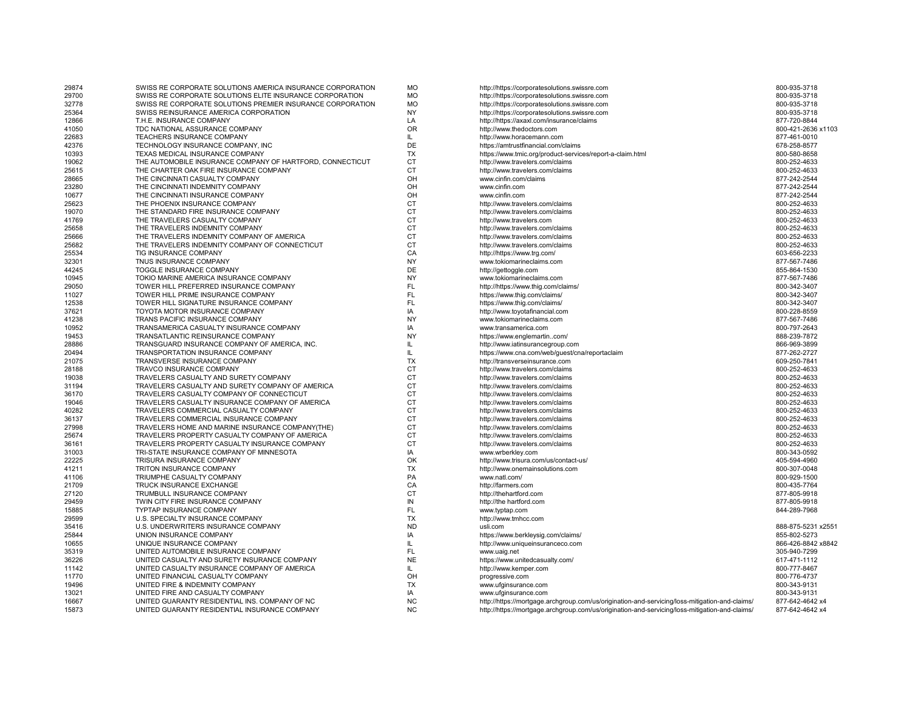| 29874 | SWISS RE CORPORATE SOLUTIONS AMERICA INSURANCE CORPORATION | <b>MO</b> | http://https://corporatesolutions.swissre.com                                                  | 800-935-3718       |
|-------|------------------------------------------------------------|-----------|------------------------------------------------------------------------------------------------|--------------------|
| 29700 | SWISS RE CORPORATE SOLUTIONS ELITE INSURANCE CORPORATION   | <b>MO</b> | http://https://corporatesolutions.swissre.com                                                  | 800-935-3718       |
| 32778 | SWISS RE CORPORATE SOLUTIONS PREMIER INSURANCE CORPORATION | <b>MO</b> | http://https://corporatesolutions.swissre.com                                                  | 800-935-3718       |
| 25364 | SWISS REINSURANCE AMERICA CORPORATION                      | <b>NY</b> | http://https://corporatesolutions.swissre.com                                                  | 800-935-3718       |
| 12866 | T.H.E. INSURANCE COMPANY                                   | LA        | http://https://axaxl.com/insurance/claims                                                      | 877-720-8844       |
| 41050 | TDC NATIONAL ASSURANCE COMPANY                             | <b>OR</b> | http://www.thedoctors.com                                                                      | 800-421-2636 x1103 |
| 22683 | TEACHERS INSURANCE COMPANY                                 | IL.       | http://www.horacemann.com                                                                      | 877-461-0010       |
| 42376 | TECHNOLOGY INSURANCE COMPANY, INC                          | DE        | https://amtrustfinancial.com/claims                                                            | 678-258-8577       |
| 10393 | TEXAS MEDICAL INSURANCE COMPANY                            | <b>TX</b> | https://www.tmic.org/product-services/report-a-claim.html                                      | 800-580-8658       |
| 19062 | THE AUTOMOBILE INSURANCE COMPANY OF HARTFORD, CONNECTICUT  | <b>CT</b> | http://www.travelers.com/claims                                                                | 800-252-4633       |
| 25615 | THE CHARTER OAK FIRE INSURANCE COMPANY                     | <b>CT</b> | http://www.travelers.com/claims                                                                | 800-252-4633       |
| 28665 | THE CINCINNATI CASUALTY COMPANY                            | OH        | www.cinfin.com/claims                                                                          | 877-242-2544       |
| 23280 | THE CINCINNATI INDEMNITY COMPANY                           | OH        | www.cinfin.com                                                                                 | 877-242-2544       |
| 10677 | THE CINCINNATI INSURANCE COMPANY                           | OH        | www.cinfin.com                                                                                 | 877-242-2544       |
| 25623 | THE PHOENIX INSURANCE COMPANY                              | <b>CT</b> | http://www.travelers.com/claims                                                                | 800-252-4633       |
| 19070 | THE STANDARD FIRE INSURANCE COMPANY                        | <b>CT</b> | http://www.travelers.com/claims                                                                | 800-252-4633       |
| 41769 | THE TRAVELERS CASUALTY COMPANY                             | <b>CT</b> | http://www.travelers.com                                                                       | 800-252-4633       |
| 25658 | THE TRAVELERS INDEMNITY COMPANY                            | <b>CT</b> | http://www.travelers.com/claims                                                                | 800-252-4633       |
| 25666 | THE TRAVELERS INDEMNITY COMPANY OF AMERICA                 | <b>CT</b> | http://www.travelers.com/claims                                                                | 800-252-4633       |
| 25682 | THE TRAVELERS INDEMNITY COMPANY OF CONNECTICUT             | <b>CT</b> | http://www.travelers.com/claims                                                                | 800-252-4633       |
| 25534 | TIG INSURANCE COMPANY                                      | CA        | http://https://www.trg.com/                                                                    | 603-656-2233       |
| 32301 | TNUS INSURANCE COMPANY                                     | <b>NY</b> | www.tokiomarineclaims.com                                                                      | 877-567-7486       |
| 44245 | TOGGLE INSURANCE COMPANY                                   | DE        | http://gettoggle.com                                                                           | 855-864-1530       |
| 10945 | TOKIO MARINE AMERICA INSURANCE COMPANY                     | <b>NY</b> | www.tokiomarineclaims.com                                                                      | 877-567-7486       |
| 29050 | TOWER HILL PREFERRED INSURANCE COMPANY                     | <b>FL</b> | http://https://www.thig.com/claims/                                                            | 800-342-3407       |
| 11027 | TOWER HILL PRIME INSURANCE COMPANY                         | <b>FL</b> | https://www.thig.com/claims/                                                                   | 800-342-3407       |
| 12538 | TOWER HILL SIGNATURE INSURANCE COMPANY                     | <b>FL</b> | https://www.thig.com/claims/                                                                   | 800-342-3407       |
| 37621 | TOYOTA MOTOR INSURANCE COMPANY                             | IA        | http://www.toyotafinancial.com                                                                 | 800-228-8559       |
| 41238 | TRANS PACIFIC INSURANCE COMPANY                            | <b>NY</b> | www.tokiomarineclaims.com                                                                      | 877-567-7486       |
| 10952 | TRANSAMERICA CASUALTY INSURANCE COMPANY                    | IA        | www.transamerica.com                                                                           | 800-797-2643       |
| 19453 | TRANSATLANTIC REINSURANCE COMPANY                          | <b>NY</b> | https://www.englemartincom/                                                                    | 888-239-7872       |
| 28886 | TRANSGUARD INSURANCE COMPANY OF AMERICA, INC               | IL        | http://www.iatinsurancegroup.com                                                               | 866-969-3899       |
| 20494 | TRANSPORTATION INSURANCE COMPANY                           | IL.       | https://www.cna.com/web/guest/cna/reportaclaim                                                 | 877-262-2727       |
| 21075 | TRANSVERSE INSURANCE COMPANY                               | <b>TX</b> | http://transverseinsurance.com                                                                 | 609-250-7841       |
| 28188 | TRAVCO INSURANCE COMPANY                                   | <b>CT</b> | http://www.travelers.com/claims                                                                | 800-252-4633       |
| 19038 | TRAVELERS CASUALTY AND SURETY COMPANY                      | <b>CT</b> | http://www.travelers.com/claims                                                                | 800-252-4633       |
| 31194 | TRAVELERS CASUALTY AND SURETY COMPANY OF AMERICA           | <b>CT</b> | http://www.travelers.com/claims                                                                | 800-252-4633       |
| 36170 | TRAVELERS CASUALTY COMPANY OF CONNECTICUT                  | <b>CT</b> | http://www.travelers.com/claims                                                                | 800-252-4633       |
| 19046 | TRAVELERS CASUALTY INSURANCE COMPANY OF AMERICA            | <b>CT</b> | http://www.travelers.com/claims                                                                | 800-252-4633       |
| 40282 | TRAVELERS COMMERCIAL CASUALTY COMPANY                      | <b>CT</b> | http://www.travelers.com/claims                                                                | 800-252-4633       |
| 36137 | TRAVELERS COMMERCIAL INSURANCE COMPANY                     | <b>CT</b> | http://www.travelers.com/claims                                                                | 800-252-4633       |
| 27998 | TRAVELERS HOME AND MARINE INSURANCE COMPANY(THE)           | <b>CT</b> | http://www.travelers.com/claims                                                                | 800-252-4633       |
| 25674 | TRAVELERS PROPERTY CASUALTY COMPANY OF AMERICA             | <b>CT</b> | http://www.travelers.com/claims                                                                | 800-252-4633       |
| 36161 | TRAVELERS PROPERTY CASUALTY INSURANCE COMPANY              | <b>CT</b> | http://www.travelers.com/claims                                                                | 800-252-4633       |
| 31003 | TRI-STATE INSURANCE COMPANY OF MINNESOTA                   | IA        | www.wrberkley.com                                                                              | 800-343-0592       |
| 22225 | TRISURA INSURANCE COMPANY                                  | OK        | http://www.trisura.com/us/contact-us/                                                          | 405-594-4960       |
| 41211 | TRITON INSURANCE COMPANY                                   | <b>TX</b> | http://www.onemainsolutions.com                                                                | 800-307-0048       |
| 41106 | TRIUMPHE CASUALTY COMPANY                                  | PA        | www.natl.com/                                                                                  | 800-929-1500       |
| 21709 | TRUCK INSURANCE EXCHANGE                                   | CA        | http://farmers.com                                                                             | 800-435-7764       |
| 27120 | TRUMBULL INSURANCE COMPANY                                 | <b>CT</b> | http://thehartford.com                                                                         | 877-805-9918       |
| 29459 | TWIN CITY FIRE INSURANCE COMPANY                           | IN        | http://the hartford.com                                                                        | 877-805-9918       |
| 15885 | TYPTAP INSURANCE COMPANY                                   | <b>FL</b> | www.typtap.com                                                                                 | 844-289-7968       |
| 29599 | U.S. SPECIALTY INSURANCE COMPANY                           | <b>TX</b> | http://www.tmhcc.com                                                                           |                    |
| 35416 | U.S. UNDERWRITERS INSURANCE COMPANY                        | <b>ND</b> | usli.com                                                                                       | 888-875-5231 x255  |
| 25844 | UNION INSURANCE COMPANY                                    | IA        | https://www.berkleysig.com/claims/                                                             | 855-802-5273       |
| 10655 | UNIQUE INSURANCE COMPANY                                   | IL.       | http://www.uniqueinsuranceco.com                                                               | 866-426-8842 x8842 |
| 35319 | UNITED AUTOMOBILE INSURANCE COMPANY                        | FL.       | www.uaig.net                                                                                   | 305-940-7299       |
| 36226 | UNITED CASUALTY AND SURETY INSURANCE COMPANY               | <b>NE</b> | https://www.unitedcasualty.com/                                                                | 617-471-1112       |
| 11142 | UNITED CASUALTY INSURANCE COMPANY OF AMERICA               | IL.       | http://www.kemper.com                                                                          | 800-777-8467       |
| 11770 | UNITED FINANCIAL CASUALTY COMPANY                          | OH        | progressive.com                                                                                | 800-776-4737       |
| 19496 | UNITED FIRE & INDEMNITY COMPANY                            | <b>TX</b> | www.ufginsurance.com                                                                           | 800-343-9131       |
| 13021 | UNITED FIRE AND CASUALTY COMPANY                           | IA        | www.ufginsurance.com                                                                           | 800-343-9131       |
| 16667 | UNITED GUARANTY RESIDENTIAL INS. COMPANY OF NC             | <b>NC</b> | http://https://mortgage.archgroup.com/us/origination-and-servicing/loss-mitigation-and-claims/ | 877-642-4642 x4    |
| 15873 | UNITED GUARANTY RESIDENTIAL INSURANCE COMPANY              | <b>NC</b> | http://https://mortgage.archgroup.com/us/origination-and-servicing/loss-mitigation-and-claims/ | 877-642-4642 x4    |
|       |                                                            |           |                                                                                                |                    |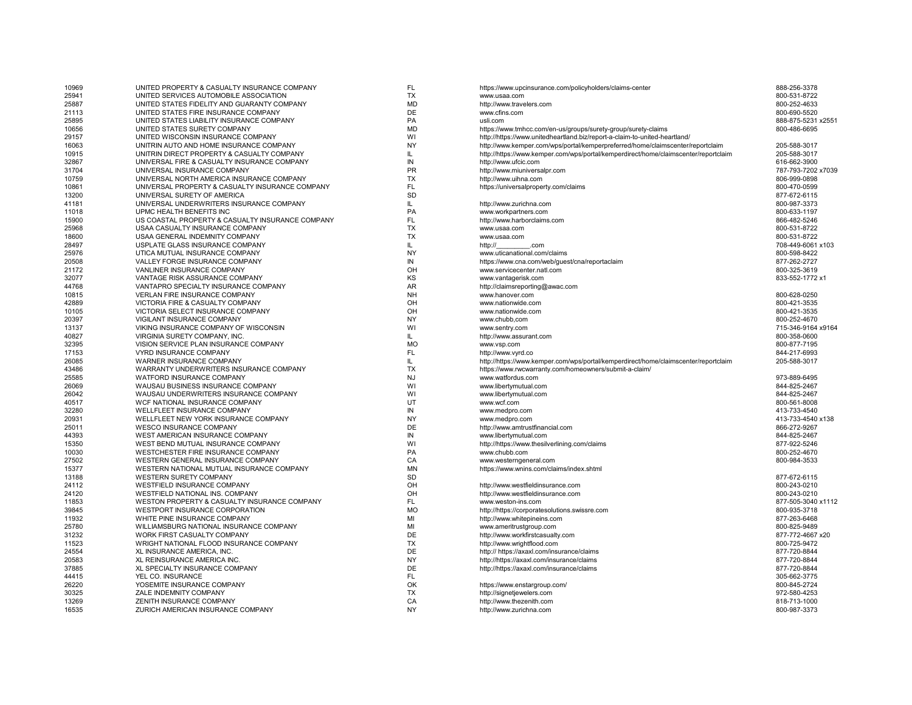| 10969 | UNITED PROPERTY & CASUALTY INSURANCE COMPANY     | FL.           | https://www.upcinsurance.com/policyholders/claims-center                            | 888-256-3378       |
|-------|--------------------------------------------------|---------------|-------------------------------------------------------------------------------------|--------------------|
| 25941 | UNITED SERVICES AUTOMOBILE ASSOCIATION           | <b>TX</b>     | www.usaa.com                                                                        | 800-531-8722       |
| 25887 | UNITED STATES FIDELITY AND GUARANTY COMPANY      | <b>MD</b>     | http://www.travelers.com                                                            | 800-252-4633       |
| 21113 | UNITED STATES FIRE INSURANCE COMPANY             | DE            | www.cfins.com                                                                       | 800-690-5520       |
| 25895 | UNITED STATES LIABILITY INSURANCE COMPANY        | PA            | usli.com                                                                            | 888-875-5231 x255  |
| 10656 | UNITED STATES SURETY COMPANY                     | <b>MD</b>     | https://www.tmhcc.com/en-us/groups/surety-group/surety-claims                       | 800-486-6695       |
| 29157 | UNITED WISCONSIN INSURANCE COMPANY               | WI            | http://https://www.unitedheartland.biz/report-a-claim-to-united-heartland/          |                    |
| 16063 | UNITRIN AUTO AND HOME INSURANCE COMPANY          | <b>NY</b>     | http://www.kemper.com/wps/portal/kemperpreferred/home/claimscenter/reportclaim      | 205-588-3017       |
| 10915 | UNITRIN DIRECT PROPERTY & CASUALTY COMPANY       | IL            | http://https://www.kemper.com/wps/portal/kemperdirect/home/claimscenter/reportclaim | 205-588-3017       |
| 32867 | UNIVERSAL FIRE & CASUALTY INSURANCE COMPANY      | IN            | http://www.ufcic.com                                                                | 616-662-3900       |
| 31704 | UNIVERSAL INSURANCE COMPANY                      | <b>PR</b>     | http://www.miuniversalpr.com                                                        | 787-793-7202 x7039 |
| 10759 | UNIVERSAL NORTH AMERICA INSURANCE COMPANY        | <b>TX</b>     | http://www.uihna.com                                                                | 806-999-0898       |
| 10861 | UNIVERSAL PROPERTY & CASUALTY INSURANCE COMPANY  | <b>FL</b>     | https://universalproperty.com/claims                                                | 800-470-0599       |
|       | UNIVERSAL SURETY OF AMERICA                      | <b>SD</b>     |                                                                                     |                    |
| 13200 |                                                  |               |                                                                                     | 877-672-6115       |
| 41181 | UNIVERSAL UNDERWRITERS INSURANCE COMPANY         | $\mathsf{IL}$ | http://www.zurichna.com                                                             | 800-987-3373       |
| 11018 | UPMC HEALTH BENEFITS INC                         | PA            | www.workpartners.com                                                                | 800-633-1197       |
| 15900 | US COASTAL PROPERTY & CASUALTY INSURANCE COMPANY | <b>FL</b>     | http://www.harborclaims.com                                                         | 866-482-5246       |
| 25968 | USAA CASUALTY INSURANCE COMPANY                  | TX            | www.usaa.com                                                                        | 800-531-8722       |
| 18600 | USAA GENERAL INDEMNITY COMPANY                   | <b>TX</b>     | www.usaa.com                                                                        | 800-531-8722       |
| 28497 | USPLATE GLASS INSURANCE COMPANY                  | IL            | http://<br>.com                                                                     | 708-449-6061 x103  |
| 25976 | UTICA MUTUAL INSURANCE COMPANY                   | <b>NY</b>     | www.uticanational.com/claims                                                        | 800-598-8422       |
| 20508 | VALLEY FORGE INSURANCE COMPANY                   | IN            | https://www.cna.com/web/guest/cna/reportaclaim                                      | 877-262-2727       |
| 21172 | VANLINER INSURANCE COMPANY                       | OH            | www.servicecenter.natl.com                                                          | 800-325-3619       |
| 32077 | VANTAGE RISK ASSURANCE COMPANY                   | KS            | www.vantagerisk.com                                                                 | 833-552-1772 x1    |
| 44768 | VANTAPRO SPECIALTY INSURANCE COMPANY             | <b>AR</b>     | http://claimsreporting@awac.com                                                     |                    |
| 10815 | <b>VERLAN FIRE INSURANCE COMPANY</b>             | <b>NH</b>     | www.hanover.com                                                                     | 800-628-0250       |
| 42889 | VICTORIA FIRE & CASUALTY COMPANY                 | OH            | www.nationwide.com                                                                  | 800-421-3535       |
| 10105 | VICTORIA SELECT INSURANCE COMPANY                | OH            | www.nationwide.com                                                                  | 800-421-3535       |
| 20397 | VIGILANT INSURANCE COMPANY                       | <b>NY</b>     | www.chubb.com                                                                       | 800-252-4670       |
| 13137 | VIKING INSURANCE COMPANY OF WISCONSIN            | WI            | www.sentry.com                                                                      | 715-346-9164 x9164 |
| 40827 | <b>VIRGINIA SURETY COMPANY, INC.</b>             | IL.           | http://www.assurant.com                                                             | 800-358-0600       |
| 32395 | VISION SERVICE PLAN INSURANCE COMPANY            | <b>MO</b>     |                                                                                     | 800-877-7195       |
| 17153 | <b>VYRD INSURANCE COMPANY</b>                    | <b>FL</b>     | www.vsp.com<br>http://www.vvrd.co                                                   | 844-217-6993       |
|       |                                                  |               |                                                                                     |                    |
| 26085 | WARNER INSURANCE COMPANY                         | IL            | http://https://www.kemper.com/wps/portal/kemperdirect/home/claimscenter/reportclaim | 205-588-3017       |
| 43486 | WARRANTY UNDERWRITERS INSURANCE COMPANY          | <b>TX</b>     | https://www.rwcwarranty.com/homeowners/submit-a-claim/                              |                    |
| 25585 | WATFORD INSURANCE COMPANY                        | <b>NJ</b>     | www.watfordus.com                                                                   | 973-889-6495       |
| 26069 | WAUSAU BUSINESS INSURANCE COMPANY                | WI            | www.libertymutual.com                                                               | 844-825-2467       |
| 26042 | WAUSAU UNDERWRITERS INSURANCE COMPANY            | WI            | www.libertymutual.com                                                               | 844-825-2467       |
| 40517 | WCF NATIONAL INSURANCE COMPANY                   | UT            | www.wcf.com                                                                         | 800-561-8008       |
| 32280 | WELLFLEET INSURANCE COMPANY                      | IN            | www.medpro.com                                                                      | 413-733-4540       |
| 20931 | WELLFLEET NEW YORK INSURANCE COMPANY             | <b>NY</b>     | www.medpro.com                                                                      | 413-733-4540 x138  |
| 25011 | <b>WESCO INSURANCE COMPANY</b>                   | DE            | http://www.amtrustfinancial.com                                                     | 866-272-9267       |
| 44393 | WEST AMERICAN INSURANCE COMPANY                  | IN            | www.libertymutual.com                                                               | 844-825-2467       |
| 15350 | WEST BEND MUTUAL INSURANCE COMPANY               | WI            | http://https://www.thesilverlining.com/claims                                       | 877-922-5246       |
| 10030 | WESTCHESTER FIRE INSURANCE COMPANY               | PA            | www.chubb.com                                                                       | 800-252-4670       |
| 27502 | WESTERN GENERAL INSURANCE COMPANY                | CA            | www.westerngeneral.com                                                              | 800-984-3533       |
| 15377 | WESTERN NATIONAL MUTUAL INSURANCE COMPANY        | <b>MN</b>     | https://www.wnins.com/claims/index.shtml                                            |                    |
| 13188 | WESTERN SURETY COMPANY                           | SD            |                                                                                     | 877-672-6115       |
| 24112 | <b>WESTFIELD INSURANCE COMPANY</b>               | OH            | http://www.westfieldinsurance.com                                                   | 800-243-0210       |
| 24120 | WESTFIELD NATIONAL INS. COMPANY                  | OH            | http://www.westfieldinsurance.com                                                   | 800-243-0210       |
| 11853 | WESTON PROPERTY & CASUALTY INSURANCE COMPANY     | <b>FL</b>     | www.weston-ins.com                                                                  | 877-505-3040 x1112 |
| 39845 | WESTPORT INSURANCE CORPORATION                   | <b>MO</b>     | http://https://corporatesolutions.swissre.com                                       | 800-935-3718       |
| 11932 | WHITE PINE INSURANCE COMPANY                     | MI            | http://www.whitepineins.com                                                         | 877-263-6468       |
| 25780 | WILLIAMSBURG NATIONAL INSURANCE COMPANY          | MI            |                                                                                     | 800-825-9489       |
| 31232 | WORK FIRST CASUALTY COMPANY                      | DE            | www.ameritrustgroup.com                                                             | 877-772-4667 x20   |
|       |                                                  |               | http://www.workfirstcasualty.com                                                    |                    |
| 11523 | WRIGHT NATIONAL FLOOD INSURANCE COMPANY          | <b>TX</b>     | http://www.wrightflood.com                                                          | 800-725-9472       |
| 24554 | XL INSURANCE AMERICA. INC.                       | DE            | http:// https://axaxl.com/insurance/claims                                          | 877-720-8844       |
| 20583 | XL REINSURANCE AMERICA INC.                      | <b>NY</b>     | http://https://axaxl.com/insurance/claims                                           | 877-720-8844       |
| 37885 | XL SPECIALTY INSURANCE COMPANY                   | DE            | http://https://axaxl.com/insurance/claims                                           | 877-720-8844       |
| 44415 | YEL CO. INSURANCE                                | <b>FL</b>     |                                                                                     | 305-662-3775       |
| 26220 | YOSEMITE INSURANCE COMPANY                       | OK            | https://www.enstargroup.com/                                                        | 800-845-2724       |
| 30325 | ZALE INDEMNITY COMPANY                           | <b>TX</b>     | http://signetjewelers.com                                                           | 972-580-4253       |
| 13269 | ZENITH INSURANCE COMPANY                         | CA            | http://www.thezenith.com                                                            | 818-713-1000       |
| 16535 | ZURICH AMERICAN INSURANCE COMPANY                | <b>NY</b>     | http://www.zurichna.com                                                             | 800-987-3373       |

| https://www.upcinsurance.com/policyholders/claims-center                                | 888-256-3378                 |
|-----------------------------------------------------------------------------------------|------------------------------|
| www.usaa.com                                                                            | 800-531-8722                 |
| http://www.travelers.com                                                                | 800-252-4633                 |
| www.cfins.com                                                                           | 800-690-5520                 |
| usli.com                                                                                | 888-875-5231 x255            |
| https://www.tmhcc.com/en-us/groups/surety-group/surety-claims                           | 800-486-6695                 |
| http://https://www.unitedheartland.biz/report-a-claim-to-united-heartland/              |                              |
| http://www.kemper.com/wps/portal/kemperpreferred/home/claimscenter/reportclaim          | 205-588-3017                 |
| http://https://www.kemper.com/wps/portal/kemperdirect/home/claimscenter/reportclaim     | 205-588-3017                 |
| http://www.ufcic.com                                                                    | 616-662-3900                 |
| http://www.miuniversalpr.com                                                            | 787-793-7202 x703            |
| http://www.uihna.com                                                                    | 806-999-0898                 |
| https://universalproperty.com/claims                                                    | 800-470-0599<br>877-672-6115 |
| http://www.zurichna.com                                                                 | 800-987-3373                 |
| www.workpartners.com                                                                    | 800-633-1197                 |
| http://www.harborclaims.com                                                             | 866-482-5246                 |
| www.usaa.com                                                                            | 800-531-8722                 |
| www.usaa.com                                                                            | 800-531-8722                 |
| http://<br>.com                                                                         | 708-449-6061 x103            |
| www.uticanational.com/claims                                                            | 800-598-8422                 |
| https://www.cna.com/web/guest/cna/reportaclaim                                          | 877-262-2727                 |
| www.servicecenter.natl.com                                                              | 800-325-3619                 |
| www.vantagerisk.com                                                                     | 833-552-1772 x1              |
| http://claimsreporting@awac.com                                                         |                              |
| www.hanover.com                                                                         | 800-628-0250                 |
| www.nationwide.com                                                                      | 800-421-3535                 |
| www.nationwide.com                                                                      | 800-421-3535                 |
| www.chubb.com                                                                           | 800-252-4670                 |
| www.sentry.com                                                                          | 715-346-9164 x916            |
| http://www.assurant.com                                                                 | 800-358-0600                 |
| www.vsp.com                                                                             | 800-877-7195                 |
| http://www.vyrd.co                                                                      | 844-217-6993                 |
| http://https://www.kemper.com/wps/portal/kemperdirect/home/claimscenter/reportclaim     | 205-588-3017                 |
| https://www.rwcwarranty.com/homeowners/submit-a-claim/<br>www.watfordus.com             | 973-889-6495                 |
| www.libertymutual.com                                                                   | 844-825-2467                 |
| www.libertymutual.com                                                                   | 844-825-2467                 |
| www.wcf.com                                                                             | 800-561-8008                 |
| www.medpro.com                                                                          | 413-733-4540                 |
| www.medpro.com                                                                          | 413-733-4540 x138            |
| http://www.amtrustfinancial.com                                                         | 866-272-9267                 |
| www.libertymutual.com                                                                   | 844-825-2467                 |
| http://https://www.thesilverlining.com/claims                                           | 877-922-5246                 |
| www.chubb.com                                                                           | 800-252-4670                 |
| www.westerngeneral.com                                                                  | 800-984-3533                 |
| https://www.wnins.com/claims/index.shtml                                                |                              |
|                                                                                         | 877-672-6115                 |
| http://www.westfieldinsurance.com                                                       | 800-243-0210                 |
| http://www.westfieldinsurance.com                                                       | 800-243-0210                 |
| www.weston-ins.com                                                                      | 877-505-3040 x111            |
| http://https://corporatesolutions.swissre.com                                           | 800-935-3718                 |
| http://www.whitepineins.com                                                             | 877-263-6468                 |
| www.ameritrustgroup.com                                                                 | 800-825-9489                 |
| http://www.workfirstcasualty.com                                                        | 877-772-4667 x20             |
| http://www.wrightflood.com                                                              | 800-725-9472<br>877-720-8844 |
| http:// https://axaxl.com/insurance/claims<br>http://https://axaxl.com/insurance/claims | 877-720-8844                 |
| http://https://axaxl.com/insurance/claims                                               | 877-720-8844                 |
|                                                                                         | 305-662-3775                 |
| https://www.enstargroup.com/                                                            | 800-845-2724                 |
| http://signetjewelers.com                                                               | 972-580-4253                 |
| http://www.thezenith.com                                                                | 818-713-1000                 |
| http://www.zurichna.com                                                                 | 800-987-3373                 |
|                                                                                         |                              |